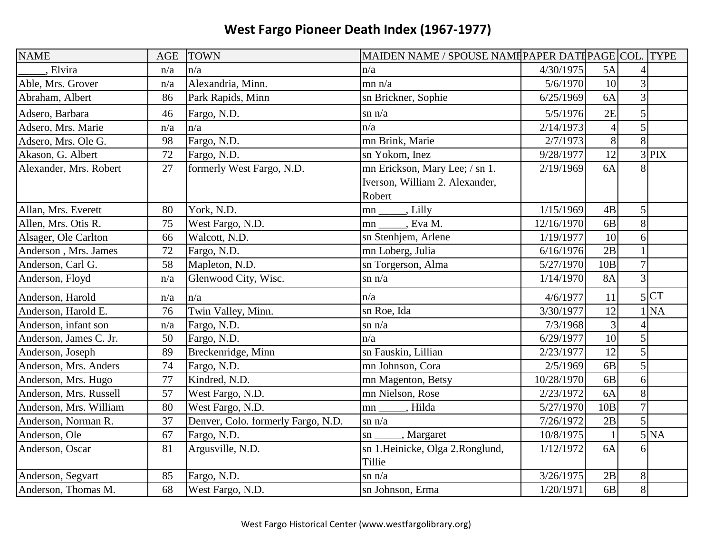| <b>NAME</b>            | <b>AGE</b> | <b>TOWN</b>                        | MAIDEN NAME / SPOUSE NAME PAPER DATE PAGE COL. TYPE |            |                 |                |                   |
|------------------------|------------|------------------------------------|-----------------------------------------------------|------------|-----------------|----------------|-------------------|
| . Elvira               | n/a        | n/a                                | n/a                                                 | 4/30/1975  | 5A              |                |                   |
| Able, Mrs. Grover      | n/a        | Alexandria, Minn.                  | mn n/a                                              | 5/6/1970   | 10              | 3              |                   |
| Abraham, Albert        | 86         | Park Rapids, Minn                  | sn Brickner, Sophie                                 | 6/25/1969  | 6A              | 3              |                   |
| Adsero, Barbara        | 46         | Fargo, N.D.                        | $\sin n/a$                                          | 5/5/1976   | 2E              | 5              |                   |
| Adsero, Mrs. Marie     | n/a        | n/a                                | n/a                                                 | 2/14/1973  | $\overline{4}$  | $\overline{5}$ |                   |
| Adsero, Mrs. Ole G.    | 98         | Fargo, N.D.                        | mn Brink, Marie                                     | 2/7/1973   | 8               | 8              |                   |
| Akason, G. Albert      | 72         | Fargo, N.D.                        | sn Yokom, Inez                                      | 9/28/1977  | 12              |                | $3$ PIX           |
| Alexander, Mrs. Robert | 27         | formerly West Fargo, N.D.          | mn Erickson, Mary Lee; / sn 1.                      | 2/19/1969  | 6A              |                |                   |
|                        |            |                                    | Iverson, William 2. Alexander,                      |            |                 |                |                   |
|                        |            |                                    | Robert                                              |            |                 |                |                   |
| Allan, Mrs. Everett    | 80         | York, N.D.                         | Lilly<br>mn                                         | 1/15/1969  | 4B              | 5              |                   |
| Allen, Mrs. Otis R.    | 75         | West Fargo, N.D.                   | Eva M.<br>mn                                        | 12/16/1970 | 6 <sub>B</sub>  | 8              |                   |
| Alsager, Ole Carlton   | 66         | Walcott, N.D.                      | sn Stenhjem, Arlene                                 | 1/19/1977  | 10              | 6              |                   |
| Anderson, Mrs. James   | 72         | Fargo, N.D.                        | mn Loberg, Julia                                    | 6/16/1976  | 2B              | $\mathbf{1}$   |                   |
| Anderson, Carl G.      | 58         | Mapleton, N.D.                     | sn Torgerson, Alma                                  | 5/27/1970  | 10B             | $\overline{7}$ |                   |
| Anderson, Floyd        | n/a        | Glenwood City, Wisc.               | $\sin n/a$                                          | 1/14/1970  | <b>8A</b>       | $\overline{3}$ |                   |
| Anderson, Harold       | n/a        | n/a                                | n/a                                                 | 4/6/1977   | 11              |                | 5 CT              |
| Anderson, Harold E.    | 76         | Twin Valley, Minn.                 | sn Roe, Ida                                         | 3/30/1977  | 12              |                | 1 <sub>NA</sub>   |
| Anderson, infant son   | n/a        | Fargo, N.D.                        | $\sin n/a$                                          | 7/3/1968   | 3               |                |                   |
| Anderson, James C. Jr. | 50         | Fargo, N.D.                        | n/a                                                 | 6/29/1977  | 10              | 5              |                   |
| Anderson, Joseph       | 89         | Breckenridge, Minn                 | sn Fauskin, Lillian                                 | 2/23/1977  | $\overline{12}$ | 5              |                   |
| Anderson, Mrs. Anders  | 74         | Fargo, N.D.                        | mn Johnson, Cora                                    | 2/5/1969   | 6 <sub>B</sub>  | 5              |                   |
| Anderson, Mrs. Hugo    | 77         | Kindred, N.D.                      | mn Magenton, Betsy                                  | 10/28/1970 | 6 <b>B</b>      | 6              |                   |
| Anderson, Mrs. Russell | 57         | West Fargo, N.D.                   | mn Nielson, Rose                                    | 2/23/1972  | 6A              | 8              |                   |
| Anderson, Mrs. William | 80         | West Fargo, N.D.                   | Hilda<br>mn                                         | 5/27/1970  | 10B             | $\overline{7}$ |                   |
| Anderson, Norman R.    | 37         | Denver, Colo. formerly Fargo, N.D. | $\sin n/a$                                          | 7/26/1972  | 2B              | 5              |                   |
| Anderson, Ole          | 67         | Fargo, N.D.                        | , Margaret<br>$\mathbf{sn}$                         | 10/8/1975  |                 |                | $\overline{5}$ NA |
| Anderson, Oscar        | 81         | Argusville, N.D.                   | sn 1.Heinicke, Olga 2.Ronglund,                     | 1/12/1972  | 6A              | 6              |                   |
|                        |            |                                    | Tillie                                              |            |                 |                |                   |
| Anderson, Segvart      | 85         | Fargo, N.D.                        | $\sin n/a$                                          | 3/26/1975  | 2B              | 8              |                   |
| Anderson, Thomas M.    | 68         | West Fargo, N.D.                   | sn Johnson, Erma                                    | 1/20/1971  | 6B              | 8              |                   |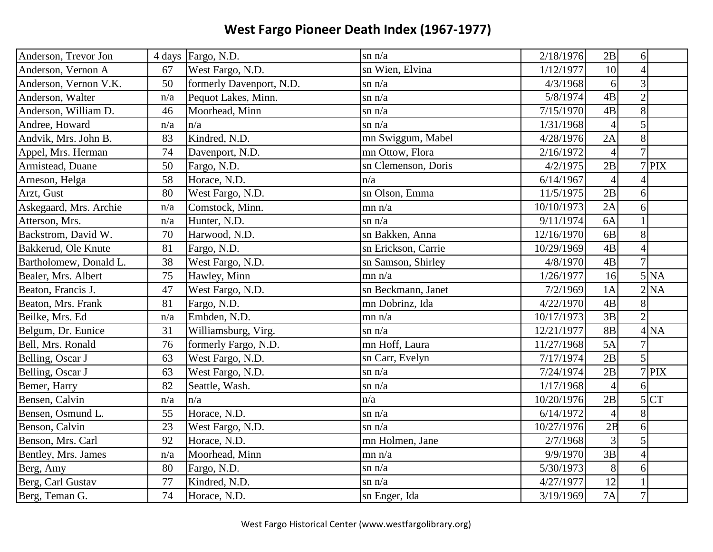| Anderson, Trevor Jon   |     | 4 days Fargo, N.D.       | $\sin n/a$          | 2/18/1976  | 2B             | 6                         |
|------------------------|-----|--------------------------|---------------------|------------|----------------|---------------------------|
| Anderson, Vernon A     | 67  | West Fargo, N.D.         | sn Wien, Elvina     | 1/12/1977  | 10             | $\overline{4}$            |
| Anderson, Vernon V.K.  | 50  | formerly Davenport, N.D. | $\sin n/a$          | 4/3/1968   | 6              | $\overline{3}$            |
| Anderson, Walter       | n/a | Pequot Lakes, Minn.      | $\sin n/a$          | 5/8/1974   | 4B             | $\overline{2}$            |
| Anderson, William D.   | 46  | Moorhead, Minn           | $\sin n/a$          | 7/15/1970  | 4B             | 8                         |
| Andree, Howard         | n/a | n/a                      | $\sin n/a$          | 1/31/1968  | $\overline{4}$ | 5                         |
| Andvik, Mrs. John B.   | 83  | Kindred, N.D.            | mn Swiggum, Mabel   | 4/28/1976  | 2A             | 8                         |
| Appel, Mrs. Herman     | 74  | Davenport, N.D.          | mn Ottow, Flora     | 2/16/1972  | $\overline{4}$ | $\overline{7}$            |
| Armistead, Duane       | 50  | Fargo, N.D.              | sn Clemenson, Doris | 4/2/1975   | 2B             | $7$ PIX                   |
| Arneson, Helga         | 58  | Horace, N.D.             | n/a                 | 6/14/1967  | $\overline{4}$ | $\overline{\mathcal{A}}$  |
| Arzt, Gust             | 80  | West Fargo, N.D.         | sn Olson, Emma      | 11/5/1975  | 2B             | 6                         |
| Askegaard, Mrs. Archie | n/a | Comstock, Minn.          | mn n/a              | 10/10/1973 | 2A             | 6                         |
| Atterson, Mrs.         | n/a | Hunter, N.D.             | $\sin n/a$          | 9/11/1974  | 6A             |                           |
| Backstrom, David W.    | 70  | Harwood, N.D.            | sn Bakken, Anna     | 12/16/1970 | 6 <sub>B</sub> | 8                         |
| Bakkerud, Ole Knute    | 81  | Fargo, N.D.              | sn Erickson, Carrie | 10/29/1969 | 4B             | $\overline{4}$            |
| Bartholomew, Donald L. | 38  | West Fargo, N.D.         | sn Samson, Shirley  | 4/8/1970   | 4B             | $\overline{7}$            |
| Bealer, Mrs. Albert    | 75  | Hawley, Minn             | mn n/a              | 1/26/1977  | 16             | $5\overline{\mathrm{NA}}$ |
| Beaton, Francis J.     | 47  | West Fargo, N.D.         | sn Beckmann, Janet  | 7/2/1969   | 1A             | 2 NA                      |
| Beaton, Mrs. Frank     | 81  | Fargo, N.D.              | mn Dobrinz, Ida     | 4/22/1970  | 4B             | 8                         |
| Beilke, Mrs. Ed        | n/a | Embden, N.D.             | mn n/a              | 10/17/1973 | 3B             | $\overline{2}$            |
| Belgum, Dr. Eunice     | 31  | Williamsburg, Virg.      | $\sin n/a$          | 12/21/1977 | 8B             | 4 <sub>NA</sub>           |
| Bell, Mrs. Ronald      | 76  | formerly Fargo, N.D.     | mn Hoff, Laura      | 11/27/1968 | 5A             | $\overline{7}$            |
| Belling, Oscar J       | 63  | West Fargo, N.D.         | sn Carr, Evelyn     | 7/17/1974  | 2B             | 5                         |
| Belling, Oscar J       | 63  | West Fargo, N.D.         | $\sin n/a$          | 7/24/1974  | 2B             | $7$ PIX                   |
| Bemer, Harry           | 82  | Seattle, Wash.           | $\sin n/a$          | 1/17/1968  | $\overline{4}$ | 6                         |
| Bensen, Calvin         | n/a | n/a                      | n/a                 | 10/20/1976 | 2B             | $\vert$<br><b>CT</b>      |
| Bensen, Osmund L.      | 55  | Horace, N.D.             | $\sin n/a$          | 6/14/1972  | $\overline{4}$ | 8                         |
| Benson, Calvin         | 23  | West Fargo, N.D.         | $\sin n/a$          | 10/27/1976 | 2B             | 6                         |
| Benson, Mrs. Carl      | 92  | Horace, N.D.             | mn Holmen, Jane     | 2/7/1968   | $\overline{3}$ | 5                         |
| Bentley, Mrs. James    | n/a | Moorhead, Minn           | mn n/a              | 9/9/1970   | 3B             | $\overline{4}$            |
| Berg, Amy              | 80  | Fargo, N.D.              | $\sin n/a$          | 5/30/1973  | 8              | 6                         |
| Berg, Carl Gustav      | 77  | Kindred, N.D.            | $\sin n/a$          | 4/27/1977  | 12             |                           |
| Berg, Teman G.         | 74  | Horace, N.D.             | sn Enger, Ida       | 3/19/1969  | <b>7A</b>      | $\overline{7}$            |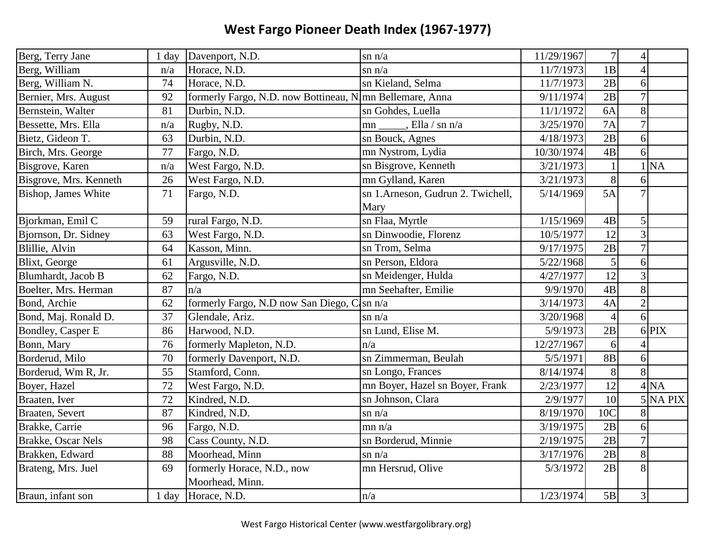| Berg, Terry Jane       | 1 day | Davenport, N.D.                                           | $\sin n/a$                        | 11/29/1967 | $\overline{7}$  | $\overline{4}$ |                 |
|------------------------|-------|-----------------------------------------------------------|-----------------------------------|------------|-----------------|----------------|-----------------|
| Berg, William          | n/a   | Horace, N.D.                                              | $\sin n/a$                        | 11/7/1973  | 1B              | $\overline{4}$ |                 |
| Berg, William N.       | 74    | Horace, N.D.                                              | sn Kieland, Selma                 | 11/7/1973  | 2B              | 6              |                 |
| Bernier, Mrs. August   | 92    | formerly Fargo, N.D. now Bottineau, N. mn Bellemare, Anna |                                   | 9/11/1974  | 2B              | $\overline{7}$ |                 |
| Bernstein, Walter      | 81    | Durbin, N.D.                                              | sn Gohdes, Luella                 | 11/1/1972  | 6A              | 8              |                 |
| Bessette, Mrs. Ella    | n/a   | Rugby, N.D.                                               | , Ella / sn n/a<br>mn             | 3/25/1970  | 7A              | $\overline{7}$ |                 |
| Bietz, Gideon T.       | 63    | Durbin, N.D.                                              | sn Bouck, Agnes                   | 4/18/1973  | 2B              | 6              |                 |
| Birch, Mrs. George     | 77    | Fargo, N.D.                                               | mn Nystrom, Lydia                 | 10/30/1974 | 4B              | 6              |                 |
| Bisgrove, Karen        | n/a   | West Fargo, N.D.                                          | sn Bisgrove, Kenneth              | 3/21/1973  | $\mathbf{1}$    |                | <b>NA</b>       |
| Bisgrove, Mrs. Kenneth | 26    | West Fargo, N.D.                                          | mn Gylland, Karen                 | 3/21/1973  | 8               | 6              |                 |
| Bishop, James White    | 71    | Fargo, N.D.                                               | sn 1.Arneson, Gudrun 2. Twichell, | 5/14/1969  | 5A              | $\overline{7}$ |                 |
|                        |       |                                                           | Mary                              |            |                 |                |                 |
| Bjorkman, Emil C       | 59    | rural Fargo, N.D.                                         | sn Flaa, Myrtle                   | 1/15/1969  | $4\mathrm{B}$   | 5              |                 |
| Bjornson, Dr. Sidney   | 63    | West Fargo, N.D.                                          | sn Dinwoodie, Florenz             | 10/5/1977  | 12              | 3              |                 |
| Blillie, Alvin         | 64    | Kasson, Minn.                                             | sn Trom, Selma                    | 9/17/1975  | 2B              | $\overline{7}$ |                 |
| Blixt, George          | 61    | Argusville, N.D.                                          | sn Person, Eldora                 | 5/22/1968  | 5               | 6              |                 |
| Blumhardt, Jacob B     | 62    | Fargo, N.D.                                               | sn Meidenger, Hulda               | 4/27/1977  | $\overline{12}$ | 3              |                 |
| Boelter, Mrs. Herman   | 87    | n/a                                                       | mn Seehafter, Emilie              | 9/9/1970   | 4B              | 8              |                 |
| Bond, Archie           | 62    | formerly Fargo, N.D now San Diego, C                      | $\sin n/a$                        | 3/14/1973  | 4A              | $\overline{2}$ |                 |
| Bond, Maj. Ronald D.   | 37    | Glendale, Ariz.                                           | $\sin n/a$                        | 3/20/1968  | $\overline{4}$  | 6              |                 |
| Bondley, Casper E      | 86    | Harwood, N.D.                                             | sn Lund, Elise M.                 | 5/9/1973   | 2B              |                | 6 PIX           |
| Bonn, Mary             | 76    | formerly Mapleton, N.D.                                   | n/a                               | 12/27/1967 | 6               |                |                 |
| Borderud, Milo         | 70    | formerly Davenport, N.D.                                  | sn Zimmerman, Beulah              | 5/5/1971   | <b>8B</b>       | 6              |                 |
| Borderud, Wm R, Jr.    | 55    | Stamford, Conn.                                           | sn Longo, Frances                 | 8/14/1974  | 8               | 8              |                 |
| Boyer, Hazel           | 72    | West Fargo, N.D.                                          | mn Boyer, Hazel sn Boyer, Frank   | 2/23/1977  | 12              |                | 4 <sub>NA</sub> |
| Braaten, Iver          | 72    | Kindred, N.D.                                             | sn Johnson, Clara                 | 2/9/1977   | 10              |                | $5$ NA PIX      |
| Braaten, Severt        | 87    | Kindred, N.D.                                             | $\sin n/a$                        | 8/19/1970  | 10C             |                |                 |
| Brakke, Carrie         | 96    | Fargo, N.D.                                               | mn n/a                            | 3/19/1975  | 2B              | 6              |                 |
| Brakke, Oscar Nels     | 98    | Cass County, N.D.                                         | sn Borderud, Minnie               | 2/19/1975  | 2B              | $\overline{7}$ |                 |
| Brakken, Edward        | 88    | Moorhead, Minn                                            | $\sin n/a$                        | 3/17/1976  | 2B              | 8              |                 |
| Brateng, Mrs. Juel     | 69    | formerly Horace, N.D., now                                | mn Hersrud, Olive                 | 5/3/1972   | 2B              | 8              |                 |
|                        |       | Moorhead, Minn.                                           |                                   |            |                 |                |                 |
| Braun, infant son      |       | 1 day Horace, N.D.                                        | n/a                               | 1/23/1974  | 5B              | $\overline{3}$ |                 |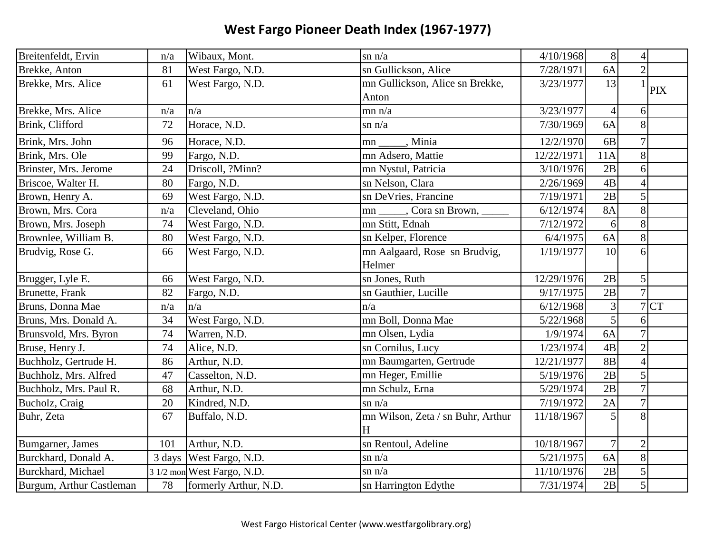| Breitenfeldt, Ervin      | n/a | Wibaux, Mont.              | $\sin n/a$                        | 4/10/1968  | 8              | $\overline{4}$ |            |
|--------------------------|-----|----------------------------|-----------------------------------|------------|----------------|----------------|------------|
| Brekke, Anton            | 81  | West Fargo, N.D.           | sn Gullickson, Alice              | 7/28/1971  | 6A             | $\overline{2}$ |            |
| Brekke, Mrs. Alice       | 61  | West Fargo, N.D.           | mn Gullickson, Alice sn Brekke,   | 3/23/1977  | 13             |                | <b>PIX</b> |
|                          |     |                            | Anton                             |            |                |                |            |
| Brekke, Mrs. Alice       | n/a | n/a                        | mn n/a                            | 3/23/1977  | $\overline{4}$ | 6              |            |
| Brink, Clifford          | 72  | Horace, N.D.               | $\sin n/a$                        | 7/30/1969  | 6A             | 8              |            |
| Brink, Mrs. John         | 96  | Horace, N.D.               | , Minia<br>mn                     | 12/2/1970  | 6 <sub>B</sub> | $\overline{7}$ |            |
| Brink, Mrs. Ole          | 99  | Fargo, N.D.                | mn Adsero, Mattie                 | 12/22/1971 | 11A            | 8              |            |
| Brinster, Mrs. Jerome    | 24  | Driscoll, ?Minn?           | mn Nystul, Patricia               | 3/10/1976  | 2B             | 6              |            |
| Briscoe, Walter H.       | 80  | Fargo, N.D.                | sn Nelson, Clara                  | 2/26/1969  | 4B             | $\Delta$       |            |
| Brown, Henry A.          | 69  | West Fargo, N.D.           | sn DeVries, Francine              | 7/19/1971  | 2B             | 5              |            |
| Brown, Mrs. Cora         | n/a | Cleveland, Ohio            | mn _____, Cora sn Brown, ___      | 6/12/1974  | <b>8A</b>      | 8              |            |
| Brown, Mrs. Joseph       | 74  | West Fargo, N.D.           | mn Stitt, Ednah                   | 7/12/1972  | 6              | 8              |            |
| Brownlee, William B.     | 80  | West Fargo, N.D.           | sn Kelper, Florence               | 6/4/1975   | 6A             | 8              |            |
| Brudvig, Rose G.         | 66  | West Fargo, N.D.           | mn Aalgaard, Rose sn Brudvig,     | 1/19/1977  | 10             | 6              |            |
|                          |     |                            | Helmer                            |            |                |                |            |
| Brugger, Lyle E.         | 66  | West Fargo, N.D.           | sn Jones, Ruth                    | 12/29/1976 | 2B             | 5              |            |
| <b>Brunette</b> , Frank  | 82  | Fargo, N.D.                | sn Gauthier, Lucille              | 9/17/1975  | 2B             | $\overline{7}$ |            |
| Bruns, Donna Mae         | n/a | n/a                        | n/a                               | 6/12/1968  | 3              | $\overline{7}$ | <b>CT</b>  |
| Bruns, Mrs. Donald A.    | 34  | West Fargo, N.D.           | mn Boll, Donna Mae                | 5/22/1968  | 5              | 6              |            |
| Brunsvold, Mrs. Byron    | 74  | Warren, N.D.               | mn Olsen, Lydia                   | 1/9/1974   | 6A             |                |            |
| Bruse, Henry J.          | 74  | Alice, N.D.                | sn Cornilus, Lucy                 | 1/23/1974  | 4B             | $\overline{2}$ |            |
| Buchholz, Gertrude H.    | 86  | Arthur, N.D.               | mn Baumgarten, Gertrude           | 12/21/1977 | <b>8B</b>      | $\overline{4}$ |            |
| Buchholz, Mrs. Alfred    | 47  | Casselton, N.D.            | mn Heger, Emillie                 | 5/19/1976  | 2B             | 5              |            |
| Buchholz, Mrs. Paul R.   | 68  | Arthur, N.D.               | mn Schulz, Erna                   | 5/29/1974  | 2B             | $\overline{7}$ |            |
| Bucholz, Craig           | 20  | Kindred, N.D.              | $\sin n/a$                        | 7/19/1972  | 2A             | $\overline{7}$ |            |
| Buhr, Zeta               | 67  | Buffalo, N.D.              | mn Wilson, Zeta / sn Buhr, Arthur | 11/18/1967 | 5              | 8              |            |
|                          |     |                            | H                                 |            |                |                |            |
| Bumgarner, James         | 101 | Arthur, N.D.               | sn Rentoul, Adeline               | 10/18/1967 | $\overline{7}$ | $\overline{2}$ |            |
| Burckhard, Donald A.     |     | 3 days West Fargo, N.D.    | $\sin n/a$                        | 5/21/1975  | 6A             | 8              |            |
| Burckhard, Michael       |     | 3 1/2 mon West Fargo, N.D. | $\sin n/a$                        | 11/10/1976 | 2B             | 5              |            |
| Burgum, Arthur Castleman | 78  | formerly Arthur, N.D.      | sn Harrington Edythe              | 7/31/1974  | 2B             | 5              |            |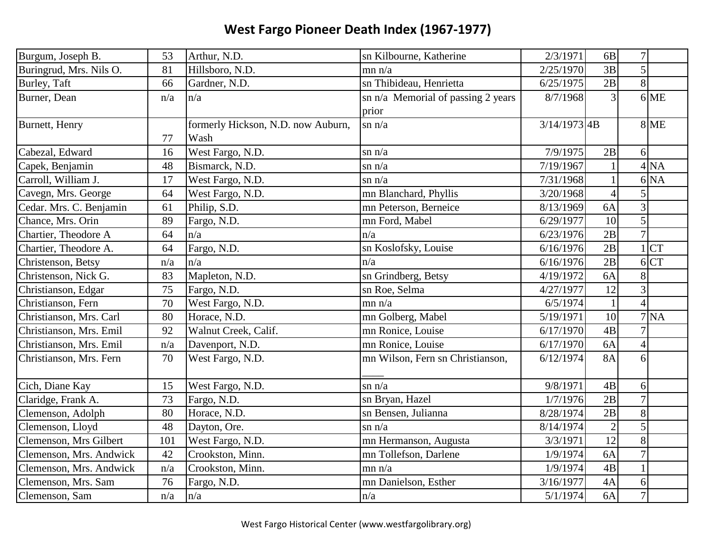| Burgum, Joseph B.       | 53  | Arthur, N.D.                       | sn Kilbourne, Katherine            | 2/3/1971       | 6B             | $\overline{7}$  |                 |
|-------------------------|-----|------------------------------------|------------------------------------|----------------|----------------|-----------------|-----------------|
| Buringrud, Mrs. Nils O. | 81  | Hillsboro, N.D.                    | mn n/a                             | 2/25/1970      | 3B             | 5               |                 |
| Burley, Taft            | 66  | Gardner, N.D.                      | sn Thibideau, Henrietta            | 6/25/1975      | 2B             | $\vert 8 \vert$ |                 |
| Burner, Dean            | n/a | n/a                                | sn n/a Memorial of passing 2 years | 8/7/1968       | $\overline{3}$ |                 | $6$ ME          |
|                         |     |                                    | prior                              |                |                |                 |                 |
| Burnett, Henry          |     | formerly Hickson, N.D. now Auburn, | $\sin n/a$                         | $3/14/1973$ 4B |                |                 | <b>8 ME</b>     |
|                         | 77  | Wash                               |                                    |                |                |                 |                 |
| Cabezal, Edward         | 16  | West Fargo, N.D.                   | $\sin n/a$                         | 7/9/1975       | 2B             | 6               |                 |
| Capek, Benjamin         | 48  | Bismarck, N.D.                     | $\sin n/a$                         | 7/19/1967      |                |                 | 4 <sub>NA</sub> |
| Carroll, William J.     | 17  | West Fargo, N.D.                   | $\sin n/a$                         | 7/31/1968      | $\mathbf{1}$   |                 | 6 <sub>NA</sub> |
| Cavegn, Mrs. George     | 64  | West Fargo, N.D.                   | mn Blanchard, Phyllis              | 3/20/1968      | $\overline{4}$ |                 |                 |
| Cedar. Mrs. C. Benjamin | 61  | Philip, S.D.                       | mn Peterson, Berneice              | 8/13/1969      | 6A             | 3               |                 |
| Chance, Mrs. Orin       | 89  | Fargo, N.D.                        | mn Ford, Mabel                     | 6/29/1977      | 10             | 5               |                 |
| Chartier, Theodore A    | 64  | n/a                                | n/a                                | 6/23/1976      | 2B             | $\overline{7}$  |                 |
| Chartier, Theodore A.   | 64  | Fargo, N.D.                        | sn Koslofsky, Louise               | 6/16/1976      | 2B             |                 | 1 CT            |
| Christenson, Betsy      | n/a | n/a                                | n/a                                | 6/16/1976      | 2B             |                 | 6 <sub>CT</sub> |
| Christenson, Nick G.    | 83  | Mapleton, N.D.                     | sn Grindberg, Betsy                | 4/19/1972      | 6A             | 8               |                 |
| Christianson, Edgar     | 75  | Fargo, N.D.                        | sn Roe, Selma                      | 4/27/1977      | 12             | 3               |                 |
| Christianson, Fern      | 70  | West Fargo, N.D.                   | mn n/a                             | 6/5/1974       | $\mathbf{1}$   | $\overline{4}$  |                 |
| Christianson, Mrs. Carl | 80  | Horace, N.D.                       | mn Golberg, Mabel                  | 5/19/1971      | 10             |                 | 7 <sub>NA</sub> |
| Christianson, Mrs. Emil | 92  | Walnut Creek, Calif.               | mn Ronice, Louise                  | 6/17/1970      | 4B             |                 |                 |
| Christianson, Mrs. Emil | n/a | Davenport, N.D.                    | mn Ronice, Louise                  | 6/17/1970      | 6A             | $\overline{4}$  |                 |
| Christianson, Mrs. Fern | 70  | West Fargo, N.D.                   | mn Wilson, Fern sn Christianson,   | 6/12/1974      | <b>8A</b>      | 6               |                 |
|                         |     |                                    |                                    |                |                |                 |                 |
| Cich, Diane Kay         | 15  | West Fargo, N.D.                   | $\sin n/a$                         | 9/8/1971       | 4B             | 6               |                 |
| Claridge, Frank A.      | 73  | Fargo, N.D.                        | sn Bryan, Hazel                    | 1/7/1976       | 2B             | $\overline{7}$  |                 |
| Clemenson, Adolph       | 80  | Horace, N.D.                       | sn Bensen, Julianna                | 8/28/1974      | 2B             | 8               |                 |
| Clemenson, Lloyd        | 48  | Dayton, Ore.                       | $\sin n/a$                         | 8/14/1974      | $\sqrt{2}$     | 5               |                 |
| Clemenson, Mrs Gilbert  | 101 | West Fargo, N.D.                   | mn Hermanson, Augusta              | 3/3/1971       | 12             | 8               |                 |
| Clemenson, Mrs. Andwick | 42  | Crookston, Minn.                   | mn Tollefson, Darlene              | 1/9/1974       | 6A             | $\overline{7}$  |                 |
| Clemenson, Mrs. Andwick | n/a | Crookston, Minn.                   | mn n/a                             | 1/9/1974       | 4B             |                 |                 |
| Clemenson, Mrs. Sam     | 76  | Fargo, N.D.                        | mn Danielson, Esther               | 3/16/1977      | 4A             | 6               |                 |
| Clemenson, Sam          | n/a | $\ln/a$                            | n/a                                | 5/1/1974       | 6A             | $\overline{7}$  |                 |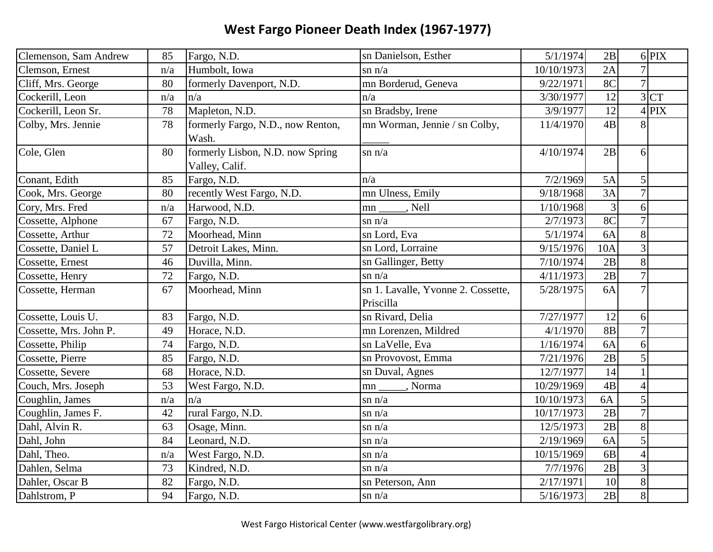| Clemenson, Sam Andrew  | 85  | Fargo, N.D.                                        | sn Danielson, Esther               | 5/1/1974   | 2B             |                        | $6$ PIX         |
|------------------------|-----|----------------------------------------------------|------------------------------------|------------|----------------|------------------------|-----------------|
| Clemson, Ernest        | n/a | Humbolt, Iowa                                      | $\sin n/a$                         | 10/10/1973 | 2A             | 7                      |                 |
| Cliff, Mrs. George     | 80  | formerly Davenport, N.D.                           | mn Borderud, Geneva                | 9/22/1971  | 8C             | $\overline{7}$         |                 |
| Cockerill, Leon        | n/a | n/a                                                | n/a                                | 3/30/1977  | 12             |                        | 3 <sup>CT</sup> |
| Cockerill, Leon Sr.    | 78  | Mapleton, N.D.                                     | sn Bradsby, Irene                  | 3/9/1977   | 12             |                        | $4$ PIX         |
| Colby, Mrs. Jennie     | 78  | formerly Fargo, N.D., now Renton,<br>Wash.         | mn Worman, Jennie / sn Colby,      | 11/4/1970  | 4B             | 8                      |                 |
| Cole, Glen             | 80  | formerly Lisbon, N.D. now Spring<br>Valley, Calif. | $\sin n/a$                         | 4/10/1974  | 2B             | 6                      |                 |
| Conant, Edith          | 85  | Fargo, N.D.                                        | n/a                                | 7/2/1969   | 5A             | 5                      |                 |
| Cook, Mrs. George      | 80  | recently West Fargo, N.D.                          | mn Ulness, Emily                   | 9/18/1968  | 3A             | $\overline{7}$         |                 |
| Cory, Mrs. Fred        | n/a | Harwood, N.D.                                      | , Nell<br>mn                       | 1/10/1968  | $\mathfrak{Z}$ | 6                      |                 |
| Cossette, Alphone      | 67  | Fargo, N.D.                                        | $\sin n/a$                         | 2/7/1973   | 8 <sup>C</sup> | $\overline{7}$         |                 |
| Cossette, Arthur       | 72  | Moorhead, Minn                                     | sn Lord, Eva                       | 5/1/1974   | <b>6A</b>      | 8                      |                 |
| Cossette, Daniel L     | 57  | Detroit Lakes, Minn.                               | sn Lord, Lorraine                  | 9/15/1976  | 10A            | $\overline{3}$         |                 |
| Cossette, Ernest       | 46  | Duvilla, Minn.                                     | sn Gallinger, Betty                | 7/10/1974  | 2B             | 8                      |                 |
| Cossette, Henry        | 72  | Fargo, N.D.                                        | $\sin n/a$                         | 4/11/1973  | 2B             | $\overline{7}$         |                 |
| Cossette, Herman       | 67  | Moorhead, Minn                                     | sn 1. Lavalle, Yvonne 2. Cossette, | 5/28/1975  | 6A             | $\overline{7}$         |                 |
|                        |     |                                                    | Priscilla                          |            |                |                        |                 |
| Cossette, Louis U.     | 83  | Fargo, N.D.                                        | sn Rivard, Delia                   | 7/27/1977  | 12             | 6                      |                 |
| Cossette, Mrs. John P. | 49  | Horace, N.D.                                       | mn Lorenzen, Mildred               | 4/1/1970   | <b>8B</b>      | $\overline{7}$         |                 |
| Cossette, Philip       | 74  | Fargo, N.D.                                        | sn LaVelle, Eva                    | 1/16/1974  | 6A             | 6                      |                 |
| Cossette, Pierre       | 85  | Fargo, N.D.                                        | sn Provovost, Emma                 | 7/21/1976  | 2B             | 5                      |                 |
| Cossette, Severe       | 68  | Horace, N.D.                                       | sn Duval, Agnes                    | 12/7/1977  | 14             |                        |                 |
| Couch, Mrs. Joseph     | 53  | West Fargo, N.D.                                   | Norma<br>mn                        | 10/29/1969 | 4B             | $\boldsymbol{\Lambda}$ |                 |
| Coughlin, James        | n/a | n/a                                                | $\sin n/a$                         | 10/10/1973 | 6A             | 5                      |                 |
| Coughlin, James F.     | 42  | rural Fargo, N.D.                                  | $\sin n/a$                         | 10/17/1973 | 2B             | $\overline{7}$         |                 |
| Dahl, Alvin R.         | 63  | Osage, Minn.                                       | $\sin n/a$                         | 12/5/1973  | 2B             | 8                      |                 |
| Dahl, John             | 84  | Leonard, N.D.                                      | $\sin n/a$                         | 2/19/1969  | 6A             | 5                      |                 |
| Dahl, Theo.            | n/a | West Fargo, N.D.                                   | $\sin n/a$                         | 10/15/1969 | 6 <sub>B</sub> | $\overline{4}$         |                 |
| Dahlen, Selma          | 73  | Kindred, N.D.                                      | $\sin n/a$                         | 7/7/1976   | 2B             | $\mathfrak{Z}$         |                 |
| Dahler, Oscar B        | 82  | Fargo, N.D.                                        | sn Peterson, Ann                   | 2/17/1971  | 10             | $8\,$                  |                 |
| Dahlstrom, P           | 94  | Fargo, N.D.                                        | $\sin n/a$                         | 5/16/1973  | 2B             | $8\,$                  |                 |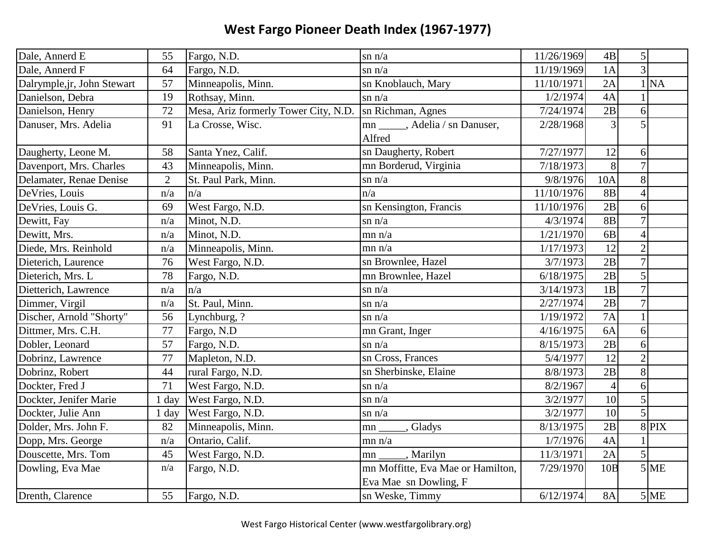| Dale, Annerd E              | 55             | Fargo, N.D.                          | $\sin n/a$                                                 | 11/26/1969 | 4B              | 5 <sup>1</sup> |
|-----------------------------|----------------|--------------------------------------|------------------------------------------------------------|------------|-----------------|----------------|
| Dale, Annerd F              | 64             | Fargo, N.D.                          | $\sin n/a$                                                 | 11/19/1969 | 1A              | $\overline{3}$ |
| Dalrymple, jr, John Stewart | 57             | Minneapolis, Minn.                   | sn Knoblauch, Mary                                         | 11/10/1971 | 2A              | $1$ $NA$       |
| Danielson, Debra            | 19             | Rothsay, Minn.                       | $\sin n/a$                                                 | 1/2/1974   | 4A              |                |
| Danielson, Henry            | 72             | Mesa, Ariz formerly Tower City, N.D. | sn Richman, Agnes                                          | 7/24/1974  | 2B              | 6              |
| Danuser, Mrs. Adelia        | 91             | La Crosse, Wisc.                     | mn _____, Adelia / sn Danuser,<br>Alfred                   | 2/28/1968  | $\overline{3}$  | 5              |
| Daugherty, Leone M.         | 58             | Santa Ynez, Calif.                   | sn Daugherty, Robert                                       | 7/27/1977  | 12              | 6              |
| Davenport, Mrs. Charles     | 43             | Minneapolis, Minn.                   | mn Borderud, Virginia                                      | 7/18/1973  | 8               | $\overline{7}$ |
| Delamater, Renae Denise     | $\overline{2}$ | St. Paul Park, Minn.                 | $\sin n/a$                                                 | 9/8/1976   | 10A             | 8              |
| DeVries, Louis              | n/a            | n/a                                  | n/a                                                        | 11/10/1976 | <b>8B</b>       | $\overline{4}$ |
| DeVries, Louis G.           | 69             | West Fargo, N.D.                     | sn Kensington, Francis                                     | 11/10/1976 | $\overline{2B}$ | 6              |
| Dewitt, Fay                 | n/a            | Minot, N.D.                          | $\sin n/a$                                                 | 4/3/1974   | <b>8B</b>       | $\overline{7}$ |
| Dewitt, Mrs.                | n/a            | Minot, N.D.                          | mn n/a                                                     | 1/21/1970  | 6B              | $\overline{4}$ |
| Diede, Mrs. Reinhold        | n/a            | Minneapolis, Minn.                   | mn n/a                                                     | 1/17/1973  | 12              | $\overline{2}$ |
| Dieterich, Laurence         | 76             | West Fargo, N.D.                     | sn Brownlee, Hazel                                         | 3/7/1973   | 2B              | $\overline{7}$ |
| Dieterich, Mrs. L           | 78             | Fargo, N.D.                          | mn Brownlee, Hazel                                         | 6/18/1975  | 2B              | 5              |
| Dietterich, Lawrence        | n/a            | n/a                                  | $\sin n/a$                                                 | 3/14/1973  | 1B              | $\overline{7}$ |
| Dimmer, Virgil              | n/a            | St. Paul, Minn.                      | $\sin n/a$                                                 | 2/27/1974  | 2B              | $\overline{7}$ |
| Discher, Arnold "Shorty"    | 56             | Lynchburg, ?                         | $\sin n/a$                                                 | 1/19/1972  | 7A              |                |
| Dittmer, Mrs. C.H.          | 77             | Fargo, N.D                           | mn Grant, Inger                                            | 4/16/1975  | 6A              | 6              |
| Dobler, Leonard             | 57             | Fargo, N.D.                          | $\sin n/a$                                                 | 8/15/1973  | 2B              | 6              |
| Dobrinz, Lawrence           | 77             | Mapleton, N.D.                       | sn Cross, Frances                                          | 5/4/1977   | 12              | $\overline{2}$ |
| Dobrinz, Robert             | 44             | rural Fargo, N.D.                    | sn Sherbinske, Elaine                                      | 8/8/1973   | 2B              | 8              |
| Dockter, Fred J             | 71             | West Fargo, N.D.                     | $\sin n/a$                                                 | 8/2/1967   | $\overline{4}$  | 6              |
| Dockter, Jenifer Marie      | $1$ day        | West Fargo, N.D.                     | $\sin n/a$                                                 | 3/2/1977   | 10              | 5              |
| Dockter, Julie Ann          | $1$ day        | West Fargo, N.D.                     | $\sin n/a$                                                 | 3/2/1977   | 10              | 5              |
| Dolder, Mrs. John F.        | 82             | Minneapolis, Minn.                   | Gladys<br>mn                                               | 8/13/1975  | 2B              | $8$ PIX        |
| Dopp, Mrs. George           | n/a            | Ontario, Calif.                      | mn n/a                                                     | 1/7/1976   | 4A              |                |
| Douscette, Mrs. Tom         | 45             | West Fargo, N.D.                     | , Marilyn<br>mn                                            | 11/3/1971  | 2A              | $\overline{5}$ |
| Dowling, Eva Mae            | n/a            | Fargo, N.D.                          | mn Moffitte, Eva Mae or Hamilton,<br>Eva Mae sn Dowling, F | 7/29/1970  | 10B             | $5$ ME         |
| Drenth, Clarence            | 55             | Fargo, N.D.                          | sn Weske, Timmy                                            | 6/12/1974  | <b>8A</b>       | $5$ ME         |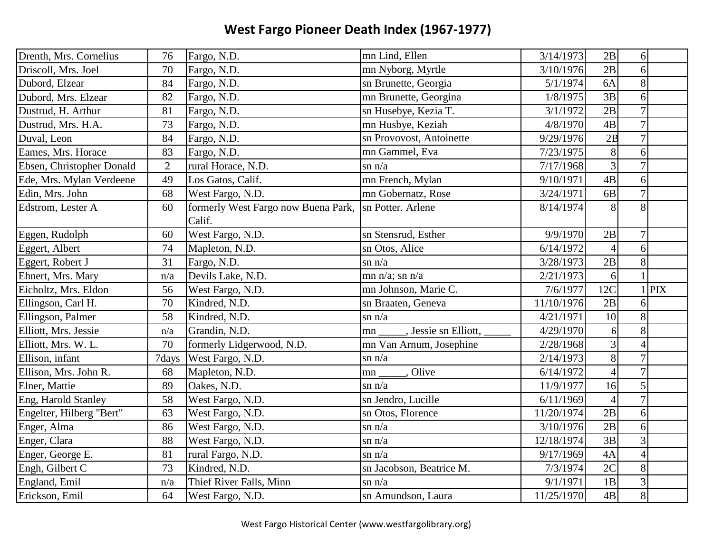| Drenth, Mrs. Cornelius    | 76             | Fargo, N.D.                         | mn Lind, Ellen             | 3/14/1973  | 2B             | 6              |            |
|---------------------------|----------------|-------------------------------------|----------------------------|------------|----------------|----------------|------------|
| Driscoll, Mrs. Joel       | 70             | Fargo, N.D.                         | mn Nyborg, Myrtle          | 3/10/1976  | 2B             | 6              |            |
| Dubord, Elzear            | 84             | Fargo, N.D.                         | sn Brunette, Georgia       | 5/1/1974   | 6A             | 8              |            |
| Dubord, Mrs. Elzear       | 82             | Fargo, N.D.                         | mn Brunette, Georgina      | 1/8/1975   | 3B             | 6              |            |
| Dustrud, H. Arthur        | 81             | Fargo, N.D.                         | sn Husebye, Kezia T.       | 3/1/1972   | 2B             | $\overline{7}$ |            |
| Dustrud, Mrs. H.A.        | 73             | Fargo, N.D.                         | mn Husbye, Keziah          | 4/8/1970   | 4B             | $\overline{7}$ |            |
| Duval, Leon               | 84             | Fargo, N.D.                         | sn Provovost, Antoinette   | 9/29/1976  | 2B             | $\overline{7}$ |            |
| Eames, Mrs. Horace        | 83             | Fargo, N.D.                         | mn Gammel, Eva             | 7/23/1975  | 8              | 6              |            |
| Ebsen, Christopher Donald | $\overline{2}$ | rural Horace, N.D.                  | $\sin n/a$                 | 7/17/1968  | $\overline{3}$ | $\overline{7}$ |            |
| Ede, Mrs. Mylan Verdeene  | 49             | Los Gatos, Calif.                   | mn French, Mylan           | 9/10/1971  | 4B             | 6              |            |
| Edin, Mrs. John           | 68             | West Fargo, N.D.                    | mn Gobernatz, Rose         | 3/24/1971  | 6 <sub>B</sub> | $\overline{7}$ |            |
| Edstrom, Lester A         | 60             | formerly West Fargo now Buena Park, | sn Potter. Arlene          | 8/14/1974  | 8              | 8              |            |
|                           |                | Calif.                              |                            |            |                |                |            |
| Eggen, Rudolph            | 60             | West Fargo, N.D.                    | sn Stensrud, Esther        | 9/9/1970   | 2B             | $\overline{7}$ |            |
| Eggert, Albert            | 74             | Mapleton, N.D.                      | sn Otos, Alice             | 6/14/1972  | $\overline{4}$ | 6              |            |
| Eggert, Robert J          | 31             | Fargo, N.D.                         | $\sin n/a$                 | 3/28/1973  | 2B             | 8              |            |
| Ehnert, Mrs. Mary         | n/a            | Devils Lake, N.D.                   | mn $n/a$ ; sn $n/a$        | 2/21/1973  | 6              |                |            |
| Eicholtz, Mrs. Eldon      | 56             | West Fargo, N.D.                    | mn Johnson, Marie C.       | 7/6/1977   | 12C            |                | <b>PIX</b> |
| Ellingson, Carl H.        | 70             | Kindred, N.D.                       | sn Braaten, Geneva         | 11/10/1976 | 2B             | 6              |            |
| Ellingson, Palmer         | 58             | Kindred, N.D.                       | $\sin n/a$                 | 4/21/1971  | 10             | 8              |            |
| Elliott, Mrs. Jessie      | n/a            | Grandin, N.D.                       | , Jessie sn Elliott,<br>mn | 4/29/1970  | 6              | 8              |            |
| Elliott, Mrs. W. L.       | 70             | formerly Lidgerwood, N.D.           | mn Van Arnum, Josephine    | 2/28/1968  | 3              | $\overline{4}$ |            |
| Ellison, infant           | 7days          | West Fargo, N.D.                    | $\sin n/a$                 | 2/14/1973  | 8              | $\overline{7}$ |            |
| Ellison, Mrs. John R.     | 68             | Mapleton, N.D.                      | , Olive<br>mn              | 6/14/1972  | $\overline{4}$ | $\overline{7}$ |            |
| Elner, Mattie             | 89             | Oakes, N.D.                         | $\sin n/a$                 | 11/9/1977  | 16             | 5              |            |
| Eng, Harold Stanley       | 58             | West Fargo, N.D.                    | sn Jendro, Lucille         | 6/11/1969  | $\overline{4}$ | $\overline{7}$ |            |
| Engelter, Hilberg "Bert"  | 63             | West Fargo, N.D.                    | sn Otos, Florence          | 11/20/1974 | 2B             | 6              |            |
| Enger, Alma               | 86             | West Fargo, N.D.                    | $\sin n/a$                 | 3/10/1976  | 2B             | 6              |            |
| Enger, Clara              | 88             | West Fargo, N.D.                    | $\sin n/a$                 | 12/18/1974 | 3B             | 3              |            |
| Enger, George E.          | 81             | rural Fargo, N.D.                   | $\sin n/a$                 | 9/17/1969  | 4A             | $\overline{4}$ |            |
| Engh, Gilbert C           | 73             | Kindred, N.D.                       | sn Jacobson, Beatrice M.   | 7/3/1974   | 2C             | 8              |            |
| England, Emil             | n/a            | Thief River Falls, Minn             | $\sin n/a$                 | 9/1/1971   | 1B             | 3              |            |
| Erickson, Emil            | 64             | West Fargo, N.D.                    | sn Amundson, Laura         | 11/25/1970 | 4B             | 8              |            |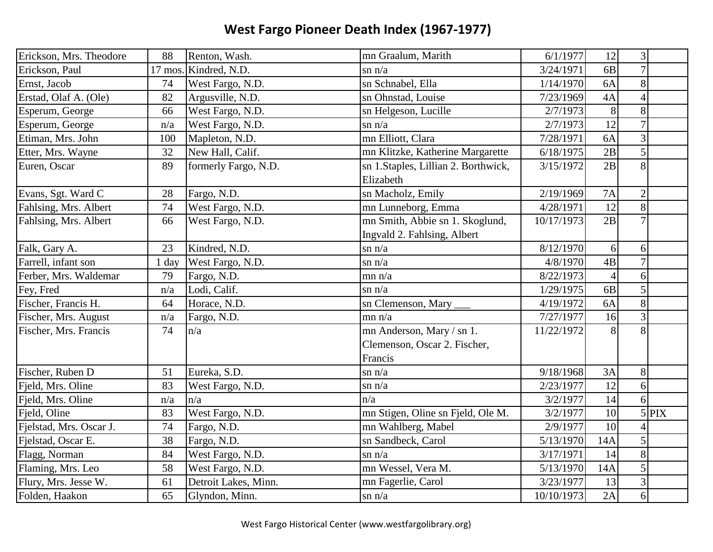| Erickson, Mrs. Theodore | 88  | Renton, Wash.         | mn Graalum, Marith                                                   | 6/1/1977   | 12             | $\mathfrak{Z}$           |         |
|-------------------------|-----|-----------------------|----------------------------------------------------------------------|------------|----------------|--------------------------|---------|
| Erickson, Paul          |     | 17 mos. Kindred, N.D. | $\sin n/a$                                                           | 3/24/1971  | 6 <sub>B</sub> | $\overline{7}$           |         |
| Ernst, Jacob            | 74  | West Fargo, N.D.      | sn Schnabel, Ella                                                    | 1/14/1970  | 6A             | 8                        |         |
| Erstad, Olaf A. (Ole)   | 82  | Argusville, N.D.      | sn Ohnstad, Louise                                                   | 7/23/1969  | 4A             | $\overline{\mathcal{A}}$ |         |
| Esperum, George         | 66  | West Fargo, N.D.      | sn Helgeson, Lucille                                                 | 2/7/1973   | $8\,$          | 8                        |         |
| Esperum, George         | n/a | West Fargo, N.D.      | $\sin n/a$                                                           | 2/7/1973   | 12             | $\overline{7}$           |         |
| Etiman, Mrs. John       | 100 | Mapleton, N.D.        | mn Elliott, Clara                                                    | 7/28/1971  | 6A             | 3                        |         |
| Etter, Mrs. Wayne       | 32  | New Hall, Calif.      | mn Klitzke, Katherine Margarette                                     | 6/18/1975  | 2B             | 5                        |         |
| Euren, Oscar            | 89  | formerly Fargo, N.D.  | sn 1. Staples, Lillian 2. Borthwick,<br>Elizabeth                    | 3/15/1972  | 2B             | 8                        |         |
| Evans, Sgt. Ward C      | 28  | Fargo, N.D.           | sn Macholz, Emily                                                    | 2/19/1969  | <b>7A</b>      | $\mathbf{2}$             |         |
| Fahlsing, Mrs. Albert   | 74  | West Fargo, N.D.      | mn Lunneborg, Emma                                                   | 4/28/1971  | 12             | 8                        |         |
| Fahlsing, Mrs. Albert   | 66  | West Fargo, N.D.      | mn Smith, Abbie sn 1. Skoglund,<br>Ingvald 2. Fahlsing, Albert       | 10/17/1973 | 2B             | $\overline{7}$           |         |
| Falk, Gary A.           | 23  | Kindred, N.D.         | $\sin n/a$                                                           | 8/12/1970  | 6              | 6                        |         |
| Farrell, infant son     | day | West Fargo, N.D.      | $\sin n/a$                                                           | 4/8/1970   | 4B             | $\overline{7}$           |         |
| Ferber, Mrs. Waldemar   | 79  | Fargo, N.D.           | mn n/a                                                               | 8/22/1973  | $\overline{4}$ | 6                        |         |
| Fey, Fred               | n/a | Lodi, Calif.          | $\sin n/a$                                                           | 1/29/1975  | 6 <sub>B</sub> | 5                        |         |
| Fischer, Francis H.     | 64  | Horace, N.D.          | sn Clemenson, Mary                                                   | 4/19/1972  | 6A             | 8                        |         |
| Fischer, Mrs. August    | n/a | Fargo, N.D.           | mn n/a                                                               | 7/27/1977  | 16             | 3                        |         |
| Fischer, Mrs. Francis   | 74  | n/a                   | mn Anderson, Mary / sn 1.<br>Clemenson, Oscar 2. Fischer,<br>Francis | 11/22/1972 | 8              | 8                        |         |
| Fischer, Ruben D        | 51  | Eureka, S.D.          | $\sin n/a$                                                           | 9/18/1968  | 3A             | 8                        |         |
| Fjeld, Mrs. Oline       | 83  | West Fargo, N.D.      | $\sin n/a$                                                           | 2/23/1977  | 12             | 6                        |         |
| Fjeld, Mrs. Oline       | n/a | n/a                   | n/a                                                                  | 3/2/1977   | 14             | 6                        |         |
| Fjeld, Oline            | 83  | West Fargo, N.D.      | mn Stigen, Oline sn Fjeld, Ole M.                                    | 3/2/1977   | 10             |                          | $5$ PIX |
| Fjelstad, Mrs. Oscar J. | 74  | Fargo, N.D.           | mn Wahlberg, Mabel                                                   | 2/9/1977   | 10             |                          |         |
| Fjelstad, Oscar E.      | 38  | Fargo, N.D.           | sn Sandbeck, Carol                                                   | 5/13/1970  | 14A            | 5                        |         |
| Flagg, Norman           | 84  | West Fargo, N.D.      | $\sin n/a$                                                           | 3/17/1971  | 14             | 8                        |         |
| Flaming, Mrs. Leo       | 58  | West Fargo, N.D.      | mn Wessel, Vera M.                                                   | 5/13/1970  | 14A            | 5                        |         |
| Flury, Mrs. Jesse W.    | 61  | Detroit Lakes, Minn.  | mn Fagerlie, Carol                                                   | 3/23/1977  | 13             | 3                        |         |
| Folden, Haakon          | 65  | Glyndon, Minn.        | $\sin n/a$                                                           | 10/10/1973 | 2A             | 6                        |         |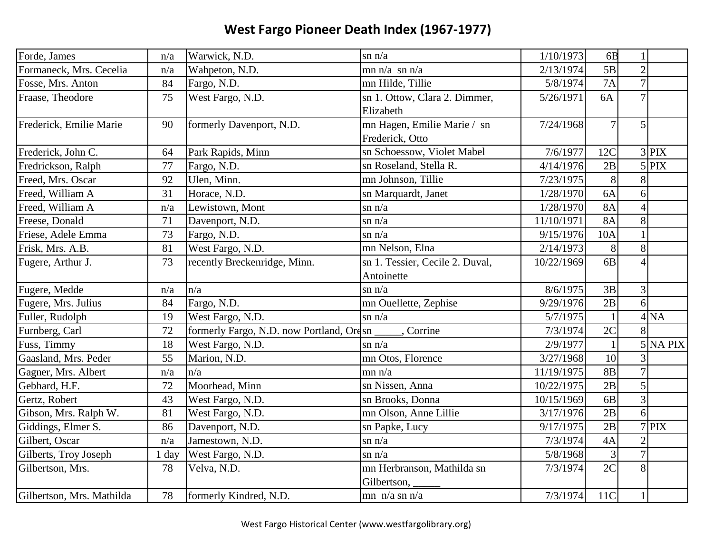| Forde, James              | n/a     | Warwick, N.D.                            | $\sin n/a$                                          | 1/10/1973  | 6 <sub>B</sub> |                |                 |
|---------------------------|---------|------------------------------------------|-----------------------------------------------------|------------|----------------|----------------|-----------------|
| Formaneck, Mrs. Cecelia   | n/a     | Wahpeton, N.D.                           | mn $n/a$ sn $n/a$                                   | 2/13/1974  | 5B             | $\overline{2}$ |                 |
| Fosse, Mrs. Anton         | 84      | Fargo, N.D.                              | mn Hilde, Tillie                                    | 5/8/1974   | 7A             | $\overline{7}$ |                 |
| Fraase, Theodore          | 75      | West Fargo, N.D.                         | sn 1. Ottow, Clara 2. Dimmer,                       | 5/26/1971  | 6A             | $\overline{7}$ |                 |
|                           |         |                                          | Elizabeth                                           |            |                |                |                 |
| Frederick, Emilie Marie   | 90      | formerly Davenport, N.D.                 | mn Hagen, Emilie Marie / sn                         | 7/24/1968  | $\overline{7}$ | 5              |                 |
|                           |         |                                          | Frederick, Otto                                     |            |                |                |                 |
| Frederick, John C.        | 64      | Park Rapids, Minn                        | sn Schoessow, Violet Mabel                          | 7/6/1977   | 12C            |                | $3$ PIX         |
| Fredrickson, Ralph        | 77      | Fargo, N.D.                              | sn Roseland, Stella R.                              | 4/14/1976  | 2B             |                | $5$ PIX         |
| Freed, Mrs. Oscar         | 92      | Ulen, Minn.                              | mn Johnson, Tillie                                  | 7/23/1975  | 8              | 8              |                 |
| Freed, William A          | 31      | Horace, N.D.                             | sn Marquardt, Janet                                 | 1/28/1970  | 6A             | 6              |                 |
| Freed, William A          | n/a     | Lewistown, Mont                          | $\sin n/a$                                          | 1/28/1970  | <b>8A</b>      | $\overline{4}$ |                 |
| Freese, Donald            | 71      | Davenport, N.D.                          | $\sin n/a$                                          | 11/10/1971 | <b>8A</b>      | 8              |                 |
| Friese, Adele Emma        | 73      | Fargo, N.D.                              | $\sin n/a$                                          | 9/15/1976  | 10A            | $\mathbf{1}$   |                 |
| Frisk, Mrs. A.B.          | 81      | West Fargo, N.D.                         | mn Nelson, Elna                                     | 2/14/1973  | $8\,$          | 8              |                 |
| Fugere, Arthur J.         | 73      | recently Breckenridge, Minn.             | $\overline{\text{sn}}$ 1. Tessier, Cecile 2. Duval, | 10/22/1969 | 6 <sub>B</sub> | $\overline{4}$ |                 |
|                           |         |                                          | Antoinette                                          |            |                |                |                 |
| Fugere, Medde             | n/a     | n/a                                      | $\sin n/a$                                          | 8/6/1975   | 3B             | 3              |                 |
| Fugere, Mrs. Julius       | 84      | Fargo, N.D.                              | mn Ouellette, Zephise                               | 9/29/1976  | 2B             | $\overline{6}$ |                 |
| Fuller, Rudolph           | 19      | West Fargo, N.D.                         | $\sin n/a$                                          | 5/7/1975   |                |                | 4 <sub>NA</sub> |
| Furnberg, Carl            | 72      | formerly Fargo, N.D. now Portland, Ordsn | Corrine                                             | 7/3/1974   | 2C             | 8              |                 |
| Fuss, Timmy               | 18      | West Fargo, N.D.                         | $\sin n/a$                                          | 2/9/1977   |                |                | $5$ NA PIX      |
| Gaasland, Mrs. Peder      | 55      | Marion, N.D.                             | mn Otos, Florence                                   | 3/27/1968  | 10             | 3              |                 |
| Gagner, Mrs. Albert       | n/a     | n/a                                      | mn n/a                                              | 11/19/1975 | <b>8B</b>      | $\overline{7}$ |                 |
| Gebhard, H.F.             | 72      | Moorhead, Minn                           | sn Nissen, Anna                                     | 10/22/1975 | 2B             | 5              |                 |
| Gertz, Robert             | 43      | West Fargo, N.D.                         | sn Brooks, Donna                                    | 10/15/1969 | 6B             | 3              |                 |
| Gibson, Mrs. Ralph W.     | 81      | West Fargo, N.D.                         | mn Olson, Anne Lillie                               | 3/17/1976  | 2B             | 6              |                 |
| Giddings, Elmer S.        | 86      | Davenport, N.D.                          | sn Papke, Lucy                                      | 9/17/1975  | 2B             |                | $7$ PIX         |
| Gilbert, Oscar            | n/a     | Jamestown, N.D.                          | $\sin n/a$                                          | 7/3/1974   | 4A             | $\overline{2}$ |                 |
| Gilberts, Troy Joseph     | $1$ day | West Fargo, N.D.                         | $\sin n/a$                                          | 5/8/1968   | 3              | $\overline{7}$ |                 |
| Gilbertson, Mrs.          | 78      | Velva, N.D.                              | mn Herbranson, Mathilda sn<br>Gilbertson,           | 7/3/1974   | 2C             | 8              |                 |
| Gilbertson, Mrs. Mathilda | 78      | formerly Kindred, N.D.                   | mn $n/a$ sn $n/a$                                   | 7/3/1974   | 11C            | $\mathbf{1}$   |                 |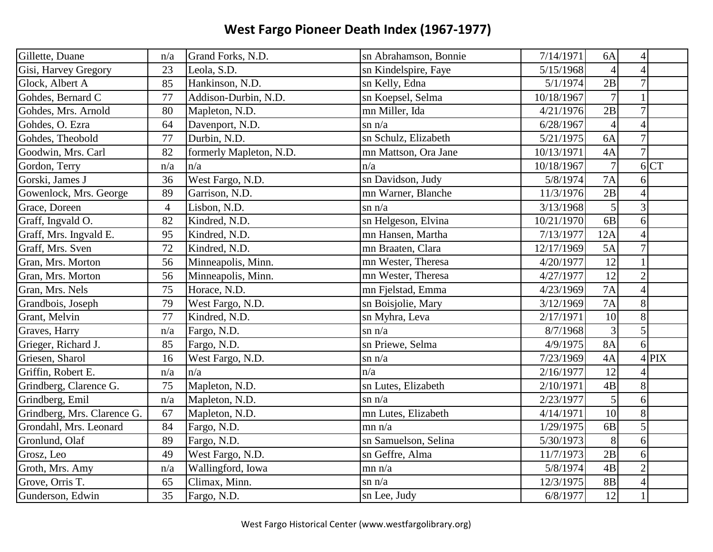| Gillette, Duane             | n/a | Grand Forks, N.D.       | sn Abrahamson, Bonnie | 7/14/1971  | 6A             | $\overline{4}$ |           |
|-----------------------------|-----|-------------------------|-----------------------|------------|----------------|----------------|-----------|
| Gisi, Harvey Gregory        | 23  | Leola, S.D.             | sn Kindelspire, Faye  | 5/15/1968  | $\overline{4}$ | $\overline{4}$ |           |
| Glock, Albert A             | 85  | Hankinson, N.D.         | sn Kelly, Edna        | 5/1/1974   | 2B             | $\overline{7}$ |           |
| Gohdes, Bernard C           | 77  | Addison-Durbin, N.D.    | sn Koepsel, Selma     | 10/18/1967 | $\overline{7}$ |                |           |
| Gohdes, Mrs. Arnold         | 80  | Mapleton, N.D.          | mn Miller, Ida        | 4/21/1976  | 2B             | $\overline{7}$ |           |
| Gohdes, O. Ezra             | 64  | Davenport, N.D.         | $\sin n/a$            | 6/28/1967  | $\overline{4}$ | $\overline{4}$ |           |
| Gohdes, Theobold            | 77  | Durbin, N.D.            | sn Schulz, Elizabeth  | 5/21/1975  | 6A             | $\overline{7}$ |           |
| Goodwin, Mrs. Carl          | 82  | formerly Mapleton, N.D. | mn Mattson, Ora Jane  | 10/13/1971 | 4A             | $\overline{7}$ |           |
| Gordon, Terry               | n/a | n/a                     | n/a                   | 10/18/1967 | $\overline{7}$ | 6              | <b>CT</b> |
| Gorski, James J             | 36  | West Fargo, N.D.        | sn Davidson, Judy     | 5/8/1974   | 7A             | 6              |           |
| Gowenlock, Mrs. George      | 89  | Garrison, N.D.          | mn Warner, Blanche    | 11/3/1976  | 2B             | $\overline{4}$ |           |
| Grace, Doreen               | 4   | Lisbon, N.D.            | $\sin n/a$            | 3/13/1968  | 5              | 3              |           |
| Graff, Ingvald O.           | 82  | Kindred, N.D.           | sn Helgeson, Elvina   | 10/21/1970 | 6 <sub>B</sub> | 6              |           |
| Graff, Mrs. Ingvald E.      | 95  | Kindred, N.D.           | mn Hansen, Martha     | 7/13/1977  | 12A            | $\overline{4}$ |           |
| Graff, Mrs. Sven            | 72  | Kindred, N.D.           | mn Braaten, Clara     | 12/17/1969 | 5A             | $\overline{7}$ |           |
| Gran, Mrs. Morton           | 56  | Minneapolis, Minn.      | mn Wester, Theresa    | 4/20/1977  | 12             |                |           |
| Gran, Mrs. Morton           | 56  | Minneapolis, Minn.      | mn Wester, Theresa    | 4/27/1977  | 12             | $\overline{2}$ |           |
| Gran, Mrs. Nels             | 75  | Horace, N.D.            | mn Fjelstad, Emma     | 4/23/1969  | 7A             | $\overline{4}$ |           |
| Grandbois, Joseph           | 79  | West Fargo, N.D.        | sn Boisjolie, Mary    | 3/12/1969  | 7A             | 8              |           |
| Grant, Melvin               | 77  | Kindred, N.D.           | sn Myhra, Leva        | 2/17/1971  | 10             | 8              |           |
| Graves, Harry               | n/a | Fargo, N.D.             | $\sin n/a$            | 8/7/1968   | 3              | 5              |           |
| Grieger, Richard J.         | 85  | Fargo, N.D.             | sn Priewe, Selma      | 4/9/1975   | <b>8A</b>      | 6              |           |
| Griesen, Sharol             | 16  | West Fargo, N.D.        | $\sin n/a$            | 7/23/1969  | 4A             |                | $4$ PIX   |
| Griffin, Robert E.          | n/a | n/a                     | n/a                   | 2/16/1977  | 12             | $\Delta$       |           |
| Grindberg, Clarence G.      | 75  | Mapleton, N.D.          | sn Lutes, Elizabeth   | 2/10/1971  | 4B             | 8              |           |
| Grindberg, Emil             | n/a | Mapleton, N.D.          | $\sin n/a$            | 2/23/1977  | 5              | 6              |           |
| Grindberg, Mrs. Clarence G. | 67  | Mapleton, N.D.          | mn Lutes, Elizabeth   | 4/14/1971  | 10             | 8              |           |
| Grondahl, Mrs. Leonard      | 84  | Fargo, N.D.             | mn n/a                | 1/29/1975  | 6 <b>B</b>     | 5              |           |
| Gronlund, Olaf              | 89  | Fargo, N.D.             | sn Samuelson, Selina  | 5/30/1973  | 8              | 6              |           |
| Grosz, Leo                  | 49  | West Fargo, N.D.        | sn Geffre, Alma       | 11/7/1973  | 2B             | 6              |           |
| Groth, Mrs. Amy             | n/a | Wallingford, Iowa       | mn n/a                | 5/8/1974   | 4B             | $\overline{2}$ |           |
| Grove, Orris T.             | 65  | Climax, Minn.           | $\sin n/a$            | 12/3/1975  | 8B             | $\overline{4}$ |           |
| Gunderson, Edwin            | 35  | Fargo, N.D.             | sn Lee, Judy          | 6/8/1977   | 12             |                |           |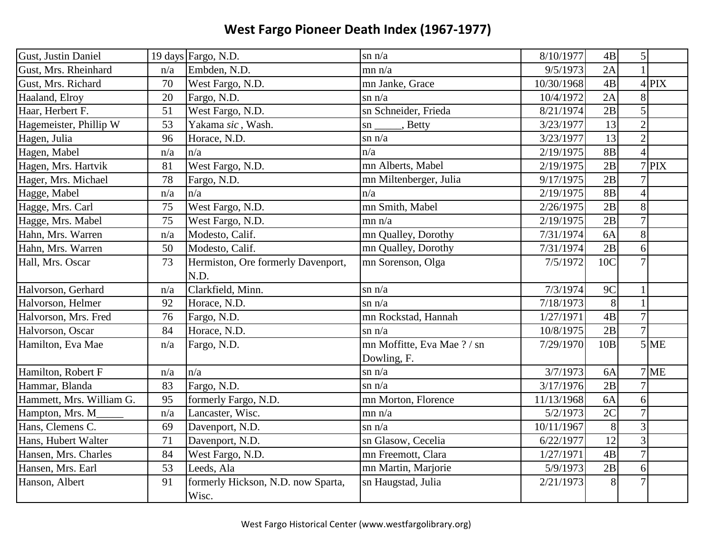| Gust, Justin Daniel      |     | 19 days Fargo, N.D.                | $\sin n/a$                  | 8/10/1977  | 4B              | 5 <sup>1</sup>           |         |
|--------------------------|-----|------------------------------------|-----------------------------|------------|-----------------|--------------------------|---------|
| Gust, Mrs. Rheinhard     | n/a | Embden, N.D.                       | mn n/a                      | 9/5/1973   | 2A              |                          |         |
| Gust, Mrs. Richard       | 70  | West Fargo, N.D.                   | mn Janke, Grace             | 10/30/1968 | 4B              |                          | $4$ PIX |
| Haaland, Elroy           | 20  | Fargo, N.D.                        | $\sin n/a$                  | 10/4/1972  | 2A              | 8                        |         |
| Haar, Herbert F.         | 51  | West Fargo, N.D.                   | sn Schneider, Frieda        | 8/21/1974  | 2B              | 5                        |         |
| Hagemeister, Phillip W   | 53  | Yakama sic, Wash.                  | $\text{sn}$ ______, Betty   | 3/23/1977  | 13              | $\overline{2}$           |         |
| Hagen, Julia             | 96  | Horace, N.D.                       | $\sin n/a$                  | 3/23/1977  | 13              | $\overline{2}$           |         |
| Hagen, Mabel             | n/a | n/a                                | n/a                         | 2/19/1975  | <b>8B</b>       | $\overline{A}$           |         |
| Hagen, Mrs. Hartvik      | 81  | West Fargo, N.D.                   | mn Alberts, Mabel           | 2/19/1975  | 2B              |                          | $7$ PIX |
| Hager, Mrs. Michael      | 78  | Fargo, N.D.                        | mn Miltenberger, Julia      | 9/17/1975  | 2B              | $\overline{7}$           |         |
| Hagge, Mabel             | n/a | n/a                                | n/a                         | 2/19/1975  | <b>8B</b>       | $\overline{\mathcal{L}}$ |         |
| Hagge, Mrs. Carl         | 75  | West Fargo, N.D.                   | mn Smith, Mabel             | 2/26/1975  | 2B              | 8                        |         |
| Hagge, Mrs. Mabel        | 75  | West Fargo, N.D.                   | mn n/a                      | 2/19/1975  | 2B              | $\overline{7}$           |         |
| Hahn, Mrs. Warren        | n/a | Modesto, Calif.                    | mn Qualley, Dorothy         | 7/31/1974  | 6A              | 8                        |         |
| Hahn, Mrs. Warren        | 50  | Modesto, Calif.                    | mn Qualley, Dorothy         | 7/31/1974  | 2B              | 6                        |         |
| Hall, Mrs. Oscar         | 73  | Hermiston, Ore formerly Davenport, | mn Sorenson, Olga           | 7/5/1972   | 10C             |                          |         |
|                          |     | N.D.                               |                             |            |                 |                          |         |
| Halvorson, Gerhard       | n/a | Clarkfield, Minn.                  | $\sin n/a$                  | 7/3/1974   | $\overline{9C}$ |                          |         |
| Halvorson, Helmer        | 92  | Horace, N.D.                       | $\sin n/a$                  | 7/18/1973  | 8               |                          |         |
| Halvorson, Mrs. Fred     | 76  | Fargo, N.D.                        | mn Rockstad, Hannah         | 1/27/1971  | 4B              | $\overline{7}$           |         |
| Halvorson, Oscar         | 84  | Horace, N.D.                       | $\sin n/a$                  | 10/8/1975  | 2B              | $\overline{7}$           |         |
| Hamilton, Eva Mae        | n/a | Fargo, N.D.                        | mn Moffitte, Eva Mae ? / sn | 7/29/1970  | 10B             |                          | $5$ ME  |
|                          |     |                                    | Dowling, F.                 |            |                 |                          |         |
| Hamilton, Robert F       | n/a | n/a                                | $\sin n/a$                  | 3/7/1973   | 6A              |                          | $7$ ME  |
| Hammar, Blanda           | 83  | Fargo, N.D.                        | $\sin n/a$                  | 3/17/1976  | 2B              | $\overline{7}$           |         |
| Hammett, Mrs. William G. | 95  | formerly Fargo, N.D.               | mn Morton, Florence         | 11/13/1968 | 6A              | 6                        |         |
| Hampton, Mrs. M          | n/a | Lancaster, Wisc.                   | mn n/a                      | 5/2/1973   | $\overline{2C}$ | $\overline{7}$           |         |
| Hans, Clemens C.         | 69  | Davenport, N.D.                    | $\sin n/a$                  | 10/11/1967 | 8               | $\overline{3}$           |         |
| Hans, Hubert Walter      | 71  | Davenport, N.D.                    | sn Glasow, Cecelia          | 6/22/1977  | 12              | 3                        |         |
| Hansen, Mrs. Charles     | 84  | West Fargo, N.D.                   | mn Freemott, Clara          | 1/27/1971  | 4B              | $\overline{7}$           |         |
| Hansen, Mrs. Earl        | 53  | Leeds, Ala                         | mn Martin, Marjorie         | 5/9/1973   | 2B              | 6                        |         |
| Hanson, Albert           | 91  | formerly Hickson, N.D. now Sparta, | sn Haugstad, Julia          | 2/21/1973  | 8               |                          |         |
|                          |     | Wisc.                              |                             |            |                 |                          |         |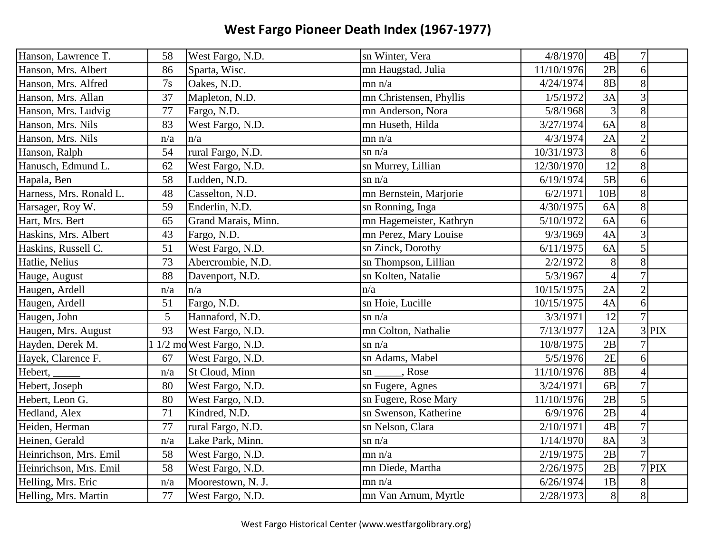| Hanson, Lawrence T.     | 58     | West Fargo, N.D.          | sn Winter, Vera         | 4/8/1970   | $4\mathrm{B}$   | $\overline{7}$ |         |
|-------------------------|--------|---------------------------|-------------------------|------------|-----------------|----------------|---------|
| Hanson, Mrs. Albert     | 86     | Sparta, Wisc.             | mn Haugstad, Julia      | 11/10/1976 | 2B              | 6              |         |
| Hanson, Mrs. Alfred     | 7s     | Oakes, N.D.               | mn n/a                  | 4/24/1974  | <b>8B</b>       | 8              |         |
| Hanson, Mrs. Allan      | 37     | Mapleton, N.D.            | mn Christensen, Phyllis | 1/5/1972   | 3A              | 3              |         |
| Hanson, Mrs. Ludvig     | $77\,$ | Fargo, N.D.               | mn Anderson, Nora       | 5/8/1968   | 3               | 8              |         |
| Hanson, Mrs. Nils       | 83     | West Fargo, N.D.          | mn Huseth, Hilda        | 3/27/1974  | 6A              | 8              |         |
| Hanson, Mrs. Nils       | n/a    | n/a                       | mn n/a                  | 4/3/1974   | 2A              | $\overline{2}$ |         |
| Hanson, Ralph           | 54     | rural Fargo, N.D.         | $\sin n/a$              | 10/31/1973 | 8               | 6              |         |
| Hanusch, Edmund L.      | 62     | West Fargo, N.D.          | sn Murrey, Lillian      | 12/30/1970 | 12              | 8              |         |
| Hapala, Ben             | 58     | Ludden, N.D.              | $\sin n/a$              | 6/19/1974  | $\overline{5B}$ | 6              |         |
| Harness, Mrs. Ronald L. | 48     | Casselton, N.D.           | mn Bernstein, Marjorie  | 6/2/1971   | 10B             | 8              |         |
| Harsager, Roy W.        | 59     | Enderlin, N.D.            | sn Ronning, Inga        | 4/30/1975  | 6A              | 8              |         |
| Hart, Mrs. Bert         | 65     | Grand Marais, Minn.       | mn Hagemeister, Kathryn | 5/10/1972  | 6A              | 6              |         |
| Haskins, Mrs. Albert    | 43     | Fargo, N.D.               | mn Perez, Mary Louise   | 9/3/1969   | 4A              | 3              |         |
| Haskins, Russell C.     | 51     | West Fargo, N.D.          | sn Zinck, Dorothy       | 6/11/1975  | 6A              | 5              |         |
| Hatlie, Nelius          | 73     | Abercrombie, N.D.         | sn Thompson, Lillian    | 2/2/1972   | 8               | 8              |         |
| Hauge, August           | 88     | Davenport, N.D.           | sn Kolten, Natalie      | 5/3/1967   | $\overline{4}$  | $\overline{7}$ |         |
| Haugen, Ardell          | n/a    | ln/a                      | n/a                     | 10/15/1975 | 2A              | $\overline{2}$ |         |
| Haugen, Ardell          | 51     | Fargo, N.D.               | sn Hoie, Lucille        | 10/15/1975 | 4A              | 6              |         |
| Haugen, John            | 5      | Hannaford, N.D.           | $\sin n/a$              | 3/3/1971   | 12              | $\overline{7}$ |         |
| Haugen, Mrs. August     | 93     | West Fargo, N.D.          | mn Colton, Nathalie     | 7/13/1977  | 12A             |                | $3$ PIX |
| Hayden, Derek M.        |        | $1/2$ mo West Fargo, N.D. | $\sin n/a$              | 10/8/1975  | 2B              |                |         |
| Hayek, Clarence F.      | 67     | West Fargo, N.D.          | sn Adams, Mabel         | 5/5/1976   | 2E              | 6              |         |
| Hebert,                 | n/a    | St Cloud, Minn            | , Rose<br>sn            | 11/10/1976 | <b>8B</b>       | $\overline{4}$ |         |
| Hebert, Joseph          | 80     | West Fargo, N.D.          | sn Fugere, Agnes        | 3/24/1971  | 6 <sub>B</sub>  | $\overline{7}$ |         |
| Hebert, Leon G.         | 80     | West Fargo, N.D.          | sn Fugere, Rose Mary    | 11/10/1976 | 2B              | 5              |         |
| Hedland, Alex           | 71     | Kindred, N.D.             | sn Swenson, Katherine   | 6/9/1976   | 2B              | $\overline{4}$ |         |
| Heiden, Herman          | 77     | rural Fargo, N.D.         | sn Nelson, Clara        | 2/10/1971  | 4B              | $\overline{7}$ |         |
| Heinen, Gerald          | n/a    | Lake Park, Minn.          | $\sin n/a$              | 1/14/1970  | <b>8A</b>       | 3              |         |
| Heinrichson, Mrs. Emil  | 58     | West Fargo, N.D.          | mn n/a                  | 2/19/1975  | 2B              | $\overline{7}$ |         |
| Heinrichson, Mrs. Emil  | 58     | West Fargo, N.D.          | mn Diede, Martha        | 2/26/1975  | 2B              |                | $7$ PIX |
| Helling, Mrs. Eric      | n/a    | Moorestown, N. J.         | mn n/a                  | 6/26/1974  | 1B              | 8              |         |
| Helling, Mrs. Martin    | 77     | West Fargo, N.D.          | mn Van Arnum, Myrtle    | 2/28/1973  | 8               | 8              |         |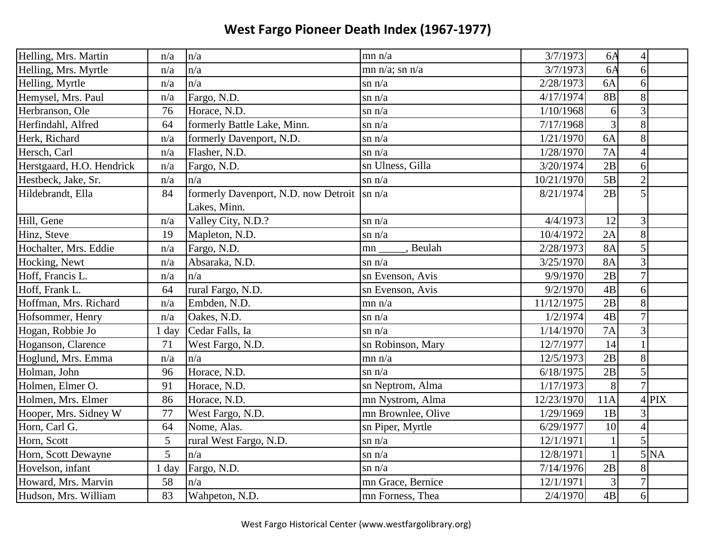| Helling, Mrs. Martin      | n/a     | n/a                                         | mn n/a              | 3/7/1973   | 6A           | $\overline{4}$ |                      |
|---------------------------|---------|---------------------------------------------|---------------------|------------|--------------|----------------|----------------------|
| Helling, Mrs. Myrtle      | n/a     | n/a                                         | $mn n/a$ ; sn $n/a$ | 3/7/1973   | 6A           | 6              |                      |
| Helling, Myrtle           | n/a     | n/a                                         | $\sin n/a$          | 2/28/1973  | 6A           | 6              |                      |
| Hemysel, Mrs. Paul        | n/a     | Fargo, N.D.                                 | $\sin n/a$          | 4/17/1974  | <b>8B</b>    | 8              |                      |
| Herbranson, Ole           | 76      | Horace, N.D.                                | $\sin n/a$          | 1/10/1968  | 6            | $\overline{3}$ |                      |
| Herfindahl, Alfred        | 64      | formerly Battle Lake, Minn.                 | $\sin n/a$          | 7/17/1968  | 3            | 8              |                      |
| Herk, Richard             | n/a     | formerly Davenport, N.D.                    | $\sin n/a$          | 1/21/1970  | 6A           | 8              |                      |
| Hersch, Carl              | n/a     | Flasher, N.D.                               | $\sin n/a$          | 1/28/1970  | 7A           | $\overline{A}$ |                      |
| Herstgaard, H.O. Hendrick | n/a     | Fargo, N.D.                                 | sn Ulness, Gilla    | 3/20/1974  | 2B           | 6              |                      |
| Hestbeck, Jake, Sr.       | n/a     | $\ln/a$                                     | $\sin n/a$          | 10/21/1970 | 5B           | $\overline{2}$ |                      |
| Hildebrandt, Ella         | 84      | formerly Davenport, N.D. now Detroit Sn n/a |                     | 8/21/1974  | 2B           | 5              |                      |
|                           |         | Lakes, Minn.                                |                     |            |              |                |                      |
| Hill, Gene                | n/a     | Valley City, N.D.?                          | $\sin n/a$          | 4/4/1973   | 12           | 3              |                      |
| Hinz, Steve               | 19      | Mapleton, N.D.                              | $\sin n/a$          | 10/4/1972  | 2A           | 8              |                      |
| Hochalter, Mrs. Eddie     | n/a     | Fargo, N.D.                                 | , Beulah<br>mn      | 2/28/1973  | 8A           | 5              |                      |
| Hocking, Newt             | n/a     | Absaraka, N.D.                              | $\sin n/a$          | 3/25/1970  | <b>8A</b>    | 3              |                      |
| Hoff, Francis L.          | n/a     | n/a                                         | sn Evenson, Avis    | 9/9/1970   | 2B           | $\overline{7}$ |                      |
| Hoff, Frank L.            | 64      | rural Fargo, N.D.                           | sn Evenson, Avis    | 9/2/1970   | 4B           | 6              |                      |
| Hoffman, Mrs. Richard     | n/a     | Embden, N.D.                                | mn n/a              | 11/12/1975 | 2B           | 8              |                      |
| Hofsommer, Henry          | n/a     | Oakes, N.D.                                 | $\sin n/a$          | 1/2/1974   | 4B           | $\overline{7}$ |                      |
| Hogan, Robbie Jo          | $1$ day | Cedar Falls, Ia                             | $\sin n/a$          | 1/14/1970  | 7A           | $\mathfrak{Z}$ |                      |
| Hoganson, Clarence        | 71      | West Fargo, N.D.                            | sn Robinson, Mary   | 12/7/1977  | 14           |                |                      |
| Hoglund, Mrs. Emma        | n/a     | n/a                                         | mn n/a              | 12/5/1973  | 2B           | 8              |                      |
| Holman, John              | 96      | Horace, N.D.                                | $\sin n/a$          | 6/18/1975  | 2B           | 5              |                      |
| Holmen, Elmer O.          | 91      | Horace, N.D.                                | sn Neptrom, Alma    | 1/17/1973  | 8            | $\overline{7}$ |                      |
| Holmen, Mrs. Elmer        | 86      | Horace, N.D.                                | mn Nystrom, Alma    | 12/23/1970 | 11A          |                | $4$ PIX              |
| Hooper, Mrs. Sidney W     | 77      | West Fargo, N.D.                            | mn Brownlee, Olive  | 1/29/1969  | 1B           | 3              |                      |
| Horn, Carl G.             | 64      | Nome, Alas.                                 | sn Piper, Myrtle    | 6/29/1977  | 10           | $\overline{4}$ |                      |
| Horn, Scott               | 5       | rural West Fargo, N.D.                      | $\sin n/a$          | 12/1/1971  | $\mathbf{1}$ | 5              |                      |
| Horn, Scott Dewayne       | 5       | n/a                                         | $\sin n/a$          | 12/8/1971  | $\mathbf{1}$ |                | $5\overline{\rm NA}$ |
| Hovelson, infant          | 1 day   | Fargo, N.D.                                 | $\sin n/a$          | 7/14/1976  | 2B           | 8              |                      |
| Howard, Mrs. Marvin       | 58      | n/a                                         | mn Grace, Bernice   | 12/1/1971  | 3            | $\overline{7}$ |                      |
| Hudson, Mrs. William      | 83      | Wahpeton, N.D.                              | mn Forness, Thea    | 2/4/1970   | 4B           | 6              |                      |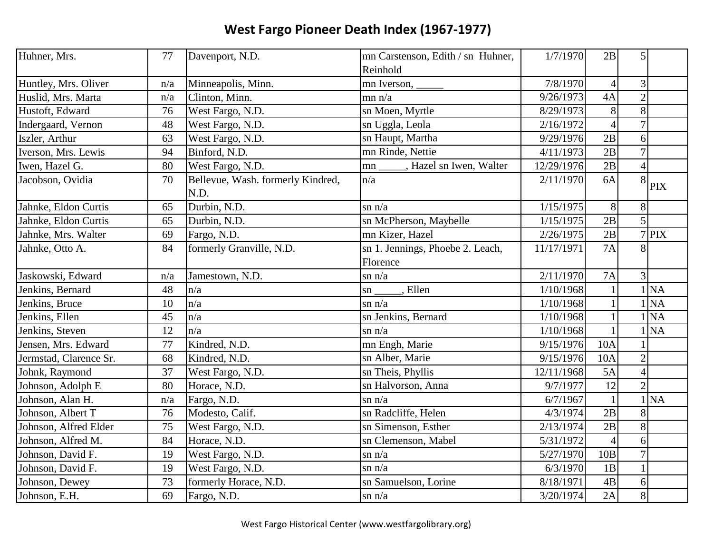| Huhner, Mrs.           | 77  | Davenport, N.D.                           | mn Carstenson, Edith / sn Huhner,<br>Reinhold | 1/7/1970   | 2B              | 5                  |
|------------------------|-----|-------------------------------------------|-----------------------------------------------|------------|-----------------|--------------------|
| Huntley, Mrs. Oliver   | n/a | Minneapolis, Minn.                        |                                               | 7/8/1970   | $\overline{4}$  | 3                  |
| Huslid, Mrs. Marta     | n/a | Clinton, Minn.                            | mn n/a                                        | 9/26/1973  | 4A              | $\overline{c}$     |
| Hustoft, Edward        | 76  | West Fargo, N.D.                          | sn Moen, Myrtle                               | 8/29/1973  | 8               | 8                  |
| Indergaard, Vernon     | 48  | West Fargo, N.D.                          | sn Uggla, Leola                               | 2/16/1972  | $\vert 4 \vert$ | $\overline{7}$     |
| Iszler, Arthur         | 63  | West Fargo, N.D.                          | sn Haupt, Martha                              | 9/29/1976  | 2B              | 6                  |
| Iverson, Mrs. Lewis    | 94  | Binford, N.D.                             | mn Rinde, Nettie                              | 4/11/1973  | 2B              | $\overline{7}$     |
| Iwen, Hazel G.         | 80  | West Fargo, N.D.                          | , Hazel sn Iwen, Walter<br>mn                 | 12/29/1976 | 2B              | $\overline{4}$     |
| Jacobson, Ovidia       | 70  | Bellevue, Wash. formerly Kindred,<br>N.D. | n/a                                           | 2/11/1970  | 6A              | 8<br><b>PIX</b>    |
| Jahnke, Eldon Curtis   | 65  | Durbin, N.D.                              | $\sin n/a$                                    | 1/15/1975  | 8               | 8                  |
| Jahnke, Eldon Curtis   | 65  | Durbin, N.D.                              | sn McPherson, Maybelle                        | 1/15/1975  | 2B              | 5                  |
| Jahnke, Mrs. Walter    | 69  | Fargo, N.D.                               | mn Kizer, Hazel                               | 2/26/1975  | 2B              | $\overline{7}$ PIX |
| Jahnke, Otto A.        | 84  | formerly Granville, N.D.                  | sn 1. Jennings, Phoebe 2. Leach,<br>Florence  | 11/17/1971 | 7A              | 8                  |
| Jaskowski, Edward      | n/a | Jamestown, N.D.                           | $\sin n/a$                                    | 2/11/1970  | 7A              | $\overline{3}$     |
| Jenkins, Bernard       | 48  | n/a                                       | $\overline{E}$ . Ellen<br>$\mathbf{sn}$       | 1/10/1968  | $\mathbf{1}$    | 1 NA               |
| Jenkins, Bruce         | 10  | n/a                                       | $\sin n/a$                                    | 1/10/1968  |                 | 1 <sub>NA</sub>    |
| Jenkins, Ellen         | 45  | n/a                                       | sn Jenkins, Bernard                           | 1/10/1968  |                 | <b>NA</b>          |
| Jenkins, Steven        | 12  | n/a                                       | $\sin n/a$                                    | 1/10/1968  |                 | <b>NA</b>          |
| Jensen, Mrs. Edward    | 77  | Kindred, N.D.                             | mn Engh, Marie                                | 9/15/1976  | 10A             |                    |
| Jermstad, Clarence Sr. | 68  | Kindred, N.D.                             | sn Alber, Marie                               | 9/15/1976  | 10A             | $\overline{2}$     |
| Johnk, Raymond         | 37  | West Fargo, N.D.                          | sn Theis, Phyllis                             | 12/11/1968 | 5A              | $\overline{4}$     |
| Johnson, Adolph E      | 80  | Horace, N.D.                              | sn Halvorson, Anna                            | 9/7/1977   | 12              | $\overline{2}$     |
| Johnson, Alan H.       | n/a | Fargo, N.D.                               | $\sin n/a$                                    | 6/7/1967   | $\mathbf{1}$    | 1 <sub>NA</sub>    |
| Johnson, Albert T      | 76  | Modesto, Calif.                           | sn Radcliffe, Helen                           | 4/3/1974   | 2B              | 8                  |
| Johnson, Alfred Elder  | 75  | West Fargo, N.D.                          | sn Simenson, Esther                           | 2/13/1974  | 2B              | 8                  |
| Johnson, Alfred M.     | 84  | Horace, N.D.                              | sn Clemenson, Mabel                           | 5/31/1972  | $\overline{4}$  | 6                  |
| Johnson, David F.      | 19  | West Fargo, N.D.                          | $\sin n/a$                                    | 5/27/1970  | 10B             | $\overline{7}$     |
| Johnson, David F.      | 19  | West Fargo, N.D.                          | $\sin n/a$                                    | 6/3/1970   | 1B              | $\mathbf{1}$       |
| Johnson, Dewey         | 73  | formerly Horace, N.D.                     | sn Samuelson, Lorine                          | 8/18/1971  | 4B              | 6                  |
| Johnson, E.H.          | 69  | Fargo, N.D.                               | $\sin n/a$                                    | 3/20/1974  | 2A              | 8                  |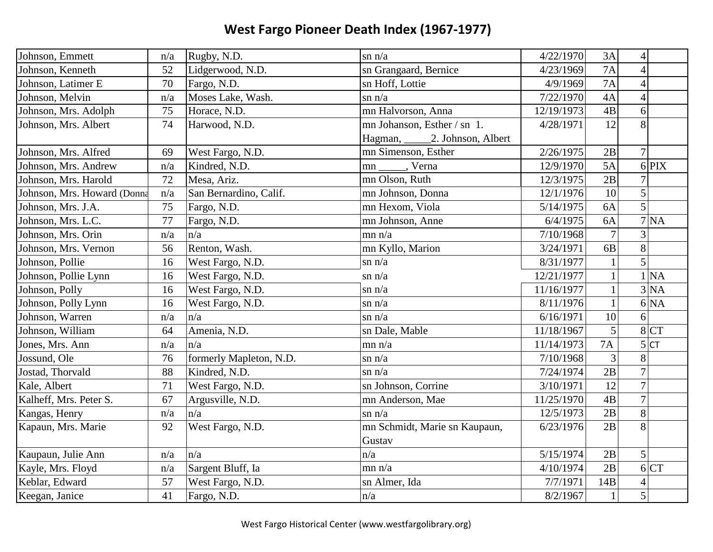| Johnson, Emmett             | n/a | Rugby, N.D.             | $\sin n/a$                    | 4/22/1970  | 3A             | $\overline{4}$ |           |
|-----------------------------|-----|-------------------------|-------------------------------|------------|----------------|----------------|-----------|
| Johnson, Kenneth            | 52  | Lidgerwood, N.D.        | sn Grangaard, Bernice         | 4/23/1969  | 7A             | $\overline{4}$ |           |
| Johnson, Latimer E          | 70  | Fargo, N.D.             | sn Hoff, Lottie               | 4/9/1969   | <b>7A</b>      | $\overline{4}$ |           |
| Johnson, Melvin             | n/a | Moses Lake, Wash.       | $\sin n/a$                    | 7/22/1970  | 4A             | $\overline{4}$ |           |
| Johnson, Mrs. Adolph        | 75  | Horace, N.D.            | mn Halvorson, Anna            | 12/19/1973 | 4B             | 6              |           |
| Johnson, Mrs. Albert        | 74  | Harwood, N.D.           | mn Johanson, Esther / sn 1.   | 4/28/1971  | 12             | 8              |           |
|                             |     |                         | Hagman, 2. Johnson, Albert    |            |                |                |           |
| Johnson, Mrs. Alfred        | 69  | West Fargo, N.D.        | mn Simenson, Esther           | 2/26/1975  | 2B             | $\overline{7}$ |           |
| Johnson, Mrs. Andrew        | n/a | Kindred, N.D.           | mn ______, Verna              | 12/9/1970  | 5A             |                | $6$ PIX   |
| Johnson, Mrs. Harold        | 72  | Mesa, Ariz.             | mn Olson, Ruth                | 12/3/1975  | 2B             | $\overline{7}$ |           |
| Johnson, Mrs. Howard (Donna | n/a | San Bernardino, Calif.  | mn Johnson, Donna             | 12/1/1976  | 10             | 5              |           |
| Johnson, Mrs. J.A.          | 75  | Fargo, N.D.             | mn Hexom, Viola               | 5/14/1975  | 6A             | 5              |           |
| Johnson, Mrs. L.C.          | 77  | Fargo, N.D.             | mn Johnson, Anne              | 6/4/1975   | 6A             |                | 7 NA      |
| Johnson, Mrs. Orin          | n/a | n/a                     | mn n/a                        | 7/10/1968  | $\overline{7}$ | $\overline{3}$ |           |
| Johnson, Mrs. Vernon        | 56  | Renton, Wash.           | mn Kyllo, Marion              | 3/24/1971  | 6 <b>B</b>     | 8              |           |
| Johnson, Pollie             | 16  | West Fargo, N.D.        | $\sin n/a$                    | 8/31/1977  | $\mathbf{1}$   | 5              |           |
| Johnson, Pollie Lynn        | 16  | West Fargo, N.D.        | $\sin n/a$                    | 12/21/1977 | $\mathbf{1}$   | $\mathbf{1}$   | <b>NA</b> |
| Johnson, Polly              | 16  | West Fargo, N.D.        | $\sin n/a$                    | 11/16/1977 | $\mathbf{1}$   |                | 3 NA      |
| Johnson, Polly Lynn         | 16  | West Fargo, N.D.        | $\sin n/a$                    | 8/11/1976  | $\mathbf{1}$   |                | 6 NA      |
| Johnson, Warren             | n/a | n/a                     | $\sin n/a$                    | 6/16/1971  | 10             | 6              |           |
| Johnson, William            | 64  | Amenia, N.D.            | sn Dale, Mable                | 11/18/1967 | 5              | 8              | <b>CT</b> |
| Jones, Mrs. Ann             | n/a | $\ln/a$                 | mn n/a                        | 11/14/1973 | <b>7A</b>      |                | 5 CT      |
| Jossund, Ole                | 76  | formerly Mapleton, N.D. | $\sin n/a$                    | 7/10/1968  | $\mathfrak{Z}$ | 8              |           |
| Jostad, Thorvald            | 88  | Kindred, N.D.           | $\sin n/a$                    | 7/24/1974  | 2B             | $\overline{7}$ |           |
| Kale, Albert                | 71  | West Fargo, N.D.        | sn Johnson, Corrine           | 3/10/1971  | 12             | $\overline{7}$ |           |
| Kalheff, Mrs. Peter S.      | 67  | Argusville, N.D.        | mn Anderson, Mae              | 11/25/1970 | 4B             | $\overline{7}$ |           |
| Kangas, Henry               | n/a | $\ln/a$                 | $\sin n/a$                    | 12/5/1973  | 2B             | 8              |           |
| Kapaun, Mrs. Marie          | 92  | West Fargo, N.D.        | mn Schmidt, Marie sn Kaupaun, | 6/23/1976  | 2B             | 8              |           |
|                             |     |                         | Gustav                        |            |                |                |           |
| Kaupaun, Julie Ann          | n/a | n/a                     | n/a                           | 5/15/1974  | 2B             | 5              |           |
| Kayle, Mrs. Floyd           | n/a | Sargent Bluff, Ia       | mn n/a                        | 4/10/1974  | 2B             |                | 6 CT      |
| Keblar, Edward              | 57  | West Fargo, N.D.        | sn Almer, Ida                 | 7/7/1971   | 14B            | $\overline{4}$ |           |
| Keegan, Janice              | 41  | Fargo, N.D.             | n/a                           | 8/2/1967   | $\mathbf{1}$   | 5              |           |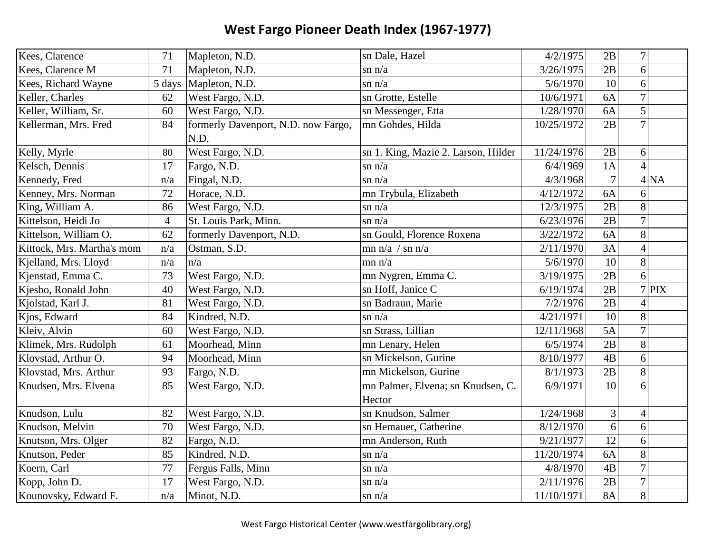| Kees, Clarence             | 71             | Mapleton, N.D.                              | sn Dale, Hazel                      | 4/2/1975   | 2B             | $\overline{7}$ |         |
|----------------------------|----------------|---------------------------------------------|-------------------------------------|------------|----------------|----------------|---------|
| Kees, Clarence M           | 71             | Mapleton, N.D.                              | $\sin n/a$                          | 3/26/1975  | 2B             | 6              |         |
| Kees, Richard Wayne        | 5 days         | Mapleton, N.D.                              | $\sin n/a$                          | 5/6/1970   | 10             | 6              |         |
| Keller, Charles            | 62             | West Fargo, N.D.                            | sn Grotte, Estelle                  | 10/6/1971  | 6A             | $\overline{7}$ |         |
| Keller, William, Sr.       | 60             | West Fargo, N.D.                            | sn Messenger, Etta                  | 1/28/1970  | 6A             | 5              |         |
| Kellerman, Mrs. Fred       | 84             | formerly Davenport, N.D. now Fargo,<br>N.D. | mn Gohdes, Hilda                    | 10/25/1972 | 2B             | $\overline{7}$ |         |
| Kelly, Myrle               | 80             | West Fargo, N.D.                            | sn 1. King, Mazie 2. Larson, Hilder | 11/24/1976 | 2B             | 6              |         |
| Kelsch, Dennis             | 17             | Fargo, N.D.                                 | $\sin n/a$                          | 6/4/1969   | 1A             | $\overline{4}$ |         |
| Kennedy, Fred              | n/a            | Fingal, N.D.                                | $\sin n/a$                          | 4/3/1968   | $\overline{7}$ |                | 4 NA    |
| Kenney, Mrs. Norman        | 72             | Horace, N.D.                                | mn Trybula, Elizabeth               | 4/12/1972  | 6A             | 6              |         |
| King, William A.           | 86             | West Fargo, N.D.                            | $\sin n/a$                          | 12/3/1975  | 2B             | 8              |         |
| Kittelson, Heidi Jo        | $\overline{4}$ | St. Louis Park, Minn.                       | $\sin n/a$                          | 6/23/1976  | 2B             | $\overline{7}$ |         |
| Kittelson, William O.      | 62             | formerly Davenport, N.D.                    | sn Gould, Florence Roxena           | 3/22/1972  | 6A             | 8              |         |
| Kittock, Mrs. Martha's mom | n/a            | Ostman, S.D.                                | mn n/a / sn n/a                     | 2/11/1970  | 3A             | $\overline{4}$ |         |
| Kjelland, Mrs. Lloyd       | n/a            | n/a                                         | mn n/a                              | 5/6/1970   | 10             | 8              |         |
| Kjenstad, Emma C.          | 73             | West Fargo, N.D.                            | mn Nygren, Emma C.                  | 3/19/1975  | 2B             | 6              |         |
| Kjesbo, Ronald John        | 40             | West Fargo, N.D.                            | sn Hoff, Janice C                   | 6/19/1974  | 2B             |                | $7$ PIX |
| Kjolstad, Karl J.          | 81             | West Fargo, N.D.                            | sn Badraun, Marie                   | 7/2/1976   | 2B             |                |         |
| Kjos, Edward               | 84             | Kindred, N.D.                               | $\sin n/a$                          | 4/21/1971  | 10             | 8              |         |
| Kleiv, Alvin               | 60             | West Fargo, N.D.                            | sn Strass, Lillian                  | 12/11/1968 | 5A             | $\overline{7}$ |         |
| Klimek, Mrs. Rudolph       | 61             | Moorhead, Minn                              | mn Lenary, Helen                    | 6/5/1974   | 2B             | 8              |         |
| Klovstad, Arthur O.        | 94             | Moorhead, Minn                              | sn Mickelson, Gurine                | 8/10/1977  | 4B             | 6              |         |
| Klovstad, Mrs. Arthur      | 93             | Fargo, N.D.                                 | mn Mickelson, Gurine                | 8/1/1973   | 2B             | 8              |         |
| Knudsen, Mrs. Elvena       | 85             | West Fargo, N.D.                            | mn Palmer, Elvena; sn Knudsen, C.   | 6/9/1971   | 10             | 6              |         |
|                            |                |                                             | Hector                              |            |                |                |         |
| Knudson, Lulu              | 82             | West Fargo, N.D.                            | sn Knudson, Salmer                  | 1/24/1968  | 3              | $\overline{4}$ |         |
| Knudson, Melvin            | 70             | West Fargo, N.D.                            | sn Hemauer, Catherine               | 8/12/1970  | 6              | 6              |         |
| Knutson, Mrs. Olger        | 82             | Fargo, N.D.                                 | mn Anderson, Ruth                   | 9/21/1977  | 12             | 6              |         |
| Knutson, Peder             | 85             | Kindred, N.D.                               | $\sin n/a$                          | 11/20/1974 | 6A             | 8              |         |
| Koern, Carl                | 77             | Fergus Falls, Minn                          | $\sin n/a$                          | 4/8/1970   | 4B             | $\overline{7}$ |         |
| Kopp, John D.              | 17             | West Fargo, N.D.                            | $\sin n/a$                          | 2/11/1976  | 2B             | $\overline{7}$ |         |
| Kounovsky, Edward F.       | n/a            | Minot, N.D.                                 | $\sin n/a$                          | 11/10/1971 | <b>8A</b>      | 8              |         |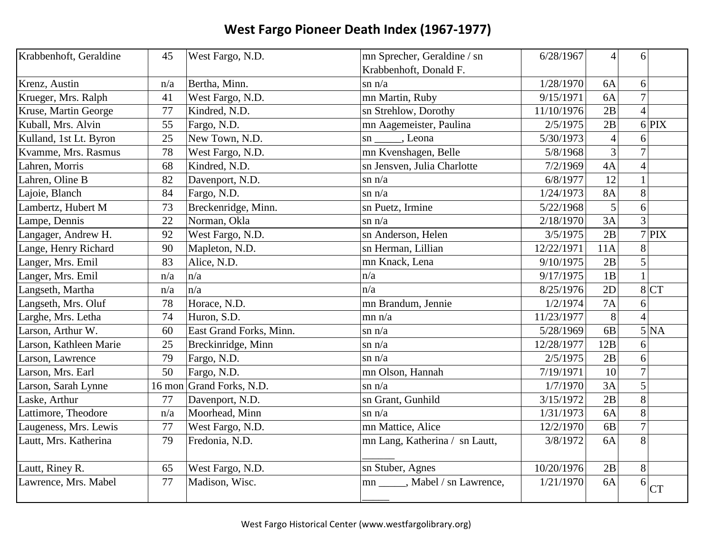| Krabbenhoft, Geraldine | 45     | West Fargo, N.D.        | mn Sprecher, Geraldine / sn     | 6/28/1967  | $\overline{4}$ | 6                        |           |
|------------------------|--------|-------------------------|---------------------------------|------------|----------------|--------------------------|-----------|
|                        |        |                         | Krabbenhoft, Donald F.          |            |                |                          |           |
| Krenz, Austin          | n/a    | Bertha, Minn.           | $\sin n/a$                      | 1/28/1970  | 6A             | 6                        |           |
| Krueger, Mrs. Ralph    | 41     | West Fargo, N.D.        | mn Martin, Ruby                 | 9/15/1971  | 6A             | $\overline{7}$           |           |
| Kruse, Martin George   | 77     | Kindred, N.D.           | sn Strehlow, Dorothy            | 11/10/1976 | 2B             | $\boldsymbol{\Lambda}$   |           |
| Kuball, Mrs. Alvin     | 55     | Fargo, N.D.             | mn Aagemeister, Paulina         | 2/5/1975   | 2B             |                          | $6$ PIX   |
| Kulland, 1st Lt. Byron | 25     | New Town, N.D.          | sn ______, Leona                | 5/30/1973  | $\overline{4}$ | 6                        |           |
| Kvamme, Mrs. Rasmus    | 78     | West Fargo, N.D.        | mn Kvenshagen, Belle            | 5/8/1968   | 3              | $\overline{7}$           |           |
| Lahren, Morris         | 68     | Kindred, N.D.           | sn Jensven, Julia Charlotte     | 7/2/1969   | 4A             | $\overline{4}$           |           |
| Lahren, Oline B        | 82     | Davenport, N.D.         | $\sin n/a$                      | 6/8/1977   | 12             |                          |           |
| Lajoie, Blanch         | 84     | Fargo, N.D.             | $\sin n/a$                      | 1/24/1973  | <b>8A</b>      | 8                        |           |
| Lambertz, Hubert M     | 73     | Breckenridge, Minn.     | sn Puetz, Irmine                | 5/22/1968  | 5              | 6                        |           |
| Lampe, Dennis          | 22     | Norman, Okla            | $\sin n/a$                      | 2/18/1970  | 3A             | 3                        |           |
| Langager, Andrew H.    | 92     | West Fargo, N.D.        | sn Anderson, Helen              | 3/5/1975   | 2B             |                          | $7$ PIX   |
| Lange, Henry Richard   | 90     | Mapleton, N.D.          | sn Herman, Lillian              | 12/22/1971 | 11A            | 8                        |           |
| Langer, Mrs. Emil      | 83     | Alice, N.D.             | mn Knack, Lena                  | 9/10/1975  | 2B             | 5                        |           |
| Langer, Mrs. Emil      | n/a    | n/a                     | n/a                             | 9/17/1975  | 1B             |                          |           |
| Langseth, Martha       | n/a    | n/a                     | n/a                             | 8/25/1976  | 2D             |                          | 8 CT      |
| Langseth, Mrs. Oluf    | 78     | Horace, N.D.            | mn Brandum, Jennie              | 1/2/1974   | <b>7A</b>      | 6                        |           |
| Larghe, Mrs. Letha     | 74     | Huron, S.D.             | mn n/a                          | 11/23/1977 | 8              | $\boldsymbol{\varDelta}$ |           |
| Larson, Arthur W.      | 60     | East Grand Forks, Minn. | $\sin n/a$                      | 5/28/1969  | 6B             |                          | 5 NA      |
| Larson, Kathleen Marie | 25     | Breckinridge, Minn      | $\sin n/a$                      | 12/28/1977 | 12B            | 6                        |           |
| Larson, Lawrence       | 79     | Fargo, N.D.             | $\sin n/a$                      | 2/5/1975   | 2B             | 6                        |           |
| Larson, Mrs. Earl      | 50     | Fargo, N.D.             | mn Olson, Hannah                | 7/19/1971  | 10             | $\overline{7}$           |           |
| Larson, Sarah Lynne    | 16 mon | Grand Forks, N.D.       | $\sin n/a$                      | 1/7/1970   | 3A             | 5                        |           |
| Laske, Arthur          | 77     | Davenport, N.D.         | sn Grant, Gunhild               | 3/15/1972  | 2B             | 8                        |           |
| Lattimore, Theodore    | n/a    | Moorhead, Minn          | $\sin n/a$                      | 1/31/1973  | 6A             | 8                        |           |
| Laugeness, Mrs. Lewis  | 77     | West Fargo, N.D.        | mn Mattice, Alice               | 12/2/1970  | 6 <b>B</b>     | $\overline{7}$           |           |
| Lautt, Mrs. Katherina  | 79     | Fredonia, N.D.          | mn Lang, Katherina / sn Lautt,  | 3/8/1972   | 6A             | 8                        |           |
| Lautt, Riney R.        | 65     | West Fargo, N.D.        | sn Stuber, Agnes                | 10/20/1976 | 2B             | 8                        |           |
| Lawrence, Mrs. Mabel   | 77     | Madison, Wisc.          | mn ______, Mabel / sn Lawrence, | 1/21/1970  | 6A             | 6                        | <b>CT</b> |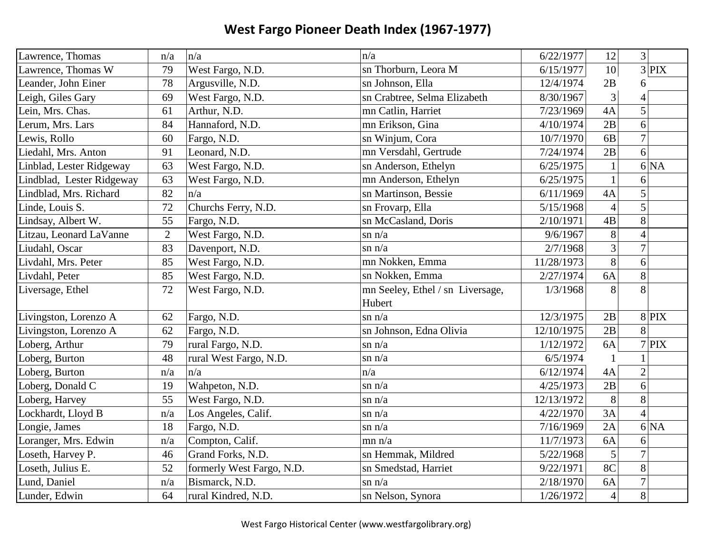| Lawrence, Thomas          | n/a            | n/a                       | n/a                              | 6/22/1977  | 12             | $3\vert$        |
|---------------------------|----------------|---------------------------|----------------------------------|------------|----------------|-----------------|
| Lawrence, Thomas W        | 79             | West Fargo, N.D.          | sn Thorburn, Leora M             | 6/15/1977  | 10             | $3$ PIX         |
| Leander, John Einer       | 78             | Argusville, N.D.          | sn Johnson, Ella                 | 12/4/1974  | 2B             | 6               |
| Leigh, Giles Gary         | 69             | West Fargo, N.D.          | sn Crabtree, Selma Elizabeth     | 8/30/1967  | 3              | 4               |
| Lein, Mrs. Chas.          | 61             | Arthur, N.D.              | mn Catlin, Harriet               | 7/23/1969  | 4A             | 5               |
| Lerum, Mrs. Lars          | 84             | Hannaford, N.D.           | mn Erikson, Gina                 | 4/10/1974  | 2B             | 6               |
| Lewis, Rollo              | 60             | Fargo, N.D.               | sn Winjum, Cora                  | 10/7/1970  | 6 <sub>B</sub> | $\overline{7}$  |
| Liedahl, Mrs. Anton       | 91             | Leonard, N.D.             | mn Versdahl, Gertrude            | 7/24/1974  | 2B             | $\vert 6 \vert$ |
| Linblad, Lester Ridgeway  | 63             | West Fargo, N.D.          | sn Anderson, Ethelyn             | 6/25/1975  | $\mathbf{1}$   | 6 NA            |
| Lindblad, Lester Ridgeway | 63             | West Fargo, N.D.          | mn Anderson, Ethelyn             | 6/25/1975  | $\mathbf{1}$   | 6               |
| Lindblad, Mrs. Richard    | 82             | n/a                       | sn Martinson, Bessie             | 6/11/1969  | 4A             | $\overline{5}$  |
| Linde, Louis S.           | 72             | Churchs Ferry, N.D.       | sn Frovarp, Ella                 | 5/15/1968  | $\overline{4}$ | 5               |
| Lindsay, Albert W.        | 55             | Fargo, N.D.               | sn McCasland, Doris              | 2/10/1971  | 4B             | 8               |
| Litzau, Leonard LaVanne   | $\overline{2}$ | West Fargo, N.D.          | $\sin n/a$                       | 9/6/1967   | 8              | $\overline{4}$  |
| Liudahl, Oscar            | 83             | Davenport, N.D.           | $\sin n/a$                       | 2/7/1968   | $\overline{3}$ | $\overline{7}$  |
| Livdahl, Mrs. Peter       | 85             | West Fargo, N.D.          | mn Nokken, Emma                  | 11/28/1973 | $\overline{8}$ | 6               |
| Livdahl, Peter            | 85             | West Fargo, N.D.          | sn Nokken, Emma                  | 2/27/1974  | 6A             | 8               |
| Liversage, Ethel          | 72             | West Fargo, N.D.          | mn Seeley, Ethel / sn Liversage, | 1/3/1968   | 8              | 8               |
|                           |                |                           | Hubert                           |            |                |                 |
| Livingston, Lorenzo A     | 62             | Fargo, N.D.               | $\sin n/a$                       | 12/3/1975  | 2B             | $8$ PIX         |
| Livingston, Lorenzo A     | 62             | Fargo, N.D.               | sn Johnson, Edna Olivia          | 12/10/1975 | 2B             | 8               |
| Loberg, Arthur            | 79             | rural Fargo, N.D.         | $\sin n/a$                       | 1/12/1972  | 6A             | $7$ PIX         |
| Loberg, Burton            | 48             | rural West Fargo, N.D.    | $\sin n/a$                       | 6/5/1974   | $\mathbf{1}$   |                 |
| Loberg, Burton            | n/a            | n/a                       | n/a                              | 6/12/1974  | 4A             | $\overline{2}$  |
| Loberg, Donald C          | 19             | Wahpeton, N.D.            | $\sin n/a$                       | 4/25/1973  | 2B             | 6               |
| Loberg, Harvey            | 55             | West Fargo, N.D.          | $\sin n/a$                       | 12/13/1972 | 8              | 8               |
| Lockhardt, Lloyd B        | n/a            | Los Angeles, Calif.       | $\sin n/a$                       | 4/22/1970  | 3A             | $\Delta$        |
| Longie, James             | 18             | Fargo, N.D.               | $\sin n/a$                       | 7/16/1969  | 2A             | 6 NA            |
| Loranger, Mrs. Edwin      | n/a            | Compton, Calif.           | mn n/a                           | 11/7/1973  | 6A             | 6               |
| Loseth, Harvey P.         | 46             | Grand Forks, N.D.         | sn Hemmak, Mildred               | 5/22/1968  | 5              | $\overline{7}$  |
| Loseth, Julius E.         | 52             | formerly West Fargo, N.D. | sn Smedstad, Harriet             | 9/22/1971  | 8C             | 8               |
| Lund, Daniel              | n/a            | Bismarck, N.D.            | $\sin n/a$                       | 2/18/1970  | 6A             | $\overline{7}$  |
| Lunder, Edwin             | 64             | rural Kindred, N.D.       | sn Nelson, Synora                | 1/26/1972  | $\overline{4}$ | 8               |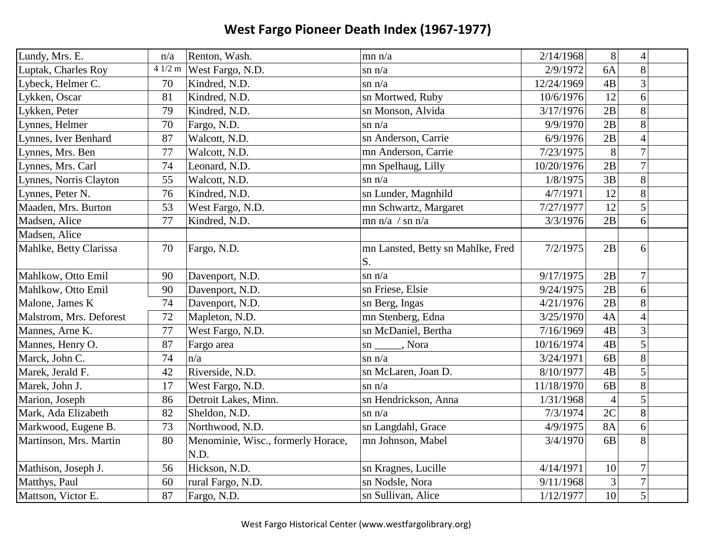| Lundy, Mrs. E.          | n/a    | Renton, Wash.                      | mn n/a                            | 2/14/1968  | 8               | $\overline{4}$ |  |
|-------------------------|--------|------------------------------------|-----------------------------------|------------|-----------------|----------------|--|
| Luptak, Charles Roy     | 41/2 m | West Fargo, N.D.                   | $\sin n/a$                        | 2/9/1972   | 6A              | 8              |  |
| Lybeck, Helmer C.       | 70     | Kindred, N.D.                      | $\sin n/a$                        | 12/24/1969 | 4B              | 3              |  |
| Lykken, Oscar           | 81     | Kindred, N.D.                      | sn Mortwed, Ruby                  | 10/6/1976  | 12              | 6              |  |
| Lykken, Peter           | 79     | Kindred, N.D.                      | sn Monson, Alvida                 | 3/17/1976  | 2B              | 8              |  |
| Lynnes, Helmer          | 70     | Fargo, N.D.                        | $\sin n/a$                        | 9/9/1970   | 2B              | 8              |  |
| Lynnes, Iver Benhard    | 87     | Walcott, N.D.                      | sn Anderson, Carrie               | 6/9/1976   | 2B              | $\overline{4}$ |  |
| Lynnes, Mrs. Ben        | 77     | Walcott, N.D.                      | mn Anderson, Carrie               | 7/23/1975  | 8               | $\overline{7}$ |  |
| Lynnes, Mrs. Carl       | 74     | Leonard, N.D.                      | mn Spelhaug, Lilly                | 10/20/1976 | 2B              | $\overline{7}$ |  |
| Lynnes, Norris Clayton  | 55     | Walcott, N.D.                      | $\sin n/a$                        | 1/8/1975   | 3B              | 8              |  |
| Lynnes, Peter N.        | 76     | Kindred, N.D.                      | sn Lunder, Magnhild               | 4/7/1971   | 12              | 8              |  |
| Maaden, Mrs. Burton     | 53     | West Fargo, N.D.                   | mn Schwartz, Margaret             | 7/27/1977  | 12              | 5              |  |
| Madsen, Alice           | 77     | Kindred, N.D.                      | $mn n/a$ / sn $n/a$               | 3/3/1976   | 2B              | 6              |  |
| Madsen, Alice           |        |                                    |                                   |            |                 |                |  |
| Mahlke, Betty Clarissa  | 70     | Fargo, N.D.                        | mn Lansted, Betty sn Mahlke, Fred | 7/2/1975   | 2B              | 6              |  |
|                         |        |                                    | S.                                |            |                 |                |  |
| Mahlkow, Otto Emil      | 90     | Davenport, N.D.                    | $\sin n/a$                        | 9/17/1975  | 2B              | $\tau$         |  |
| Mahlkow, Otto Emil      | 90     | Davenport, N.D.                    | sn Friese, Elsie                  | 9/24/1975  | 2B              | 6              |  |
| Malone, James K         | 74     | Davenport, N.D.                    | sn Berg, Ingas                    | 4/21/1976  | 2B              | 8              |  |
| Malstrom, Mrs. Deforest | 72     | Mapleton, N.D.                     | mn Stenberg, Edna                 | 3/25/1970  | 4A              | $\overline{4}$ |  |
| Mannes, Arne K.         | 77     | West Fargo, N.D.                   | sn McDaniel, Bertha               | 7/16/1969  | 4B              | 3              |  |
| Mannes, Henry O.        | 87     | Fargo area                         | sn ______, Nora                   | 10/16/1974 | 4B              | 5              |  |
| Marck, John C.          | 74     | n/a                                | $\sin n/a$                        | 3/24/1971  | 6B              | 8              |  |
| Marek, Jerald F.        | 42     | Riverside, N.D.                    | sn McLaren, Joan D.               | 8/10/1977  | 4B              | 5              |  |
| Marek, John J.          | 17     | West Fargo, N.D.                   | $\sin n/a$                        | 11/18/1970 | 6B              | 8              |  |
| Marion, Joseph          | 86     | Detroit Lakes, Minn.               | sn Hendrickson, Anna              | 1/31/1968  | $\overline{4}$  | 5              |  |
| Mark, Ada Elizabeth     | 82     | Sheldon, N.D.                      | $\sin n/a$                        | 7/3/1974   | 2C              | 8              |  |
| Markwood, Eugene B.     | 73     | Northwood, N.D.                    | sn Langdahl, Grace                | 4/9/1975   | <b>8A</b>       | 6              |  |
| Martinson, Mrs. Martin  | 80     | Menominie, Wisc., formerly Horace, | mn Johnson, Mabel                 | 3/4/1970   | 6 <sub>B</sub>  | 8              |  |
|                         |        | N.D.                               |                                   |            |                 |                |  |
| Mathison, Joseph J.     | 56     | Hickson, N.D.                      | sn Kragnes, Lucille               | 4/14/1971  | 10              | $\overline{7}$ |  |
| Matthys, Paul           | 60     | rural Fargo, N.D.                  | sn Nodsle, Nora                   | 9/11/1968  | $\mathfrak{Z}$  | $\overline{7}$ |  |
| Mattson, Victor E.      | 87     | Fargo, N.D.                        | sn Sullivan, Alice                | 1/12/1977  | $\overline{10}$ | 5              |  |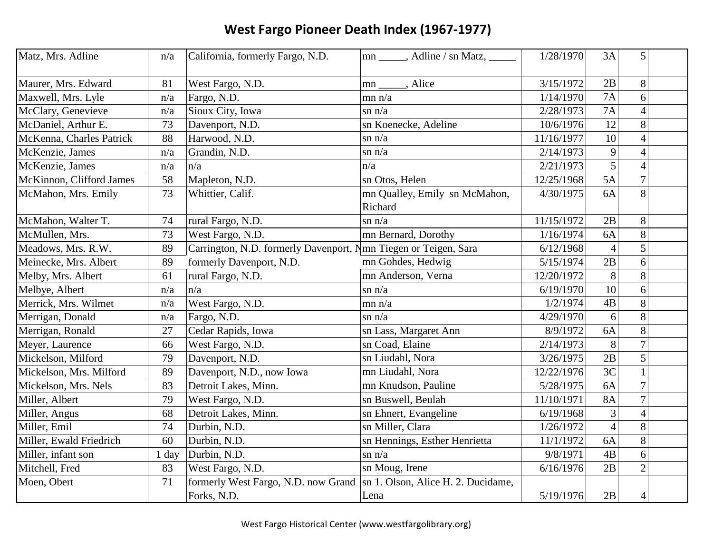| Matz, Mrs. Adline        | n/a     | California, formerly Fargo, N.D.                                | mn ______, Adline / sn Matz, ______ | 1/28/1970  | 3A             | 5              |  |
|--------------------------|---------|-----------------------------------------------------------------|-------------------------------------|------------|----------------|----------------|--|
| Maurer, Mrs. Edward      | 81      | West Fargo, N.D.                                                | mn ______, Alice                    | 3/15/1972  | 2B             | 8              |  |
| Maxwell, Mrs. Lyle       | n/a     | Fargo, N.D.                                                     | mn n/a                              | 1/14/1970  | 7A             | 6              |  |
| McClary, Genevieve       | n/a     | Sioux City, Iowa                                                | $\sin n/a$                          | 2/28/1973  | <b>7A</b>      | $\overline{4}$ |  |
| McDaniel, Arthur E.      | 73      | Davenport, N.D.                                                 | sn Koenecke, Adeline                | 10/6/1976  | 12             | 8              |  |
| McKenna, Charles Patrick | 88      | Harwood, N.D.                                                   | $\sin n/a$                          | 11/16/1977 | 10             | $\overline{4}$ |  |
| McKenzie, James          | n/a     | Grandin, N.D.                                                   | $\sin n/a$                          | 2/14/1973  | 9              | $\overline{4}$ |  |
| McKenzie, James          | n/a     | n/a                                                             | n/a                                 | 2/21/1973  | $\overline{5}$ | $\overline{4}$ |  |
| McKinnon, Clifford James | 58      | Mapleton, N.D.                                                  | sn Otos, Helen                      | 12/25/1968 | 5A             | $\overline{7}$ |  |
| McMahon, Mrs. Emily      | 73      | Whittier, Calif.                                                | mn Qualley, Emily sn McMahon,       | 4/30/1975  | 6A             | 8              |  |
|                          |         |                                                                 | Richard                             |            |                |                |  |
| McMahon, Walter T.       | 74      | rural Fargo, N.D.                                               | $\sin n/a$                          | 11/15/1972 | 2B             | 8              |  |
| McMullen, Mrs.           | 73      | West Fargo, N.D.                                                | mn Bernard, Dorothy                 | 1/16/1974  | 6A             | 8              |  |
| Meadows, Mrs. R.W.       | 89      | Carrington, N.D. formerly Davenport, Nmn Tiegen or Teigen, Sara |                                     | 6/12/1968  | $\overline{4}$ | 5              |  |
| Meinecke, Mrs. Albert    | 89      | formerly Davenport, N.D.                                        | mn Gohdes, Hedwig                   | 5/15/1974  | 2B             | 6              |  |
| Melby, Mrs. Albert       | 61      | rural Fargo, N.D.                                               | mn Anderson, Verna                  | 12/20/1972 | 8              | 8              |  |
| Melbye, Albert           | n/a     | n/a                                                             | $\sin n/a$                          | 6/19/1970  | 10             | 6              |  |
| Merrick, Mrs. Wilmet     | n/a     | West Fargo, N.D.                                                | mn n/a                              | 1/2/1974   | 4B             | 8              |  |
| Merrigan, Donald         | n/a     | Fargo, N.D.                                                     | $\sin n/a$                          | 4/29/1970  | 6              | 8              |  |
| Merrigan, Ronald         | 27      | Cedar Rapids, Iowa                                              | sn Lass, Margaret Ann               | 8/9/1972   | 6A             | 8              |  |
| Meyer, Laurence          | 66      | West Fargo, N.D.                                                | sn Coad, Elaine                     | 2/14/1973  | 8              | $\overline{7}$ |  |
| Mickelson, Milford       | 79      | Davenport, N.D.                                                 | sn Liudahl, Nora                    | 3/26/1975  | 2B             | 5              |  |
| Mickelson, Mrs. Milford  | 89      | Davenport, N.D., now Iowa                                       | mn Liudahl, Nora                    | 12/22/1976 | 3 <sup>C</sup> |                |  |
| Mickelson, Mrs. Nels     | 83      | Detroit Lakes, Minn.                                            | mn Knudson, Pauline                 | 5/28/1975  | 6A             | $\overline{7}$ |  |
| Miller, Albert           | 79      | West Fargo, N.D.                                                | sn Buswell, Beulah                  | 11/10/1971 | <b>8A</b>      | $\overline{7}$ |  |
| Miller, Angus            | 68      | Detroit Lakes, Minn.                                            | sn Ehnert, Evangeline               | 6/19/1968  | 3              | $\overline{4}$ |  |
| Miller, Emil             | 74      | Durbin, N.D.                                                    | sn Miller, Clara                    | 1/26/1972  | $\overline{4}$ | 8              |  |
| Miller, Ewald Friedrich  | 60      | Durbin, N.D.                                                    | sn Hennings, Esther Henrietta       | 11/1/1972  | 6A             | 8              |  |
| Miller, infant son       | $1$ day | Durbin, N.D.                                                    | $\sin n/a$                          | 9/8/1971   | 4B             | 6              |  |
| Mitchell, Fred           | 83      | West Fargo, N.D.                                                | sn Moug, Irene                      | 6/16/1976  | 2B             | $\overline{2}$ |  |
| Moen, Obert              | 71      | formerly West Fargo, N.D. now Grand                             | sn 1. Olson, Alice H. 2. Ducidame,  |            |                |                |  |
|                          |         | Forks, N.D.                                                     | Lena                                | 5/19/1976  | 2B             | $\overline{4}$ |  |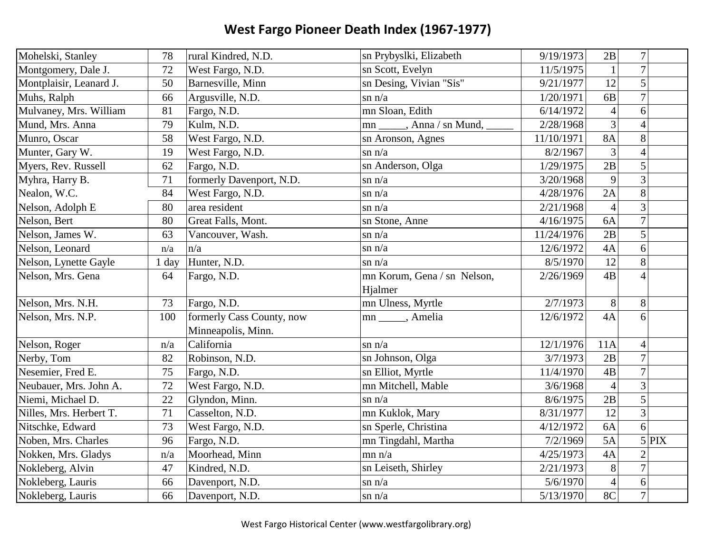| Mohelski, Stanley       | 78    | rural Kindred, N.D.       | sn Prybyslki, Elizabeth       | 9/19/1973  | 2B              | $\overline{7}$ |       |
|-------------------------|-------|---------------------------|-------------------------------|------------|-----------------|----------------|-------|
| Montgomery, Dale J.     | 72    | West Fargo, N.D.          | sn Scott, Evelyn              | 11/5/1975  | $\mathbf{1}$    | $\overline{7}$ |       |
| Montplaisir, Leanard J. | 50    | Barnesville, Minn         | sn Desing, Vivian "Sis"       | 9/21/1977  | 12              | 5              |       |
| Muhs, Ralph             | 66    | Argusville, N.D.          | $\sin n/a$                    | 1/20/1971  | 6 <sub>B</sub>  | $\overline{7}$ |       |
| Mulvaney, Mrs. William  | 81    | Fargo, N.D.               | mn Sloan, Edith               | 6/14/1972  | $\overline{4}$  | 6              |       |
| Mund, Mrs. Anna         | 79    | Kulm, N.D.                | mn ______, Anna / sn Mund, __ | 2/28/1968  | $\overline{3}$  | $\overline{4}$ |       |
| Munro, Oscar            | 58    | West Fargo, N.D.          | sn Aronson, Agnes             | 11/10/1971 | <b>8A</b>       | 8              |       |
| Munter, Gary W.         | 19    | West Fargo, N.D.          | $\sin n/a$                    | 8/2/1967   | 3               | $\overline{4}$ |       |
| Myers, Rev. Russell     | 62    | Fargo, N.D.               | sn Anderson, Olga             | 1/29/1975  | 2B              | 5              |       |
| Myhra, Harry B.         | 71    | formerly Davenport, N.D.  | $\sin n/a$                    | 3/20/1968  | 9               | $\overline{3}$ |       |
| Nealon, W.C.            | 84    | West Fargo, N.D.          | $\sin n/a$                    | 4/28/1976  | 2A              | 8              |       |
| Nelson, Adolph E        | 80    | area resident             | $\sin n/a$                    | 2/21/1968  | 4               | 3              |       |
| Nelson, Bert            | 80    | Great Falls, Mont.        | sn Stone, Anne                | 4/16/1975  | 6A              | $\overline{7}$ |       |
| Nelson, James W.        | 63    | Vancouver, Wash.          | $\sin n/a$                    | 11/24/1976 | 2B              | 5              |       |
| Nelson, Leonard         | n/a   | n/a                       | $\sin n/a$                    | 12/6/1972  | 4A              | 6              |       |
| Nelson, Lynette Gayle   | 1 day | Hunter, N.D.              | $\sin n/a$                    | 8/5/1970   | 12              | 8              |       |
| Nelson, Mrs. Gena       | 64    | Fargo, N.D.               | mn Korum, Gena / sn Nelson,   | 2/26/1969  | 4B              | $\overline{4}$ |       |
|                         |       |                           | Hjalmer                       |            |                 |                |       |
| Nelson, Mrs. N.H.       | 73    | Fargo, N.D.               | mn Ulness, Myrtle             | 2/7/1973   | 8               | 8              |       |
| Nelson, Mrs. N.P.       | 100   | formerly Cass County, now | mn ______, Amelia             | 12/6/1972  | 4A              | 6              |       |
|                         |       | Minneapolis, Minn.        |                               |            |                 |                |       |
| Nelson, Roger           | n/a   | California                | $\sin n/a$                    | 12/1/1976  | 11A             | 4              |       |
| Nerby, Tom              | 82    | Robinson, N.D.            | sn Johnson, Olga              | 3/7/1973   | 2B              | $\overline{7}$ |       |
| Nesemier, Fred E.       | 75    | Fargo, N.D.               | sn Elliot, Myrtle             | 11/4/1970  | $\overline{AB}$ | $\overline{7}$ |       |
| Neubauer, Mrs. John A.  | 72    | West Fargo, N.D.          | mn Mitchell, Mable            | 3/6/1968   | $\overline{4}$  | 3              |       |
| Niemi, Michael D.       | 22    | Glyndon, Minn.            | $\sin n/a$                    | 8/6/1975   | 2B              | 5              |       |
| Nilles, Mrs. Herbert T. | 71    | Casselton, N.D.           | mn Kuklok, Mary               | 8/31/1977  | 12              | $\overline{3}$ |       |
| Nitschke, Edward        | 73    | West Fargo, N.D.          | sn Sperle, Christina          | 4/12/1972  | 6A              | 6              |       |
| Noben, Mrs. Charles     | 96    | Fargo, N.D.               | mn Tingdahl, Martha           | 7/2/1969   | 5A              |                | 5 PIX |
| Nokken, Mrs. Gladys     | n/a   | Moorhead, Minn            | mn n/a                        | 4/25/1973  | 4A              | $\overline{2}$ |       |
| Nokleberg, Alvin        | 47    | Kindred, N.D.             | sn Leiseth, Shirley           | 2/21/1973  | 8               | $\overline{7}$ |       |
| Nokleberg, Lauris       | 66    | Davenport, N.D.           | $\sin n/a$                    | 5/6/1970   | $\overline{4}$  | 6              |       |
| Nokleberg, Lauris       | 66    | Davenport, N.D.           | $\sin n/a$                    | 5/13/1970  | 8C              | $\overline{7}$ |       |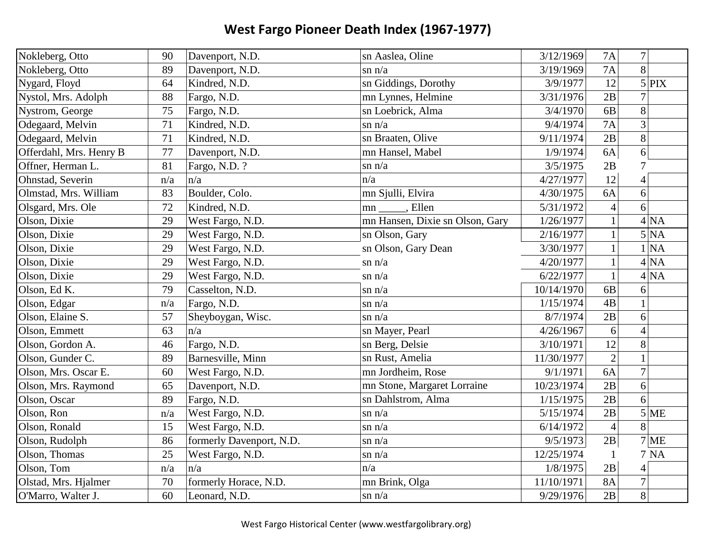| Nokleberg, Otto         | 90  | Davenport, N.D.          | sn Aaslea, Oline                | 3/12/1969  | <b>7A</b>                | $7\vert$          |
|-------------------------|-----|--------------------------|---------------------------------|------------|--------------------------|-------------------|
| Nokleberg, Otto         | 89  | Davenport, N.D.          | $\sin n/a$                      | 3/19/1969  | 7A                       | 8                 |
| Nygard, Floyd           | 64  | Kindred, N.D.            | sn Giddings, Dorothy            | 3/9/1977   | 12                       | $5$ PIX           |
| Nystol, Mrs. Adolph     | 88  | Fargo, N.D.              | mn Lynnes, Helmine              | 3/31/1976  | 2B                       |                   |
| Nystrom, George         | 75  | Fargo, N.D.              | sn Loebrick, Alma               | 3/4/1970   | 6B                       | 8                 |
| Odegaard, Melvin        | 71  | Kindred, N.D.            | $\sin n/a$                      | 9/4/1974   | 7A                       | 3                 |
| Odegaard, Melvin        | 71  | Kindred, N.D.            | sn Braaten, Olive               | 9/11/1974  | 2B                       | 8                 |
| Offerdahl, Mrs. Henry B | 77  | Davenport, N.D.          | mn Hansel, Mabel                | 1/9/1974   | 6A                       | $6\vert$          |
| Offner, Herman L.       | 81  | Fargo, N.D. ?            | $\sin n/a$                      | 3/5/1975   | 2B                       | 7                 |
| Ohnstad, Severin        | n/a | n/a                      | n/a                             | 4/27/1977  | 12                       | $\overline{4}$    |
| Olmstad, Mrs. William   | 83  | Boulder, Colo.           | mn Sjulli, Elvira               | 4/30/1975  | 6A                       | $6\vert$          |
| Olsgard, Mrs. Ole       | 72  | Kindred, N.D.            | , Ellen<br>mn                   | 5/31/1972  | $\overline{\mathcal{A}}$ | 6                 |
| Olson, Dixie            | 29  | West Fargo, N.D.         | mn Hansen, Dixie sn Olson, Gary | 1/26/1977  | $\mathbf{1}$             | $4\overline{NA}$  |
| Olson, Dixie            | 29  | West Fargo, N.D.         | sn Olson, Gary                  | 2/16/1977  | $\mathbf{1}$             | $\overline{5}$ NA |
| Olson, Dixie            | 29  | West Fargo, N.D.         | sn Olson, Gary Dean             | 3/30/1977  | $\mathbf{1}$             | 1 NA              |
| Olson, Dixie            | 29  | West Fargo, N.D.         | $\sin n/a$                      | 4/20/1977  | $\mathbf{1}$             | 4 NA              |
| Olson, Dixie            | 29  | West Fargo, N.D.         | $\sin n/a$                      | 6/22/1977  | $\mathbf{1}$             | 4 NA              |
| Olson, Ed K.            | 79  | Casselton, N.D.          | $\sin n/a$                      | 10/14/1970 | 6 <sub>B</sub>           | 6                 |
| Olson, Edgar            | n/a | Fargo, N.D.              | $\sin n/a$                      | 1/15/1974  | 4B                       |                   |
| Olson, Elaine S.        | 57  | Sheyboygan, Wisc.        | $\sin n/a$                      | 8/7/1974   | 2B                       | 6                 |
| Olson, Emmett           | 63  | n/a                      | sn Mayer, Pearl                 | 4/26/1967  | 6                        | $\overline{4}$    |
| Olson, Gordon A.        | 46  | Fargo, N.D.              | sn Berg, Delsie                 | 3/10/1971  | 12                       | 8                 |
| Olson, Gunder C.        | 89  | Barnesville, Minn        | sn Rust, Amelia                 | 11/30/1977 | $\overline{2}$           |                   |
| Olson, Mrs. Oscar E.    | 60  | West Fargo, N.D.         | mn Jordheim, Rose               | 9/1/1971   | 6A                       | $\overline{7}$    |
| Olson, Mrs. Raymond     | 65  | Davenport, N.D.          | mn Stone, Margaret Lorraine     | 10/23/1974 | 2B                       | 6                 |
| Olson, Oscar            | 89  | Fargo, N.D.              | sn Dahlstrom, Alma              | 1/15/1975  | 2B                       | 6                 |
| Olson, Ron              | n/a | West Fargo, N.D.         | $\sin n/a$                      | 5/15/1974  | 2B                       | $5$ ME            |
| Olson, Ronald           | 15  | West Fargo, N.D.         | $\sin n/a$                      | 6/14/1972  | $\overline{4}$           | 8                 |
| Olson, Rudolph          | 86  | formerly Davenport, N.D. | $\sin n/a$                      | 9/5/1973   | 2B                       | $7$ ME            |
| Olson, Thomas           | 25  | West Fargo, N.D.         | $\sin n/a$                      | 12/25/1974 | $\mathbf{1}$             | <b>7 NA</b>       |
| Olson, Tom              | n/a | n/a                      | n/a                             | 1/8/1975   | 2B                       | 4                 |
| Olstad, Mrs. Hjalmer    | 70  | formerly Horace, N.D.    | mn Brink, Olga                  | 11/10/1971 | <b>8A</b>                | $\overline{7}$    |
| O'Marro, Walter J.      | 60  | Leonard, N.D.            | $\sin n/a$                      | 9/29/1976  | 2B                       | 8                 |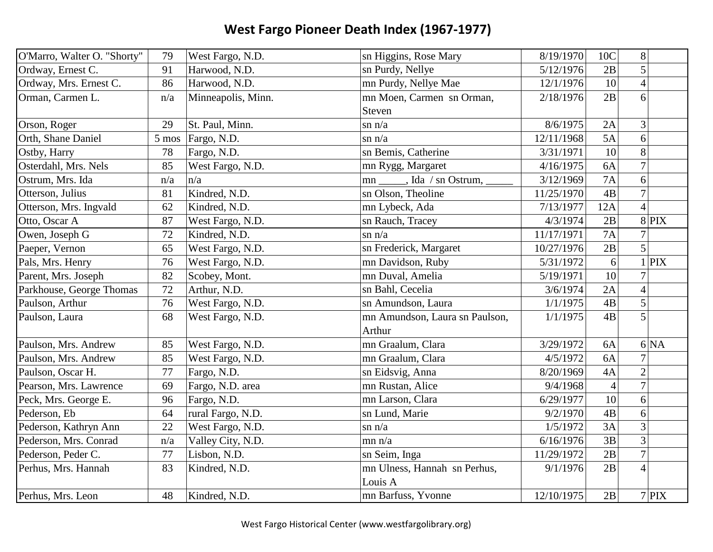| O'Marro, Walter O. "Shorty" | 79    | West Fargo, N.D.   | sn Higgins, Rose Mary              | 8/19/1970  | 10C            | 8              |            |
|-----------------------------|-------|--------------------|------------------------------------|------------|----------------|----------------|------------|
| Ordway, Ernest C.           | 91    | Harwood, N.D.      | sn Purdy, Nellye                   | 5/12/1976  | 2B             | 5              |            |
| Ordway, Mrs. Ernest C.      | 86    | Harwood, N.D.      | mn Purdy, Nellye Mae               | 12/1/1976  | 10             | $\overline{4}$ |            |
| Orman, Carmen L.            | n/a   | Minneapolis, Minn. | mn Moen, Carmen sn Orman,          | 2/18/1976  | 2B             | 6              |            |
|                             |       |                    | Steven                             |            |                |                |            |
| Orson, Roger                | 29    | St. Paul, Minn.    | $\sin n/a$                         | 8/6/1975   | 2A             | 3              |            |
| Orth, Shane Daniel          | 5 mos | Fargo, N.D.        | $\sin n/a$                         | 12/11/1968 | 5A             | 6              |            |
| Ostby, Harry                | 78    | Fargo, N.D.        | sn Bemis, Catherine                | 3/31/1971  | 10             | 8              |            |
| Osterdahl, Mrs. Nels        | 85    | West Fargo, N.D.   | mn Rygg, Margaret                  | 4/16/1975  | 6A             | $\overline{7}$ |            |
| Ostrum, Mrs. Ida            | n/a   | n/a                | mn ______, Ida / sn Ostrum, ______ | 3/12/1969  | 7A             | 6              |            |
| Otterson, Julius            | 81    | Kindred, N.D.      | sn Olson, Theoline                 | 11/25/1970 | 4B             | $\overline{7}$ |            |
| Otterson, Mrs. Ingvald      | 62    | Kindred, N.D.      | mn Lybeck, Ada                     | 7/13/1977  | 12A            | $\overline{4}$ |            |
| Otto, Oscar A               | 87    | West Fargo, N.D.   | sn Rauch, Tracey                   | 4/3/1974   | 2B             |                | 8 PIX      |
| Owen, Joseph G              | 72    | Kindred, N.D.      | $\sin n/a$                         | 11/17/1971 | 7A             | $\overline{7}$ |            |
| Paeper, Vernon              | 65    | West Fargo, N.D.   | sn Frederick, Margaret             | 10/27/1976 | 2B             | 5              |            |
| Pals, Mrs. Henry            | 76    | West Fargo, N.D.   | mn Davidson, Ruby                  | 5/31/1972  | 6              |                | <b>PIX</b> |
| Parent, Mrs. Joseph         | 82    | Scobey, Mont.      | mn Duval, Amelia                   | 5/19/1971  | 10             | $\tau$         |            |
| Parkhouse, George Thomas    | 72    | Arthur, N.D.       | sn Bahl, Cecelia                   | 3/6/1974   | 2A             | $\overline{4}$ |            |
| Paulson, Arthur             | 76    | West Fargo, N.D.   | sn Amundson, Laura                 | 1/1/1975   | 4B             | 5              |            |
| Paulson, Laura              | 68    | West Fargo, N.D.   | mn Amundson, Laura sn Paulson,     | 1/1/1975   | 4B             | 5              |            |
|                             |       |                    | Arthur                             |            |                |                |            |
| Paulson, Mrs. Andrew        | 85    | West Fargo, N.D.   | mn Graalum, Clara                  | 3/29/1972  | 6A             |                | 6 NA       |
| Paulson, Mrs. Andrew        | 85    | West Fargo, N.D.   | mn Graalum, Clara                  | 4/5/1972   | 6A             |                |            |
| Paulson, Oscar H.           | 77    | Fargo, N.D.        | sn Eidsvig, Anna                   | 8/20/1969  | 4A             | $\overline{2}$ |            |
| Pearson, Mrs. Lawrence      | 69    | Fargo, N.D. area   | mn Rustan, Alice                   | 9/4/1968   | $\overline{4}$ | $\overline{7}$ |            |
| Peck, Mrs. George E.        | 96    | Fargo, N.D.        | mn Larson, Clara                   | 6/29/1977  | 10             | 6              |            |
| Pederson, Eb                | 64    | rural Fargo, N.D.  | sn Lund, Marie                     | 9/2/1970   | 4B             | 6              |            |
| Pederson, Kathryn Ann       | 22    | West Fargo, N.D.   | $\sin n/a$                         | 1/5/1972   | 3A             | 3              |            |
| Pederson, Mrs. Conrad       | n/a   | Valley City, N.D.  | mn n/a                             | 6/16/1976  | 3B             | 3              |            |
| Pederson, Peder C.          | 77    | Lisbon, N.D.       | sn Seim, Inga                      | 11/29/1972 | 2B             | $\overline{7}$ |            |
| Perhus, Mrs. Hannah         | 83    | Kindred, N.D.      | mn Ulness, Hannah sn Perhus,       | 9/1/1976   | 2B             | $\overline{4}$ |            |
|                             |       |                    | Louis A                            |            |                |                |            |
| Perhus, Mrs. Leon           | 48    | Kindred, N.D.      | mn Barfuss, Yvonne                 | 12/10/1975 | 2B             |                | $7$ PIX    |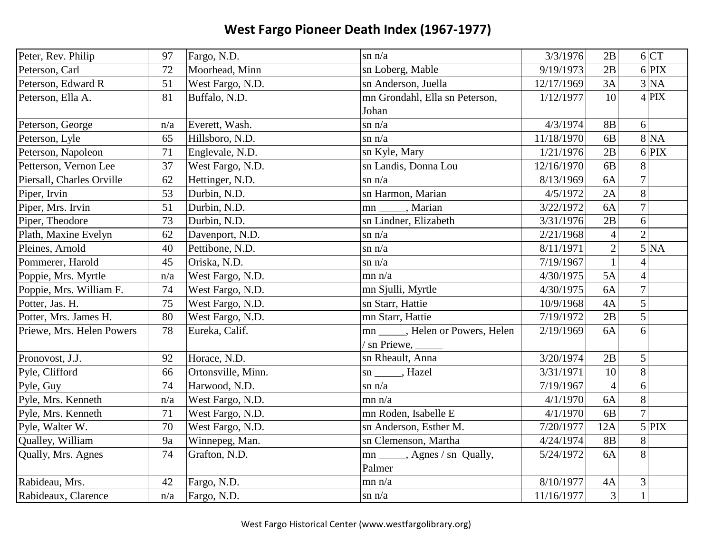| Peter, Rev. Philip        | 97  | Fargo, N.D.        | $\sin n/a$                        | 3/3/1976   | 2B             |                | 6 CT                      |
|---------------------------|-----|--------------------|-----------------------------------|------------|----------------|----------------|---------------------------|
| Peterson, Carl            | 72  | Moorhead, Minn     | sn Loberg, Mable                  | 9/19/1973  | 2B             |                | $6$ PIX                   |
| Peterson, Edward R        | 51  | West Fargo, N.D.   | sn Anderson, Juella               | 12/17/1969 | 3A             |                | 3 NA                      |
| Peterson, Ella A.         | 81  | Buffalo, N.D.      | mn Grondahl, Ella sn Peterson,    | 1/12/1977  | 10             |                | $4$ PIX                   |
|                           |     |                    | Johan                             |            |                |                |                           |
| Peterson, George          | n/a | Everett, Wash.     | $\sin n/a$                        | 4/3/1974   | <b>8B</b>      | 6              |                           |
| Peterson, Lyle            | 65  | Hillsboro, N.D.    | $\sin n/a$                        | 11/18/1970 | 6 <b>B</b>     |                | $8\overline{\mathrm{NA}}$ |
| Peterson, Napoleon        | 71  | Englevale, N.D.    | sn Kyle, Mary                     | 1/21/1976  | 2B             |                | $6$ PIX                   |
| Petterson, Vernon Lee     | 37  | West Fargo, N.D.   | sn Landis, Donna Lou              | 12/16/1970 | 6B             | 8              |                           |
| Piersall, Charles Orville | 62  | Hettinger, N.D.    | $\sin n/a$                        | 8/13/1969  | 6A             | $\overline{7}$ |                           |
| Piper, Irvin              | 53  | Durbin, N.D.       | sn Harmon, Marian                 | 4/5/1972   | 2A             | 8              |                           |
| Piper, Mrs. Irvin         | 51  | Durbin, N.D.       | , Marian<br>mn                    | 3/22/1972  | 6A             | $\overline{7}$ |                           |
| Piper, Theodore           | 73  | Durbin, N.D.       | sn Lindner, Elizabeth             | 3/31/1976  | 2B             | 6              |                           |
| Plath, Maxine Evelyn      | 62  | Davenport, N.D.    | $\sin n/a$                        | 2/21/1968  | $\overline{4}$ | $\overline{2}$ |                           |
| Pleines, Arnold           | 40  | Pettibone, N.D.    | $\sin n/a$                        | 8/11/1971  | $\overline{c}$ |                | 5 NA                      |
| Pommerer, Harold          | 45  | Oriska, N.D.       | $\sin n/a$                        | 7/19/1967  | $\mathbf{1}$   | $\overline{4}$ |                           |
| Poppie, Mrs. Myrtle       | n/a | West Fargo, N.D.   | mn n/a                            | 4/30/1975  | 5A             | $\overline{4}$ |                           |
| Poppie, Mrs. William F.   | 74  | West Fargo, N.D.   | mn Sjulli, Myrtle                 | 4/30/1975  | 6A             | $\overline{7}$ |                           |
| Potter, Jas. H.           | 75  | West Fargo, N.D.   | sn Starr, Hattie                  | 10/9/1968  | 4A             | 5              |                           |
| Potter, Mrs. James H.     | 80  | West Fargo, N.D.   | mn Starr, Hattie                  | 7/19/1972  | 2B             | $\mathfrak{S}$ |                           |
| Priewe, Mrs. Helen Powers | 78  | Eureka, Calif.     | mn ______, Helen or Powers, Helen | 2/19/1969  | 6A             | 6              |                           |
|                           |     |                    | / sn Priewe, _____                |            |                |                |                           |
| Pronovost, J.J.           | 92  | Horace, N.D.       | sn Rheault, Anna                  | 3/20/1974  | 2B             | 5              |                           |
| Pyle, Clifford            | 66  | Ortonsville, Minn. | , Hazel<br>sn                     | 3/31/1971  | 10             | 8              |                           |
| Pyle, Guy                 | 74  | Harwood, N.D.      | $\sin n/a$                        | 7/19/1967  | $\overline{4}$ | 6              |                           |
| Pyle, Mrs. Kenneth        | n/a | West Fargo, N.D.   | mn n/a                            | 4/1/1970   | 6A             | 8              |                           |
| Pyle, Mrs. Kenneth        | 71  | West Fargo, N.D.   | mn Roden, Isabelle E              | 4/1/1970   | 6 <sub>B</sub> | $\overline{7}$ |                           |
| Pyle, Walter W.           | 70  | West Fargo, N.D.   | sn Anderson, Esther M.            | 7/20/1977  | 12A            |                | $5$ PIX                   |
| Qualley, William          | 9a  | Winnepeg, Man.     | sn Clemenson, Martha              | 4/24/1974  | <b>8B</b>      | 8              |                           |
| Qually, Mrs. Agnes        | 74  | Grafton, N.D.      | mn ______, Agnes / sn Qually,     | 5/24/1972  | 6A             | 8              |                           |
|                           |     |                    | Palmer                            |            |                |                |                           |
| Rabideau, Mrs.            | 42  | Fargo, N.D.        | mn n/a                            | 8/10/1977  | 4A             | $\mathfrak{Z}$ |                           |
| Rabideaux, Clarence       | n/a | Fargo, N.D.        | sn n/a                            | 11/16/1977 | 3              | $\mathbf{1}$   |                           |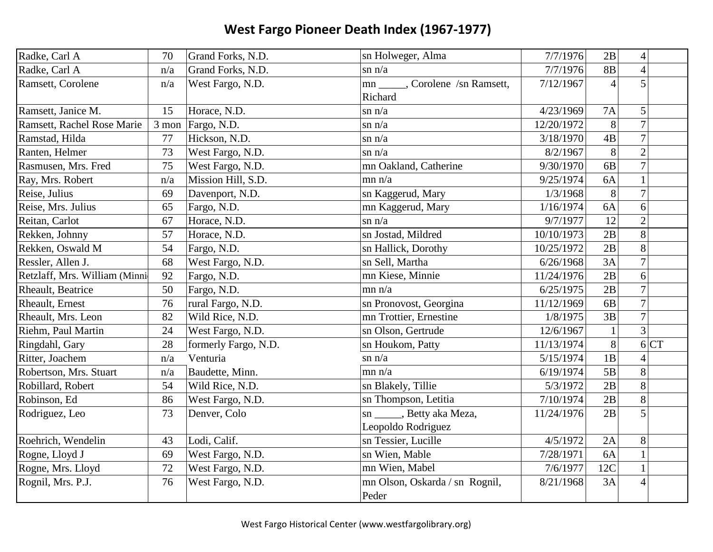| Radke, Carl A                 | 70    | Grand Forks, N.D.    | sn Holweger, Alma                | 7/7/1976   | 2B             | $\overline{4}$ |      |
|-------------------------------|-------|----------------------|----------------------------------|------------|----------------|----------------|------|
| Radke, Carl A                 | n/a   | Grand Forks, N.D.    | $\sin n/a$                       | 7/7/1976   | <b>8B</b>      | $\overline{4}$ |      |
| Ramsett, Corolene             | n/a   | West Fargo, N.D.     | mn ______, Corolene /sn Ramsett, | 7/12/1967  | $\overline{4}$ | 5              |      |
|                               |       |                      | Richard                          |            |                |                |      |
| Ramsett, Janice M.            | 15    | Horace, N.D.         | $\sin n/a$                       | 4/23/1969  | <b>7A</b>      | 5              |      |
| Ramsett, Rachel Rose Marie    | 3 mon | Fargo, N.D.          | $\sin n/a$                       | 12/20/1972 | 8              | $\overline{7}$ |      |
| Ramstad, Hilda                | 77    | Hickson, N.D.        | $\sin n/a$                       | 3/18/1970  | 4B             | $\overline{7}$ |      |
| Ranten, Helmer                | 73    | West Fargo, N.D.     | $\sin n/a$                       | 8/2/1967   | 8              | $\overline{2}$ |      |
| Rasmusen, Mrs. Fred           | 75    | West Fargo, N.D.     | mn Oakland, Catherine            | 9/30/1970  | 6 <b>B</b>     | $\overline{7}$ |      |
| Ray, Mrs. Robert              | n/a   | Mission Hill, S.D.   | mn n/a                           | 9/25/1974  | 6A             | $\mathbf{1}$   |      |
| Reise, Julius                 | 69    | Davenport, N.D.      | sn Kaggerud, Mary                | 1/3/1968   | 8              | $\overline{7}$ |      |
| Reise, Mrs. Julius            | 65    | Fargo, N.D.          | mn Kaggerud, Mary                | 1/16/1974  | 6A             | 6              |      |
| Reitan, Carlot                | 67    | Horace, N.D.         | $\sin n/a$                       | 9/7/1977   | 12             | $\overline{2}$ |      |
| Rekken, Johnny                | 57    | Horace, N.D.         | sn Jostad, Mildred               | 10/10/1973 | 2B             | 8              |      |
| Rekken, Oswald M              | 54    | Fargo, N.D.          | sn Hallick, Dorothy              | 10/25/1972 | 2B             | 8              |      |
| Ressler, Allen J.             | 68    | West Fargo, N.D.     | sn Sell, Martha                  | 6/26/1968  | 3A             | $\overline{7}$ |      |
| Retzlaff, Mrs. William (Minni | 92    | Fargo, N.D.          | mn Kiese, Minnie                 | 11/24/1976 | 2B             | 6              |      |
| Rheault, Beatrice             | 50    | Fargo, N.D.          | mn n/a                           | 6/25/1975  | 2B             | $\overline{7}$ |      |
| Rheault, Ernest               | 76    | rural Fargo, N.D.    | sn Pronovost, Georgina           | 11/12/1969 | 6 <sub>B</sub> | $\overline{7}$ |      |
| Rheault, Mrs. Leon            | 82    | Wild Rice, N.D.      | mn Trottier, Ernestine           | 1/8/1975   | 3B             | $\overline{7}$ |      |
| Riehm, Paul Martin            | 24    | West Fargo, N.D.     | sn Olson, Gertrude               | 12/6/1967  | $\mathbf{1}$   | $\overline{3}$ |      |
| Ringdahl, Gary                | 28    | formerly Fargo, N.D. | sn Houkom, Patty                 | 11/13/1974 | 8              |                | 6 CT |
| Ritter, Joachem               | n/a   | Venturia             | $\sin n/a$                       | 5/15/1974  | 1B             |                |      |
| Robertson, Mrs. Stuart        | n/a   | Baudette, Minn.      | mn n/a                           | 6/19/1974  | 5B             | 8              |      |
| Robillard, Robert             | 54    | Wild Rice, N.D.      | sn Blakely, Tillie               | 5/3/1972   | 2B             | 8              |      |
| Robinson, Ed                  | 86    | West Fargo, N.D.     | sn Thompson, Letitia             | 7/10/1974  | 2B             | 8              |      |
| Rodriguez, Leo                | 73    | Denver, Colo         | sn ______, Betty aka Meza,       | 11/24/1976 | 2B             | 5              |      |
|                               |       |                      | Leopoldo Rodriguez               |            |                |                |      |
| Roehrich, Wendelin            | 43    | Lodi, Calif.         | sn Tessier, Lucille              | 4/5/1972   | 2A             | 8              |      |
| Rogne, Lloyd J                | 69    | West Fargo, N.D.     | sn Wien, Mable                   | 7/28/1971  | 6A             |                |      |
| Rogne, Mrs. Lloyd             | 72    | West Fargo, N.D.     | mn Wien, Mabel                   | 7/6/1977   | 12C            |                |      |
| Rognil, Mrs. P.J.             | 76    | West Fargo, N.D.     | mn Olson, Oskarda / sn Rognil,   | 8/21/1968  | 3A             | $\overline{4}$ |      |
|                               |       |                      | Peder                            |            |                |                |      |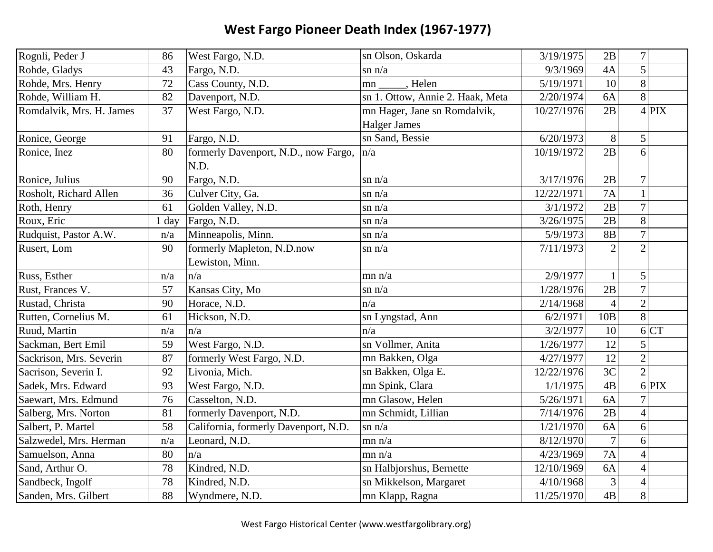| Rognli, Peder J          | 86      | West Fargo, N.D.                              | sn Olson, Oskarda                | 3/19/1975  | 2B             | 7 <sup>1</sup>  |
|--------------------------|---------|-----------------------------------------------|----------------------------------|------------|----------------|-----------------|
| Rohde, Gladys            | 43      | Fargo, N.D.                                   | $\sin n/a$                       | 9/3/1969   | 4A             | 5               |
| Rohde, Mrs. Henry        | 72      | Cass County, N.D.                             | , Helen<br>mn                    | 5/19/1971  | 10             | 8               |
| Rohde, William H.        | 82      | Davenport, N.D.                               | sn 1. Ottow, Annie 2. Haak, Meta | 2/20/1974  | 6A             | 8               |
| Romdalvik, Mrs. H. James | 37      | West Fargo, N.D.                              | mn Hager, Jane sn Romdalvik,     | 10/27/1976 | 2B             | $4$ PIX         |
|                          |         |                                               | <b>Halger James</b>              |            |                |                 |
| Ronice, George           | 91      | Fargo, N.D.                                   | sn Sand, Bessie                  | 6/20/1973  | 8              | 5               |
| Ronice, Inez             | 80      | formerly Davenport, N.D., now Fargo,<br>N.D.  | n/a                              | 10/19/1972 | 2B             | 6               |
| Ronice, Julius           | 90      | Fargo, N.D.                                   | $\sin n/a$                       | 3/17/1976  | 2B             | $\overline{7}$  |
| Rosholt, Richard Allen   | 36      | Culver City, Ga.                              | $\sin n/a$                       | 12/22/1971 | <b>7A</b>      | $\mathbf{1}$    |
| Roth, Henry              | 61      | Golden Valley, N.D.                           | $\sin n/a$                       | 3/1/1972   | 2B             | $\overline{7}$  |
| Roux, Eric               | $1$ day | Fargo, N.D.                                   | $\sin n/a$                       | 3/26/1975  | 2B             | 8               |
| Rudquist, Pastor A.W.    | n/a     | Minneapolis, Minn.                            | $\sin n/a$                       | 5/9/1973   | <b>8B</b>      | $\overline{7}$  |
| Rusert, Lom              | 90      | formerly Mapleton, N.D.now<br>Lewiston, Minn. | $\sin n/a$                       | 7/11/1973  | $\overline{2}$ | $\overline{2}$  |
| Russ, Esther             | n/a     | n/a                                           | mn n/a                           | 2/9/1977   | $\mathbf{1}$   | 5               |
| Rust, Frances V.         | 57      | Kansas City, Mo                               | $\sin n/a$                       | 1/28/1976  | 2B             | $\overline{7}$  |
| Rustad, Christa          | 90      | Horace, N.D.                                  | n/a                              | 2/14/1968  | $\overline{4}$ | $\overline{2}$  |
| Rutten, Cornelius M.     | 61      | Hickson, N.D.                                 | sn Lyngstad, Ann                 | 6/2/1971   | 10B            | 8               |
| Ruud, Martin             | n/a     | n/a                                           | n/a                              | 3/2/1977   | 10             | 6 CT            |
| Sackman, Bert Emil       | 59      | West Fargo, N.D.                              | sn Vollmer, Anita                | 1/26/1977  | 12             | 5               |
| Sackrison, Mrs. Severin  | 87      | formerly West Fargo, N.D.                     | mn Bakken, Olga                  | 4/27/1977  | 12             | $\overline{2}$  |
| Sacrison, Severin I.     | 92      | Livonia, Mich.                                | sn Bakken, Olga E.               | 12/22/1976 | 3 <sup>C</sup> | $\overline{2}$  |
| Sadek, Mrs. Edward       | 93      | West Fargo, N.D.                              | mn Spink, Clara                  | 1/1/1975   | 4B             | $6$ PIX         |
| Saewart, Mrs. Edmund     | 76      | Casselton, N.D.                               | mn Glasow, Helen                 | 5/26/1971  | 6A             | $\overline{7}$  |
| Salberg, Mrs. Norton     | 81      | formerly Davenport, N.D.                      | mn Schmidt, Lillian              | 7/14/1976  | 2B             | $\vert 4 \vert$ |
| Salbert, P. Martel       | 58      | California, formerly Davenport, N.D.          | $\sin n/a$                       | 1/21/1970  | 6A             | 6               |
| Salzwedel, Mrs. Herman   | n/a     | Leonard, N.D.                                 | mn n/a                           | 8/12/1970  | $\overline{7}$ | 6               |
| Samuelson, Anna          | 80      | n/a                                           | mn n/a                           | 4/23/1969  | 7A             | $\overline{4}$  |
| Sand, Arthur O.          | 78      | Kindred, N.D.                                 | sn Halbjorshus, Bernette         | 12/10/1969 | 6A             | $\overline{4}$  |
| Sandbeck, Ingolf         | 78      | Kindred, N.D.                                 | sn Mikkelson, Margaret           | 4/10/1968  | 3              | $\overline{4}$  |
| Sanden, Mrs. Gilbert     | 88      | Wyndmere, N.D.                                | mn Klapp, Ragna                  | 11/25/1970 | 4B             | 8               |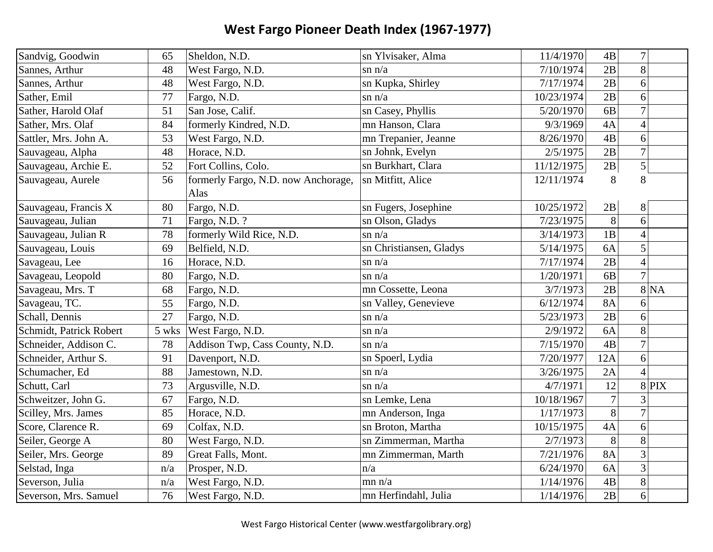| Sandvig, Goodwin        | 65    | Sheldon, N.D.                       | sn Ylvisaker, Alma      | 11/4/1970  | 4B              | $\overline{7}$ |
|-------------------------|-------|-------------------------------------|-------------------------|------------|-----------------|----------------|
| Sannes, Arthur          | 48    | West Fargo, N.D.                    | $\sin n/a$              | 7/10/1974  | 2B              | 8              |
| Sannes, Arthur          | 48    | West Fargo, N.D.                    | sn Kupka, Shirley       | 7/17/1974  | 2B              | 6              |
| Sather, Emil            | 77    | Fargo, N.D.                         | $\sin n/a$              | 10/23/1974 | 2B              | 6              |
| Sather, Harold Olaf     | 51    | San Jose, Calif.                    | sn Casey, Phyllis       | 5/20/1970  | 6 <sub>B</sub>  | $\overline{7}$ |
| Sather, Mrs. Olaf       | 84    | formerly Kindred, N.D.              | mn Hanson, Clara        | 9/3/1969   | 4A              | $\overline{4}$ |
| Sattler, Mrs. John A.   | 53    | West Fargo, N.D.                    | mn Trepanier, Jeanne    | 8/26/1970  | 4B              | 6              |
| Sauvageau, Alpha        | 48    | Horace, N.D.                        | sn Johnk, Evelyn        | 2/5/1975   | $\overline{2B}$ | $\overline{7}$ |
| Sauvageau, Archie E.    | 52    | Fort Collins, Colo.                 | sn Burkhart, Clara      | 11/12/1975 | $2\mathrm{B}$   | $\overline{5}$ |
| Sauvageau, Aurele       | 56    | formerly Fargo, N.D. now Anchorage, | sn Mitfitt, Alice       | 12/11/1974 | 8               | 8              |
|                         |       | Alas                                |                         |            |                 |                |
| Sauvageau, Francis X    | 80    | Fargo, N.D.                         | sn Fugers, Josephine    | 10/25/1972 | 2B              | 8              |
| Sauvageau, Julian       | 71    | Fargo, N.D. ?                       | sn Olson, Gladys        | 7/23/1975  | 8               | 6              |
| Sauvageau, Julian R     | 78    | formerly Wild Rice, N.D.            | $\sin n/a$              | 3/14/1973  | 1B              | $\overline{4}$ |
| Sauvageau, Louis        | 69    | Belfield, N.D.                      | sn Christiansen, Gladys | 5/14/1975  | 6A              | 5              |
| Savageau, Lee           | 16    | Horace, N.D.                        | $\sin n/a$              | 7/17/1974  | 2B              | $\overline{4}$ |
| Savageau, Leopold       | 80    | Fargo, N.D.                         | $\sin n/a$              | 1/20/1971  | 6B              | $\overline{7}$ |
| Savageau, Mrs. T        | 68    | Fargo, N.D.                         | mn Cossette, Leona      | 3/7/1973   | 2B              | 8 NA           |
| Savageau, TC.           | 55    | Fargo, N.D.                         | sn Valley, Genevieve    | 6/12/1974  | <b>8A</b>       | 6              |
| Schall, Dennis          | 27    | Fargo, N.D.                         | $\sin n/a$              | 5/23/1973  | 2B              | 6              |
| Schmidt, Patrick Robert | 5 wks | West Fargo, N.D.                    | $\sin n/a$              | 2/9/1972   | 6A              | 8              |
| Schneider, Addison C.   | 78    | Addison Twp, Cass County, N.D.      | $\sin n/a$              | 7/15/1970  | 4B              | $\overline{7}$ |
| Schneider, Arthur S.    | 91    | Davenport, N.D.                     | sn Spoerl, Lydia        | 7/20/1977  | 12A             | 6              |
| Schumacher, Ed          | 88    | Jamestown, N.D.                     | $\sin n/a$              | 3/26/1975  | 2A              | $\Delta$       |
| Schutt, Carl            | 73    | Argusville, N.D.                    | $\sin n/a$              | 4/7/1971   | 12              | 8 PIX          |
| Schweitzer, John G.     | 67    | Fargo, N.D.                         | sn Lemke, Lena          | 10/18/1967 | $\overline{7}$  | 3              |
| Scilley, Mrs. James     | 85    | Horace, N.D.                        | mn Anderson, Inga       | 1/17/1973  | $\overline{8}$  | $\overline{7}$ |
| Score, Clarence R.      | 69    | Colfax, N.D.                        | sn Broton, Martha       | 10/15/1975 | 4A              | 6              |
| Seiler, George A        | 80    | West Fargo, N.D.                    | sn Zimmerman, Martha    | 2/7/1973   | 8               | 8              |
| Seiler, Mrs. George     | 89    | Great Falls, Mont.                  | mn Zimmerman, Marth     | 7/21/1976  | <b>8A</b>       | $\overline{3}$ |
| Selstad, Inga           | n/a   | Prosper, N.D.                       | n/a                     | 6/24/1970  | 6A              | 3              |
| Severson, Julia         | n/a   | West Fargo, N.D.                    | mn n/a                  | 1/14/1976  | 4B              | 8              |
| Severson, Mrs. Samuel   | 76    | West Fargo, N.D.                    | mn Herfindahl, Julia    | 1/14/1976  | 2B              | 6              |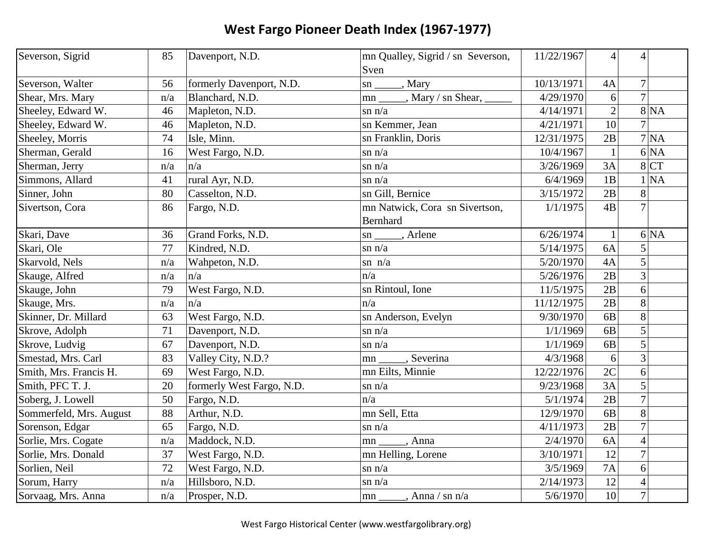| Severson, Sigrid        | 85  | Davenport, N.D.           | mn Qualley, Sigrid / sn Severson,                 | 11/22/1967 | $\overline{4}$  | 4              |
|-------------------------|-----|---------------------------|---------------------------------------------------|------------|-----------------|----------------|
|                         |     |                           | Sven                                              |            |                 |                |
| Severson, Walter        | 56  | formerly Davenport, N.D.  | $\frac{\text{sn}}{\text{sn}}$ , Mary              | 10/13/1971 | 4A              | $\overline{7}$ |
| Shear, Mrs. Mary        | n/a | Blanchard, N.D.           | , Mary / sn Shear, $\overline{\phantom{a}}$<br>mm | 4/29/1970  | 6               | $\overline{7}$ |
| Sheeley, Edward W.      | 46  | Mapleton, N.D.            | $\sin n/a$                                        | 4/14/1971  | $\overline{2}$  | 8 NA           |
| Sheeley, Edward W.      | 46  | Mapleton, N.D.            | sn Kemmer, Jean                                   | 4/21/1971  | 10              | $\overline{7}$ |
| Sheeley, Morris         | 74  | Isle, Minn.               | sn Franklin, Doris                                | 12/31/1975 | 2B              | 7 NA           |
| Sherman, Gerald         | 16  | West Fargo, N.D.          | $\sin n/a$                                        | 10/4/1967  | $\mathbf{1}$    | 6 NA           |
| Sherman, Jerry          | n/a | n/a                       | $\sin n/a$                                        | 3/26/1969  | 3A              | 8 CT           |
| Simmons, Allard         | 41  | rural Ayr, N.D.           | $\sin n/a$                                        | 6/4/1969   | 1B              | 1 NA           |
| Sinner, John            | 80  | Casselton, N.D.           | sn Gill, Bernice                                  | 3/15/1972  | 2B              | 8              |
| Sivertson, Cora         | 86  | Fargo, N.D.               | mn Natwick, Cora sn Sivertson,                    | 1/1/1975   | $\overline{AB}$ |                |
|                         |     |                           | Bernhard                                          |            |                 |                |
| Skari, Dave             | 36  | Grand Forks, N.D.         | $\sin \underline{\hspace{1cm}}$ , Arlene          | 6/26/1974  | $\mathbf{1}$    | 6 NA           |
| Skari, Ole              | 77  | Kindred, N.D.             | $\sin n/a$                                        | 5/14/1975  | 6A              |                |
| Skarvold, Nels          | n/a | Wahpeton, N.D.            | sn $n/a$                                          | 5/20/1970  | 4A              | 5              |
| Skauge, Alfred          | n/a | n/a                       | n/a                                               | 5/26/1976  | $\overline{2B}$ | $\overline{3}$ |
| Skauge, John            | 79  | West Fargo, N.D.          | sn Rintoul, Ione                                  | 11/5/1975  | 2B              | 6              |
| Skauge, Mrs.            | n/a | n/a                       | n/a                                               | 11/12/1975 | 2B              | 8              |
| Skinner, Dr. Millard    | 63  | West Fargo, N.D.          | sn Anderson, Evelyn                               | 9/30/1970  | 6B              | 8              |
| Skrove, Adolph          | 71  | Davenport, N.D.           | $\sin n/a$                                        | 1/1/1969   | 6 <sub>B</sub>  | 5              |
| Skrove, Ludvig          | 67  | Davenport, N.D.           | $\sin n/a$                                        | 1/1/1969   | 6 <sub>B</sub>  | 5              |
| Smestad, Mrs. Carl      | 83  | Valley City, N.D.?        | , Severina<br>mn                                  | 4/3/1968   | 6               | 3              |
| Smith, Mrs. Francis H.  | 69  | West Fargo, N.D.          | mn Eilts, Minnie                                  | 12/22/1976 | $\overline{2C}$ | 6              |
| Smith, PFC T. J.        | 20  | formerly West Fargo, N.D. | $\sin n/a$                                        | 9/23/1968  | 3A              | 5              |
| Soberg, J. Lowell       | 50  | Fargo, N.D.               | n/a                                               | 5/1/1974   | 2B              | $\overline{7}$ |
| Sommerfeld, Mrs. August | 88  | Arthur, N.D.              | mn Sell, Etta                                     | 12/9/1970  | 6B              | 8              |
| Sorenson, Edgar         | 65  | Fargo, N.D.               | $\sin n/a$                                        | 4/11/1973  | 2B              | $\overline{7}$ |
| Sorlie, Mrs. Cogate     | n/a | Maddock, N.D.             | $_{\text{-}}$ , Anna<br>mn                        | 2/4/1970   | 6A              | $\overline{4}$ |
| Sorlie, Mrs. Donald     | 37  | West Fargo, N.D.          | mn Helling, Lorene                                | 3/10/1971  | 12              | $\overline{7}$ |
| Sorlien, Neil           | 72  | West Fargo, N.D.          | $\sin n/a$                                        | 3/5/1969   | 7A              | 6              |
| Sorum, Harry            | n/a | Hillsboro, N.D.           | $\sin n/a$                                        | 2/14/1973  | 12              | $\overline{4}$ |
| Sorvaag, Mrs. Anna      | n/a | Prosper, N.D.             | $A$ nna / sn n/a<br>$\mathsf{m}$ n $\mathsf{m}$   | 5/6/1970   | $\overline{10}$ | $\overline{7}$ |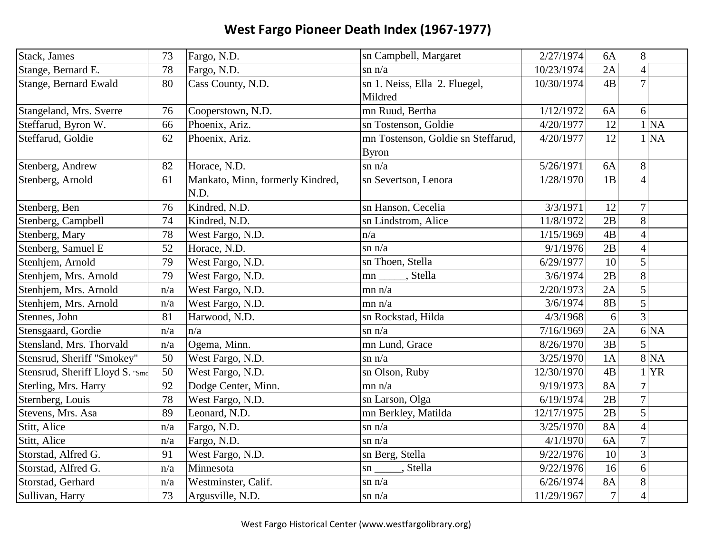| Stack, James                    | 73  | Fargo, N.D.                      | sn Campbell, Margaret              | 2/27/1974  | 6A              | 8               |
|---------------------------------|-----|----------------------------------|------------------------------------|------------|-----------------|-----------------|
| Stange, Bernard E.              | 78  | Fargo, N.D.                      | $\sin n/a$                         | 10/23/1974 | 2A              | 4               |
| <b>Stange, Bernard Ewald</b>    | 80  | Cass County, N.D.                | sn 1. Neiss, Ella 2. Fluegel,      | 10/30/1974 | 4B              | $\overline{7}$  |
|                                 |     |                                  | Mildred                            |            |                 |                 |
| Stangeland, Mrs. Sverre         | 76  | Cooperstown, N.D.                | mn Ruud, Bertha                    | 1/12/1972  | 6A              | $6\vert$        |
| Steffarud, Byron W.             | 66  | Phoenix, Ariz.                   | sn Tostenson, Goldie               | 4/20/1977  | 12              | 1 NA            |
| Steffarud, Goldie               | 62  | Phoenix, Ariz.                   | mn Tostenson, Goldie sn Steffarud, | 4/20/1977  | 12              | 1 NA            |
|                                 |     |                                  | <b>Byron</b>                       |            |                 |                 |
| Stenberg, Andrew                | 82  | Horace, N.D.                     | $\sin n/a$                         | 5/26/1971  | 6A              | 8               |
| Stenberg, Arnold                | 61  | Mankato, Minn, formerly Kindred, | sn Severtson, Lenora               | 1/28/1970  | 1B              | $\vert 4 \vert$ |
|                                 |     | N.D.                             |                                    |            |                 |                 |
| Stenberg, Ben                   | 76  | Kindred, N.D.                    | sn Hanson, Cecelia                 | 3/3/1971   | 12              | $\overline{7}$  |
| Stenberg, Campbell              | 74  | Kindred, N.D.                    | sn Lindstrom, Alice                | 11/8/1972  | 2B              | 8               |
| Stenberg, Mary                  | 78  | West Fargo, N.D.                 | n/a                                | 1/15/1969  | 4B              | $\overline{4}$  |
| Stenberg, Samuel E              | 52  | Horace, N.D.                     | $\sin n/a$                         | 9/1/1976   | 2B              | $\overline{4}$  |
| Stenhjem, Arnold                | 79  | West Fargo, N.D.                 | sn Thoen, Stella                   | 6/29/1977  | 10              | 5               |
| Stenhjem, Mrs. Arnold           | 79  | West Fargo, N.D.                 | mn ______, Stella                  | 3/6/1974   | 2B              | 8               |
| Stenhjem, Mrs. Arnold           | n/a | West Fargo, N.D.                 | mn n/a                             | 2/20/1973  | 2A              | $\vert 5 \vert$ |
| Stenhjem, Mrs. Arnold           | n/a | West Fargo, N.D.                 | mn n/a                             | 3/6/1974   | 8B              | $\overline{5}$  |
| Stennes, John                   | 81  | Harwood, N.D.                    | sn Rockstad, Hilda                 | 4/3/1968   | 6               | 3               |
| Stensgaard, Gordie              | n/a | n/a                              | $\sin n/a$                         | 7/16/1969  | 2A              | 6 NA            |
| Stensland, Mrs. Thorvald        | n/a | Ogema, Minn.                     | mn Lund, Grace                     | 8/26/1970  | 3B              | $\vert 5 \vert$ |
| Stensrud, Sheriff "Smokey"      | 50  | West Fargo, N.D.                 | $\sin n/a$                         | 3/25/1970  | 1A              | 8 NA            |
| Stensrud, Sheriff Lloyd S. "Smc | 50  | West Fargo, N.D.                 | sn Olson, Ruby                     | 12/30/1970 | 4B              | <b>YR</b>       |
| Sterling, Mrs. Harry            | 92  | Dodge Center, Minn.              | mn n/a                             | 9/19/1973  | <b>8A</b>       | $\overline{7}$  |
| Sternberg, Louis                | 78  | West Fargo, N.D.                 | sn Larson, Olga                    | 6/19/1974  | 2B              | $\overline{7}$  |
| Stevens, Mrs. Asa               | 89  | Leonard, N.D.                    | mn Berkley, Matilda                | 12/17/1975 | $\overline{2B}$ | $\overline{5}$  |
| Stitt, Alice                    | n/a | Fargo, N.D.                      | $\sin n/a$                         | 3/25/1970  | <b>8A</b>       | $\overline{4}$  |
| Stitt, Alice                    | n/a | Fargo, N.D.                      | $\sin n/a$                         | 4/1/1970   | 6A              | $\overline{7}$  |
| Storstad, Alfred G.             | 91  | West Fargo, N.D.                 | sn Berg, Stella                    | 9/22/1976  | 10              | $3\vert$        |
| Storstad, Alfred G.             | n/a | Minnesota                        | sn ______, Stella                  | 9/22/1976  | 16              | 6               |
| Storstad, Gerhard               | n/a | Westminster, Calif.              | $\sin n/a$                         | 6/26/1974  | <b>8A</b>       | 8               |
| Sullivan, Harry                 | 73  | Argusville, N.D.                 | $\sin n/a$                         | 11/29/1967 | $\overline{7}$  | $\overline{4}$  |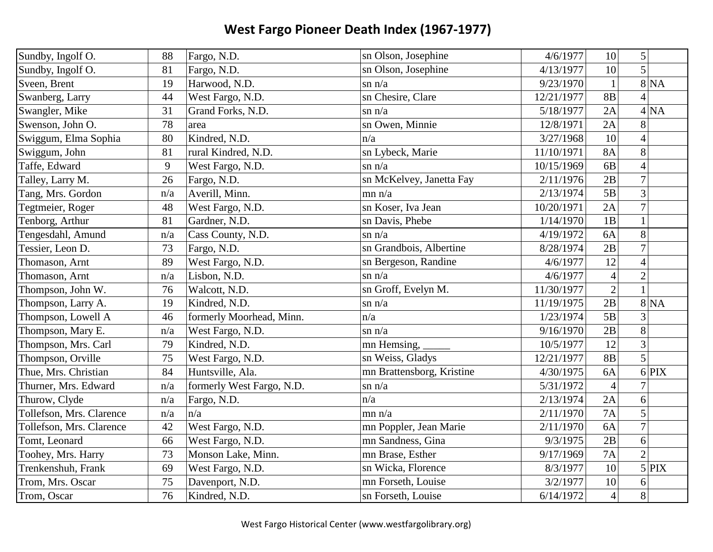| Sundby, Ingolf O.        | 88  | Fargo, N.D.               | sn Olson, Josephine       | 4/6/1977   | 10             | 5 <sup>1</sup>           |                           |
|--------------------------|-----|---------------------------|---------------------------|------------|----------------|--------------------------|---------------------------|
| Sundby, Ingolf O.        | 81  | Fargo, N.D.               | sn Olson, Josephine       | 4/13/1977  | 10             | 5                        |                           |
| Sveen, Brent             | 19  | Harwood, N.D.             | $\sin n/a$                | 9/23/1970  | $\mathbf{1}$   |                          | $8\overline{\mathrm{NA}}$ |
| Swanberg, Larry          | 44  | West Fargo, N.D.          | sn Chesire, Clare         | 12/21/1977 | 8B             | 4                        |                           |
| Swangler, Mike           | 31  | Grand Forks, N.D.         | $\sin n/a$                | 5/18/1977  | 2A             |                          | 4 NA                      |
| Swenson, John O.         | 78  | area                      | sn Owen, Minnie           | 12/8/1971  | 2A             | 8                        |                           |
| Swiggum, Elma Sophia     | 80  | Kindred, N.D.             | n/a                       | 3/27/1968  | 10             | $\overline{\mathcal{A}}$ |                           |
| Swiggum, John            | 81  | rural Kindred, N.D.       | sn Lybeck, Marie          | 11/10/1971 | <b>8A</b>      | 8                        |                           |
| Taffe, Edward            | 9   | West Fargo, N.D.          | $\sin n/a$                | 10/15/1969 | 6B             | $\overline{4}$           |                           |
| Talley, Larry M.         | 26  | Fargo, N.D.               | sn McKelvey, Janetta Fay  | 2/11/1976  | 2B             | $\overline{7}$           |                           |
| Tang, Mrs. Gordon        | n/a | Averill, Minn.            | mn n/a                    | 2/13/1974  | 5B             | $\overline{3}$           |                           |
| Tegtmeier, Roger         | 48  | West Fargo, N.D.          | sn Koser, Iva Jean        | 10/20/1971 | 2A             | $\overline{7}$           |                           |
| Tenborg, Arthur          | 81  | Gardner, N.D.             | sn Davis, Phebe           | 1/14/1970  | 1B             | $\mathbf{1}$             |                           |
| Tengesdahl, Amund        | n/a | Cass County, N.D.         | $\sin n/a$                | 4/19/1972  | 6A             | 8                        |                           |
| Tessier, Leon D.         | 73  | Fargo, N.D.               | sn Grandbois, Albertine   | 8/28/1974  | 2B             | $\overline{7}$           |                           |
| Thomason, Arnt           | 89  | West Fargo, N.D.          | sn Bergeson, Randine      | 4/6/1977   | 12             | $\overline{4}$           |                           |
| Thomason, Arnt           | n/a | Lisbon, N.D.              | $\sin n/a$                | 4/6/1977   | $\overline{4}$ | $\overline{2}$           |                           |
| Thompson, John W.        | 76  | Walcott, N.D.             | sn Groff, Evelyn M.       | 11/30/1977 | $\overline{c}$ | $\mathbf{1}$             |                           |
| Thompson, Larry A.       | 19  | Kindred, N.D.             | $\sin n/a$                | 11/19/1975 | 2B             |                          | 8 NA                      |
| Thompson, Lowell A       | 46  | formerly Moorhead, Minn.  | n/a                       | 1/23/1974  | 5B             | 3                        |                           |
| Thompson, Mary E.        | n/a | West Fargo, N.D.          | $\sin n/a$                | 9/16/1970  | 2B             | 8                        |                           |
| Thompson, Mrs. Carl      | 79  | Kindred, N.D.             | mn Hemsing,               | 10/5/1977  | 12             | 3                        |                           |
| Thompson, Orville        | 75  | West Fargo, N.D.          | sn Weiss, Gladys          | 12/21/1977 | <b>8B</b>      | 5                        |                           |
| Thue, Mrs. Christian     | 84  | Huntsville, Ala.          | mn Brattensborg, Kristine | 4/30/1975  | 6A             |                          | $6$ PIX                   |
| Thurner, Mrs. Edward     | n/a | formerly West Fargo, N.D. | $\sin n/a$                | 5/31/1972  | $\overline{4}$ | 7                        |                           |
| Thurow, Clyde            | n/a | Fargo, N.D.               | n/a                       | 2/13/1974  | 2A             | 6                        |                           |
| Tollefson, Mrs. Clarence | n/a | n/a                       | mn n/a                    | 2/11/1970  | 7A             | 5                        |                           |
| Tollefson, Mrs. Clarence | 42  | West Fargo, N.D.          | mn Poppler, Jean Marie    | 2/11/1970  | 6A             | $\overline{7}$           |                           |
| Tomt, Leonard            | 66  | West Fargo, N.D.          | mn Sandness, Gina         | 9/3/1975   | 2B             | 6                        |                           |
| Toohey, Mrs. Harry       | 73  | Monson Lake, Minn.        | mn Brase, Esther          | 9/17/1969  | 7A             | $\overline{2}$           |                           |
| Trenkenshuh, Frank       | 69  | West Fargo, N.D.          | sn Wicka, Florence        | 8/3/1977   | 10             |                          | 5 PIX                     |
| Trom, Mrs. Oscar         | 75  | Davenport, N.D.           | mn Forseth, Louise        | 3/2/1977   | 10             | 6                        |                           |
| Trom, Oscar              | 76  | Kindred, N.D.             | sn Forseth, Louise        | 6/14/1972  | $\overline{4}$ | 8                        |                           |
|                          |     |                           |                           |            |                |                          |                           |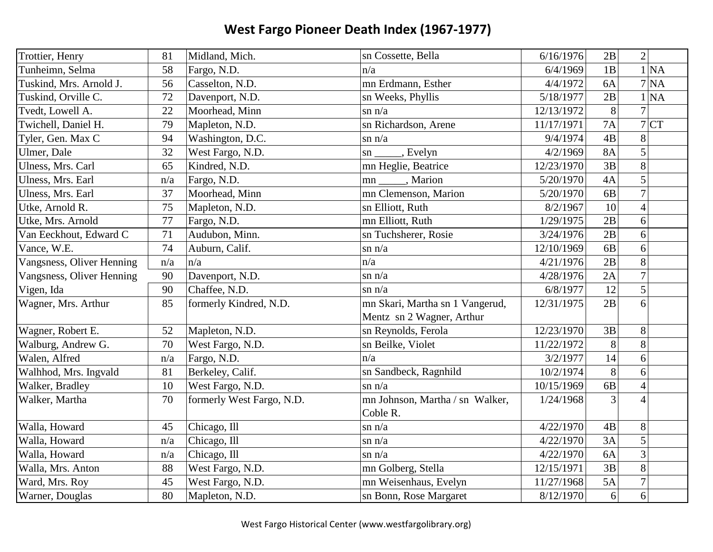| Trottier, Henry           | 81  | Midland, Mich.            | sn Cossette, Bella              | 6/16/1976  | 2B             | $2\vert$        |
|---------------------------|-----|---------------------------|---------------------------------|------------|----------------|-----------------|
| Tunheimn, Selma           | 58  | Fargo, N.D.               | n/a                             | 6/4/1969   | 1B             | 1 NA            |
| Tuskind, Mrs. Arnold J.   | 56  | Casselton, N.D.           | mn Erdmann, Esther              | 4/4/1972   | 6A             | 7 NA            |
| Tuskind, Orville C.       | 72  | Davenport, N.D.           | sn Weeks, Phyllis               | 5/18/1977  | 2B             | 1 NA            |
| Tvedt, Lowell A.          | 22  | Moorhead, Minn            | $\sin n/a$                      | 12/13/1972 | 8              | $\overline{7}$  |
| Twichell, Daniel H.       | 79  | Mapleton, N.D.            | sn Richardson, Arene            | 11/17/1971 | <b>7A</b>      | 7 CT            |
| Tyler, Gen. Max C         | 94  | Washington, D.C.          | $\sin n/a$                      | 9/4/1974   | 4B             | 8               |
| Ulmer, Dale               | 32  | West Fargo, N.D.          | , Evelyn<br>$\text{sn}$         | 4/2/1969   | <b>8A</b>      | $\vert 5 \vert$ |
| Ulness, Mrs. Carl         | 65  | Kindred, N.D.             | mn Heglie, Beatrice             | 12/23/1970 | 3B             | 8               |
| Ulness, Mrs. Earl         | n/a | Fargo, N.D.               | mn ______, Marion               | 5/20/1970  | 4A             | $\vert 5 \vert$ |
| Ulness, Mrs. Earl         | 37  | Moorhead, Minn            | mn Clemenson, Marion            | 5/20/1970  | 6B             | $\overline{7}$  |
| Utke, Arnold R.           | 75  | Mapleton, N.D.            | sn Elliott, Ruth                | 8/2/1967   | 10             | $\overline{4}$  |
| Utke, Mrs. Arnold         | 77  | Fargo, N.D.               | mn Elliott, Ruth                | 1/29/1975  | 2B             | 6               |
| Van Eeckhout, Edward C    | 71  | Audubon, Minn.            | sn Tuchsherer, Rosie            | 3/24/1976  | 2B             | 6               |
| Vance, W.E.               | 74  | Auburn, Calif.            | $\sin n/a$                      | 12/10/1969 | 6B             | 6               |
| Vangsness, Oliver Henning | n/a | n/a                       | n/a                             | 4/21/1976  | 2B             | 8               |
| Vangsness, Oliver Henning | 90  | Davenport, N.D.           | $\sin n/a$                      | 4/28/1976  | 2A             | $\overline{7}$  |
| Vigen, Ida                | 90  | Chaffee, N.D.             | $\sin n/a$                      | 6/8/1977   | 12             | $\vert 5 \vert$ |
| Wagner, Mrs. Arthur       | 85  | formerly Kindred, N.D.    | mn Skari, Martha sn 1 Vangerud, | 12/31/1975 | 2B             | 6               |
|                           |     |                           | Mentz sn 2 Wagner, Arthur       |            |                |                 |
| Wagner, Robert E.         | 52  | Mapleton, N.D.            | sn Reynolds, Ferola             | 12/23/1970 | 3B             | 8               |
| Walburg, Andrew G.        | 70  | West Fargo, N.D.          | sn Beilke, Violet               | 11/22/1972 | 8              | 8               |
| Walen, Alfred             | n/a | Fargo, N.D.               | n/a                             | 3/2/1977   | 14             | 6               |
| Walhhod, Mrs. Ingvald     | 81  | Berkeley, Calif.          | sn Sandbeck, Ragnhild           | 10/2/1974  | 8              | 6               |
| Walker, Bradley           | 10  | West Fargo, N.D.          | $\sin n/a$                      | 10/15/1969 | 6B             | $\overline{4}$  |
| Walker, Martha            | 70  | formerly West Fargo, N.D. | mn Johnson, Martha / sn Walker, | 1/24/1968  | $\overline{3}$ | $\overline{4}$  |
|                           |     |                           | Coble R.                        |            |                |                 |
| Walla, Howard             | 45  | Chicago, Ill              | $\sin n/a$                      | 4/22/1970  | 4B             | 8               |
| Walla, Howard             | n/a | Chicago, Ill              | $\sin n/a$                      | 4/22/1970  | 3A             | 5               |
| Walla, Howard             | n/a | Chicago, Ill              | $\sin n/a$                      | 4/22/1970  | 6A             | $\overline{3}$  |
| Walla, Mrs. Anton         | 88  | West Fargo, N.D.          | mn Golberg, Stella              | 12/15/1971 | 3B             | 8               |
| Ward, Mrs. Roy            | 45  | West Fargo, N.D.          | mn Weisenhaus, Evelyn           | 11/27/1968 | 5A             | $\overline{7}$  |
| Warner, Douglas           | 80  | Mapleton, N.D.            | sn Bonn, Rose Margaret          | 8/12/1970  | 6              | 6               |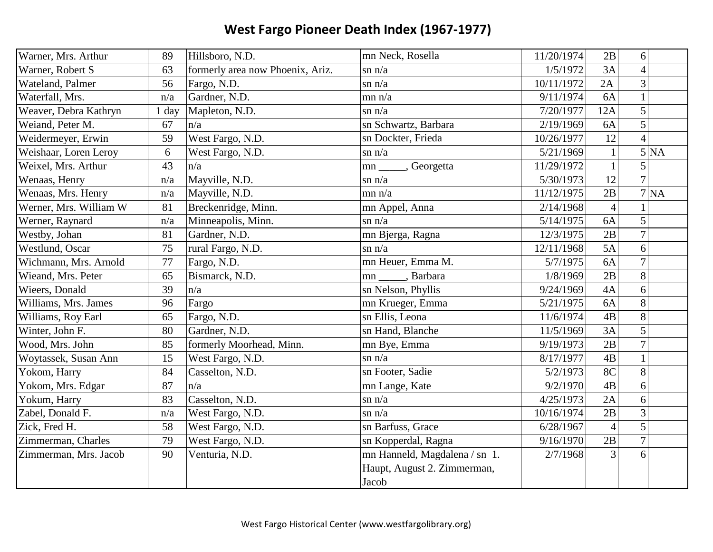| Warner, Mrs. Arthur    | 89      | Hillsboro, N.D.                  | mn Neck, Rosella              | 11/20/1974 | 2B             | 6              |  |
|------------------------|---------|----------------------------------|-------------------------------|------------|----------------|----------------|--|
| Warner, Robert S       | 63      | formerly area now Phoenix, Ariz. | $\sin n/a$                    | 1/5/1972   | 3A             | $\overline{4}$ |  |
| Wateland, Palmer       | 56      | Fargo, N.D.                      | $\sin n/a$                    | 10/11/1972 | 2A             | 3              |  |
| Waterfall, Mrs.        | n/a     | Gardner, N.D.                    | mn n/a                        | 9/11/1974  | 6A             | $\mathbf{1}$   |  |
| Weaver, Debra Kathryn  | $1$ day | Mapleton, N.D.                   | $\sin n/a$                    | 7/20/1977  | 12A            | 5              |  |
| Weiand, Peter M.       | 67      | n/a                              | sn Schwartz, Barbara          | 2/19/1969  | 6A             | 5              |  |
| Weidermeyer, Erwin     | 59      | West Fargo, N.D.                 | sn Dockter, Frieda            | 10/26/1977 | 12             | $\overline{A}$ |  |
| Weishaar, Loren Leroy  | 6       | West Fargo, N.D.                 | $\sin n/a$                    | 5/21/1969  | $\mathbf{1}$   | 5 NA           |  |
| Weixel, Mrs. Arthur    | 43      | n/a                              | , Georgetta<br>mn             | 11/29/1972 | $\mathbf{1}$   | 5              |  |
| Wenaas, Henry          | n/a     | Mayville, N.D.                   | $\sin n/a$                    | 5/30/1973  | 12             | $\overline{7}$ |  |
| Wenaas, Mrs. Henry     | n/a     | Mayville, N.D.                   | mn n/a                        | 11/12/1975 | 2B             | 7 NA           |  |
| Werner, Mrs. William W | 81      | Breckenridge, Minn.              | mn Appel, Anna                | 2/14/1968  | $\overline{4}$ |                |  |
| Werner, Raynard        | n/a     | Minneapolis, Minn.               | $\sin n/a$                    | 5/14/1975  | 6A             | 5              |  |
| Westby, Johan          | 81      | Gardner, N.D.                    | mn Bjerga, Ragna              | 12/3/1975  | 2B             | $\overline{7}$ |  |
| Westlund, Oscar        | 75      | rural Fargo, N.D.                | $\sin n/a$                    | 12/11/1968 | 5A             | 6              |  |
| Wichmann, Mrs. Arnold  | 77      | Fargo, N.D.                      | mn Heuer, Emma M.             | 5/7/1975   | 6A             | $\overline{7}$ |  |
| Wieand, Mrs. Peter     | 65      | Bismarck, N.D.                   | , Barbara<br>mn               | 1/8/1969   | 2B             | 8              |  |
| Wieers, Donald         | 39      | n/a                              | sn Nelson, Phyllis            | 9/24/1969  | 4A             | 6              |  |
| Williams, Mrs. James   | 96      | Fargo                            | mn Krueger, Emma              | 5/21/1975  | 6A             | 8              |  |
| Williams, Roy Earl     | 65      | Fargo, N.D.                      | sn Ellis, Leona               | 11/6/1974  | 4B             | 8              |  |
| Winter, John F.        | 80      | Gardner, N.D.                    | sn Hand, Blanche              | 11/5/1969  | 3A             | 5              |  |
| Wood, Mrs. John        | 85      | formerly Moorhead, Minn.         | mn Bye, Emma                  | 9/19/1973  | 2B             | $\overline{7}$ |  |
| Woytassek, Susan Ann   | 15      | West Fargo, N.D.                 | $\sin n/a$                    | 8/17/1977  | 4B             |                |  |
| Yokom, Harry           | 84      | Casselton, N.D.                  | sn Footer, Sadie              | 5/2/1973   | 8C             | 8              |  |
| Yokom, Mrs. Edgar      | 87      | n/a                              | mn Lange, Kate                | 9/2/1970   | 4B             | 6              |  |
| Yokum, Harry           | 83      | Casselton, N.D.                  | $\sin n/a$                    | 4/25/1973  | 2A             | 6              |  |
| Zabel, Donald F.       | n/a     | West Fargo, N.D.                 | $\sin n/a$                    | 10/16/1974 | 2B             | $\overline{3}$ |  |
| Zick, Fred H.          | 58      | West Fargo, N.D.                 | sn Barfuss, Grace             | 6/28/1967  | $\overline{4}$ | 5              |  |
| Zimmerman, Charles     | 79      | West Fargo, N.D.                 | sn Kopperdal, Ragna           | 9/16/1970  | 2B             | $\overline{7}$ |  |
| Zimmerman, Mrs. Jacob  | 90      | Venturia, N.D.                   | mn Hanneld, Magdalena / sn 1. | 2/7/1968   | $\overline{3}$ | 6              |  |
|                        |         |                                  | Haupt, August 2. Zimmerman,   |            |                |                |  |
|                        |         |                                  | Jacob                         |            |                |                |  |